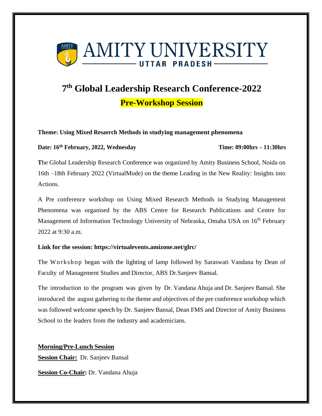

# **7 th Global Leadership Research Conference-2022**

**Pre-Workshop Session**

# **Theme: Using Mixed Resaerch Methods in studying management phenomena**

# **Date: 16th February, 2022, Wednesday Time: 09:00hrs – 11:30hrs**

**T**he Global Leadership Research Conference was organized by Amity Business School, Noida on 16th –18th February 2022 (VirtualMode) on the theme Leading in the New Reality: Insights into Actions.

A Pre conference workshop on Using Mixed Research Methods in Studying Management Phenomena was organised by the ABS Centre for Research Publications and Centre for Management of Information Technology University of Nebraska, Omaha USA on 16<sup>th</sup> February 2022 at 9:30 a.m.

# **Link for the session: https://virtualevents.amizone.net/glrc/**

The Workshop began with the lighting of lamp followed by Saraswati Vandana by Dean of Faculty of Management Studies and Director, ABS Dr.Sanjeev Bansal.

The introduction to the program was given by Dr. Vandana Ahuja and Dr. Sanjeev Bansal. She introduced the august gathering to the theme and objectives of the pre conference workshop which was followed welcome speech by Dr. Sanjeev Bansal, Dean FMS and Director of Amity Business School to the leaders from the industry and academicians.

**Morning/Pre-Lunch Session**

**Session Chair:** Dr. Sanjeev Bansal

**Session Co-Chair:** Dr. Vandana Ahuja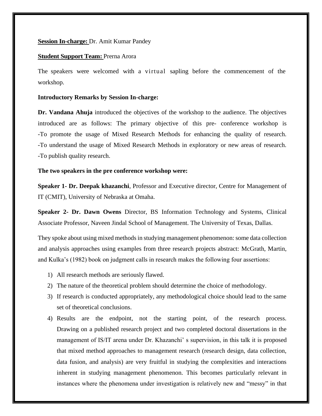### **Session In-charge:** Dr. Amit Kumar Pandey

#### **Student Support Team: Prerna Arora**

The speakers were welcomed with a virtual sapling before the commencement of the workshop.

#### **Introductory Remarks by Session In-charge:**

**Dr. Vandana Ahuja** introduced the objectives of the workshop to the audience. The objectives introduced are as follows: The primary objective of this pre- conference workshop is -To promote the usage of Mixed Research Methods for enhancing the quality of research. -To understand the usage of Mixed Research Methods in exploratory or new areas of research. -To publish quality research.

### **The two speakers in the pre conference workshop were:**

**Speaker 1- Dr. Deepak khazanchi**, Professor and Executive director, Centre for Management of IT (CMIT), University of Nebraska at Omaha.

**Speaker 2- Dr. Dawn Owens** Director, BS Information Technology and Systems, Clinical Associate Professor, Naveen Jindal School of Management. The University of Texas, Dallas.

They spoke about using mixed methods in studying management phenomenon: some data collection and analysis approaches using examples from three research projects abstract: McGrath, Martin, and Kulka's (1982) book on judgment calls in research makes the following four assertions:

- 1) All research methods are seriously flawed.
- 2) The nature of the theoretical problem should determine the choice of methodology.
- 3) If research is conducted appropriately, any methodological choice should lead to the same set of theoretical conclusions.
- 4) Results are the endpoint, not the starting point, of the research process. Drawing on a published research project and two completed doctoral dissertations in the management of IS/IT arena under Dr. Khazanchi' s supervision, in this talk it is proposed that mixed method approaches to management research (research design, data collection, data fusion, and analysis) are very fruitful in studying the complexities and interactions inherent in studying management phenomenon. This becomes particularly relevant in instances where the phenomena under investigation is relatively new and "messy" in that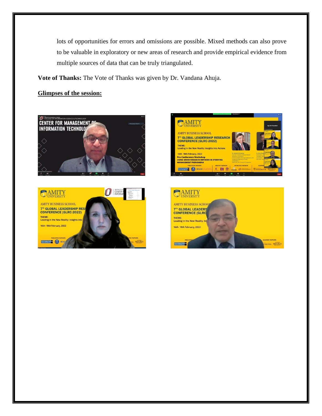lots of opportunities for errors and omissions are possible. Mixed methods can also prove to be valuable in exploratory or new areas of research and provide empirical evidence from multiple sources of data that can be truly triangulated.

**Vote of Thanks:** The Vote of Thanks was given by Dr. Vandana Ahuja.

# **Glimpses of the session:**







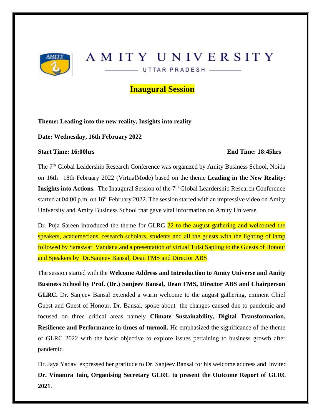

# AMITY UNIVERSITY

UTTAR PRADESH \_\_\_\_\_\_

# **Inaugural Session**

# **Theme: Leading into the new reality, Insights into reality**

**Date: Wednesday, 16th February 2022** 

# **Start Time: 16:00hrs End Time: 18:45hrs**

The 7<sup>th</sup> Global Leadership Research Conference was organized by Amity Business School, Noida on 16th –18th February 2022 (VirtualMode) based on the theme **Leading in the New Reality: Insights into Actions.** The Inaugural Session of the 7<sup>th</sup> Global Leardership Research Conference started at 04:00 p.m. on 16<sup>th</sup> February 2022. The session started with an impressive video on Amity University and Amity Business School that gave vital information on Amity Universe.

Dr. Puja Sareen introduced the theme for GLRC 22 to the august gathering and welcomed the speakers, academecians, research scholars, students and all the guests with the lighting of lamp followed by Saraswati Vandana and a presentation of virtual Tulsi Sapling to the Guests of Honour and Speakers by Dr.Sanjeev Bansal, Dean FMS and Director ABS.

The session started with the **Welcome Address and Introduction to Amity Universe and Amity Business School by Prof. (Dr.) Sanjeev Bansal, Dean FMS, Director ABS and Chairperson GLRC.** Dr. Sanjeev Bansal extended a warm welcome to the august gathering, eminent Chief Guest and Guest of Honour. Dr. Bansal, spoke about the changes caused due to pandemic and focused on three critical areas namely **Climate Sustainability, Digital Transformation, Resilience and Performance in times of turmoil.** He emphasized the significance of the theme of GLRC 2022 with the basic objective to explore issues pertaining to business growth after pandemic.

Dr. Jaya Yadav expressed her gratitude to Dr. Sanjeev Bansal for his welcome address and invited **Dr. Vinamra Jain, Organising Secretary GLRC to present the Outcome Report of GLRC 2021**.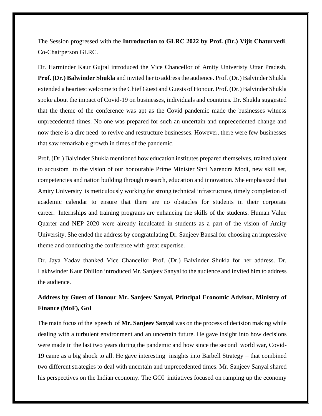The Session progressed with the **Introduction to GLRC 2022 by Prof. (Dr.) Vijit Chaturvedi**, Co-Chairperson GLRC.

Dr. Harminder Kaur Gujral introduced the Vice Chancellor of Amity Univeristy Uttar Pradesh, **Prof. (Dr.) Balwinder Shukla** and invited her to address the audience. Prof. (Dr.) Balvinder Shukla extended a heartiest welcome to the Chief Guest and Guests of Honour. Prof. (Dr.) Balvinder Shukla spoke about the impact of Covid-19 on businesses, individuals and countries. Dr. Shukla suggested that the theme of the conference was apt as the Covid pandemic made the businesses witness unprecedented times. No one was prepared for such an uncertain and unprecedented change and now there is a dire need to revive and restructure businesses. However, there were few businesses that saw remarkable growth in times of the pandemic.

Prof. (Dr.) Balvinder Shukla mentioned how education institutes prepared themselves, trained talent to accustom to the vision of our honourable Prime Minister Shri Narendra Modi, new skill set, competencies and nation building through research, education and innovation. She emphasized that Amity University is meticulously working for strong technical infrastructure, timely completion of academic calendar to ensure that there are no obstacles for students in their corporate career. Internships and training programs are enhancing the skills of the students. Human Value Quarter and NEP 2020 were already inculcated in students as a part of the vision of Amity University. She ended the address by congratulating Dr. Sanjeev Bansal for choosing an impressive theme and conducting the conference with great expertise.

Dr. Jaya Yadav thanked Vice Chancellor Prof. (Dr.) Balvinder Shukla for her address. Dr. Lakhwinder Kaur Dhillon introduced Mr. Sanjeev Sanyal to the audience and invited him to address the audience.

# **Address by Guest of Honour Mr. Sanjeev Sanyal, Principal Economic Advisor, Ministry of Finance (MoF), GoI**

The main focus of the speech of **Mr. Sanjeev Sanyal** was on the process of decision making while dealing with a turbulent environment and an uncertain future. He gave insight into how decisions were made in the last two years during the pandemic and how since the second world war, Covid-19 came as a big shock to all. He gave interesting insights into Barbell Strategy – that combined two different strategies to deal with uncertain and unprecedented times. Mr. Sanjeev Sanyal shared his perspectives on the Indian economy. The GOI initiatives focused on ramping up the economy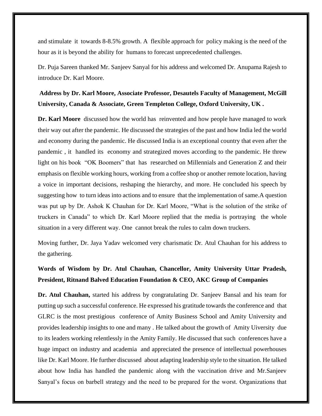and stimulate it towards 8-8.5% growth. A flexible approach for policy making is the need of the hour as it is beyond the ability for humans to forecast unprecedented challenges.

Dr. Puja Sareen thanked Mr. Sanjeev Sanyal for his address and welcomed Dr. Anupama Rajesh to introduce Dr. Karl Moore.

**Address by Dr. Karl Moore, Associate Professor, Desautels Faculty of Management, McGill University, Canada & Associate, Green Templeton College, Oxford University, UK .** 

**Dr. Karl Moore** discussed how the world has reinvented and how people have managed to work their way out after the pandemic. He discussed the strategies of the past and how India led the world and economy during the pandemic. He discussed India is an exceptional country that even after the pandemic , it handled its economy and strategized moves according to the pandemic. He threw light on his book "OK Boomers" that has researched on Millennials and Generation Z and their emphasis on flexible working hours, working from a coffee shop or another remote location, having a voice in important decisions, reshaping the hierarchy, and more. He concluded his speech by suggesting how to turn ideas into actions and to ensure that the implementation of same.A question was put up by Dr. Ashok K Chauhan for Dr. Karl Moore, "What is the solution of the strike of truckers in Canada" to which Dr. Karl Moore replied that the media is portraying the whole situation in a very different way. One cannot break the rules to calm down truckers.

Moving further, Dr. Jaya Yadav welcomed very charismatic Dr. Atul Chauhan for his address to the gathering.

# **Words of Wisdom by Dr. Atul Chauhan, Chancellor, Amity University Uttar Pradesh, President, Ritnand Balved Education Foundation & CEO, AKC Group of Companies**

**Dr. Atul Chauhan,** started his address by congratulating Dr. Sanjeev Bansal and his team for putting up such a successful conference. He expressed his gratitude towards the conference and that GLRC is the most prestigious conference of Amity Business School and Amity University and provides leadership insights to one and many . He talked about the growth of Amity Uiversity due to its leaders working relentlessly in the Amity Family. He discussed that such conferences have a huge impact on industry and academia and appreciated the presence of intellectual powerhouses like Dr. Karl Moore. He further discussed about adapting leadership style to the situation. He talked about how India has handled the pandemic along with the vaccination drive and Mr.Sanjeev Sanyal's focus on barbell strategy and the need to be prepared for the worst. Organizations that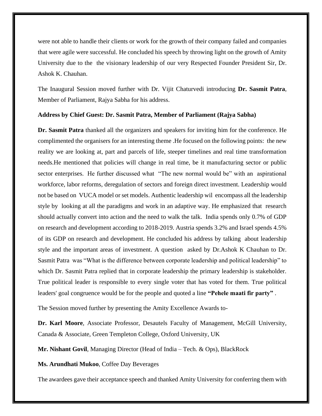were not able to handle their clients or work for the growth of their company failed and companies that were agile were successful. He concluded his speech by throwing light on the growth of Amity University due to the the visionary leadership of our very Respected Founder President Sir, Dr. Ashok K. Chauhan.

The Inaugural Session moved further with Dr. Vijit Chaturvedi introducing **Dr. Sasmit Patra**, Member of Parliament, Rajya Sabha for his address.

#### **Address by Chief Guest: Dr. Sasmit Patra, Member of Parliament (Rajya Sabha)**

**Dr. Sasmit Patra** thanked all the organizers and speakers for inviting him for the conference. He complimented the organisers for an interesting theme .He focused on the following points: the new reality we are looking at, part and parcels of life, steeper timelines and real time transformation needs.He mentioned that policies will change in real time, be it manufacturing sector or public sector enterprises. He further discussed what "The new normal would be" with an aspirational workforce, labor reforms, deregulation of sectors and foreign direct investment. Leadership would not be based on VUCA model or set models. Authentic leadership wil encompass all the leadership style by looking at all the paradigms and work in an adaptive way. He emphasized that research should actually convert into action and the need to walk the talk. India spends only 0.7% of GDP on research and development according to 2018-2019. Austria spends 3.2% and Israel spends 4.5% of its GDP on research and development. He concluded his address by talking about leadership style and the important areas of investment. A question asked by Dr.Ashok K Chauhan to Dr. Sasmit Patra was "What is the difference between corporate leadership and political leadership" to which Dr. Sasmit Patra replied that in corporate leadership the primary leadership is stakeholder. True political leader is responsible to every single voter that has voted for them. True political leaders' goal congruence would be for the people and quoted a line **"Pehele maati fir party"** .

The Session moved further by presenting the Amity Excellence Awards to-

**Dr. Karl Moore**, Associate Professor, Desautels Faculty of Management, McGill University, Canada & Associate, Green Templeton College, Oxford University, UK

**Mr. Nishant Govil**, Managing Director (Head of India – Tech. & Ops), BlackRock

**Ms. Arundhati Mukoo**, Coffee Day Beverages

The awardees gave their acceptance speech and thanked Amity University for conferring them with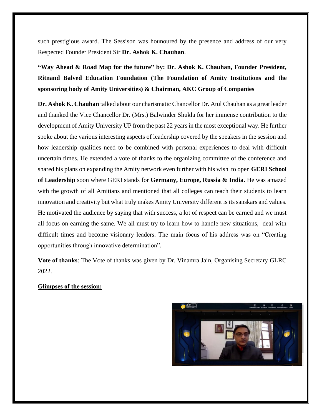such prestigious award. The Sessison was hounoured by the presence and address of our very Respected Founder President Sir **Dr. Ashok K. Chauhan**.

**"Way Ahead & Road Map for the future" by: Dr. Ashok K. Chauhan, Founder President, Ritnand Balved Education Foundation (The Foundation of Amity Institutions and the sponsoring body of Amity Universities) & Chairman, AKC Group of Companies**

**Dr. Ashok K. Chauhan** talked about our charismatic Chancellor Dr. Atul Chauhan as a great leader and thanked the Vice Chancellor Dr. (Mrs.) Balwinder Shukla for her immense contribution to the development of Amity University UP from the past 22 years in the most exceptional way. He further spoke about the various interesting aspects of leadership covered by the speakers in the session and how leadership qualities need to be combined with personal experiences to deal with difficult uncertain times. He extended a vote of thanks to the organizing committee of the conference and shared his plans on expanding the Amity network even further with his wish to open **GERI School of Leadership** soon where GERI stands for **Germany, Europe, Russia & India.** He was amazed with the growth of all Amitians and mentioned that all colleges can teach their students to learn innovation and creativity but what truly makes Amity University different is its sanskars and values. He motivated the audience by saying that with success, a lot of respect can be earned and we must all focus on earning the same. We all must try to learn how to handle new situations, deal with difficult times and become visionary leaders. The main focus of his address was on "Creating opportunities through innovative determination".

**Vote of thanks**: The Vote of thanks was given by Dr. Vinamra Jain, Organising Secretary GLRC 2022.

### **Glimpses of the session:**

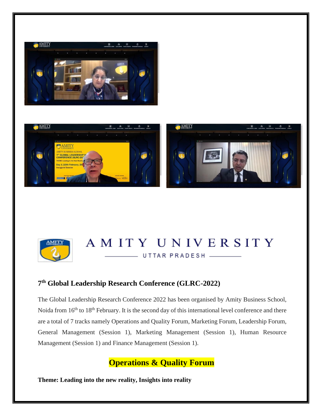





# AMITY UNIVERSITY UTTAR PRADESH

# **7 th Global Leadership Research Conference (GLRC-2022)**

The Global Leadership Research Conference 2022 has been organised by Amity Business School, Noida from 16<sup>th</sup> to 18<sup>th</sup> February. It is the second day of this international level conference and there are a total of 7 tracks namely Operations and Quality Forum, Marketing Forum, Leadership Forum, General Management (Session 1), Marketing Management (Session 1), Human Resource Management (Session 1) and Finance Management (Session 1).

# **Operations & Quality Forum**

**Theme: Leading into the new reality, Insights into reality**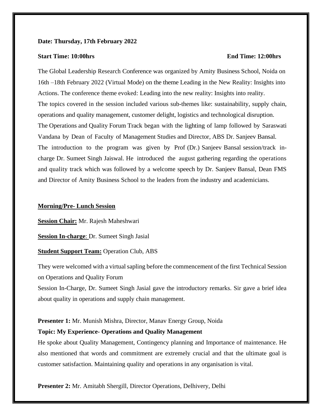#### **Date: Thursday, 17th February 2022**

#### **Start Time: 10:00hrs End Time: 12:00hrs**

The Global Leadership Research Conference was organized by Amity Business School, Noida on 16th –18th February 2022 (Virtual Mode) on the theme Leading in the New Reality: Insights into Actions. The conference theme evoked: Leading into the new reality: Insights into reality. The topics covered in the session included various sub-themes like: sustainability, supply chain, operations and quality management, customer delight, logistics and technological disruption. The Operations and Quality Forum Track began with the lighting of lamp followed by Saraswati Vandana by Dean of Faculty of Management Studies and Director, ABS Dr. Sanjeev Bansal. The introduction to the program was given by Prof (Dr.) Sanjeev Bansal session/track incharge Dr. Sumeet Singh Jaiswal. He introduced the august gathering regarding the operations and quality track which was followed by a welcome speech by Dr. Sanjeev Bansal, Dean FMS and Director of Amity Business School to the leaders from the industry and academicians.

#### **Morning/Pre- Lunch Session**

**Session Chair:** Mr. Rajesh Maheshwari

**Session In-charge**: Dr. Sumeet Singh Jasial

**Student Support Team:** Operation Club, ABS

They were welcomed with a virtual sapling before the commencement of the first Technical Session on Operations and Quality Forum

Session In-Charge, Dr. Sumeet Singh Jasial gave the introductory remarks. Sir gave a brief idea about quality in operations and supply chain management.

#### **Presenter 1:** Mr. Munish Mishra, Director, Manav Energy Group, Noida

#### **Topic: My Experience- Operations and Quality Management**

He spoke about Quality Management, Contingency planning and Importance of maintenance. He also mentioned that words and commitment are extremely crucial and that the ultimate goal is customer satisfaction. Maintaining quality and operations in any organisation is vital.

**Presenter 2:** Mr. Amitabh Shergill, Director Operations, Delhivery, Delhi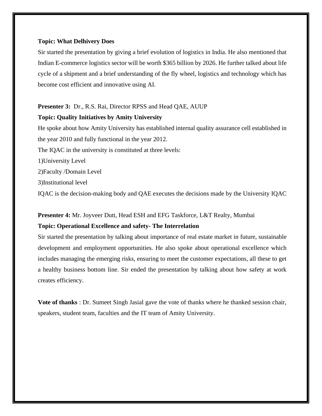#### **Topic: What Delhivery Does**

Sir started the presentation by giving a brief evolution of logistics in India. He also mentioned that Indian E-commerce logistics sector will be worth \$365 billion by 2026. He further talked about life cycle of a shipment and a brief understanding of the fly wheel, logistics and technology which has become cost efficient and innovative using AI.

### **Presenter 3:** Dr., R.S. Rai, Director RPSS and Head QAE, AUUP

#### **Topic: Quality Initiatives by Amity University**

He spoke about how Amity University has established internal quality assurance cell established in the year 2010 and fully functional in the year 2012.

The IQAC in the university is constituted at three levels:

1)University Level

2)Faculty /Domain Level

3)Institutional level

IQAC is the decision-making body and QAE executes the decisions made by the University IQAC

### **Presenter 4:** Mr. Joyveer Dutt, Head ESH and EFG Taskforce, L&T Realty, Mumbai

### **Topic: Operational Excellence and safety- The Interrelation**

Sir started the presentation by talking about importance of real estate market in future, sustainable development and employment opportunities. He also spoke about operational excellence which includes managing the emerging risks, ensuring to meet the customer expectations, all these to get a healthy business bottom line. Sir ended the presentation by talking about how safety at work creates efficiency.

**Vote of thanks** : Dr. Sumeet Singh Jasial gave the vote of thanks where he thanked session chair, speakers, student team, faculties and the IT team of Amity University.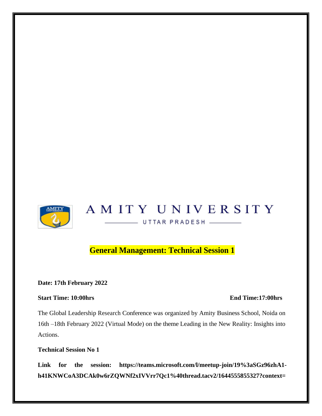

# **General Management: Technical Session 1**

**Date: 17th February 2022**

# **Start Time: 10:00hrs** End Time:17:00hrs

The Global Leadership Research Conference was organized by Amity Business School, Noida on 16th –18th February 2022 (Virtual Mode) on the theme Leading in the New Reality: Insights into Actions.

**Technical Session No 1**

**Link for the session: https://teams.microsoft.com/l/meetup-join/19%3aSGz96zhA1 h41KNWCoA3DCAk0w6rZQWNf2xIVVrr7Qc1%40thread.tacv2/1644555855327?context=**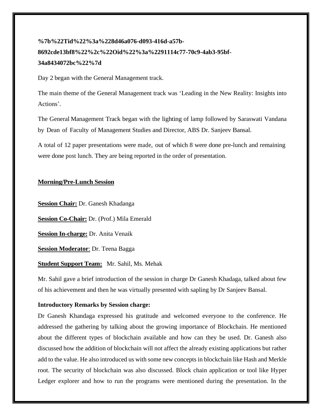# **%7b%22Tid%22%3a%228d46a076-d093-416d-a57b-8692cde13bf8%22%2c%22Oid%22%3a%2291114c77-70c9-4ab3-95bf-34a8434072bc%22%7d**

Day 2 began with the General Management track.

The main theme of the General Management track was 'Leading in the New Reality: Insights into Actions'.

The General Management Track began with the lighting of lamp followed by Saraswati Vandana by Dean of Faculty of Management Studies and Director, ABS Dr. Sanjeev Bansal.

A total of 12 paper presentations were made, out of which 8 were done pre-lunch and remaining were done post lunch. They are being reported in the order of presentation.

# **Morning/Pre-Lunch Session**

**Session Chair:** Dr. Ganesh Khadanga

**Session Co-Chair:** Dr. (Prof.) Mila Emerald

**Session In-charge:** Dr. Anita Venaik

**Session Moderator**: Dr. Teena Bagga

# **Student Support Team:** Mr. Sahil, Ms. Mehak

Mr. Sahil gave a brief introduction of the session in charge Dr Ganesh Khadaga, talked about few of his achievement and then he was virtually presented with sapling by Dr Sanjeev Bansal.

# **Introductory Remarks by Session charge:**

Dr Ganesh Khandaga expressed his gratitude and welcomed everyone to the conference. He addressed the gathering by talking about the growing importance of Blockchain. He mentioned about the different types of blockchain available and how can they be used. Dr. Ganesh also discussed how the addition of blockchain will not affect the already existing applications but rather add to the value. He also introduced us with some new concepts in blockchain like Hash and Merkle root. The security of blockchain was also discussed. Block chain application or tool like Hyper Ledger explorer and how to run the programs were mentioned during the presentation. In the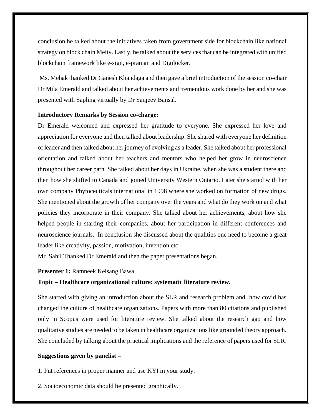conclusion he talked about the initiatives taken from government side for blockchain like national strategy on block chain Meity. Lastly, he talked about the services that can be integrated with unified blockchain framework like e-sign, e-praman and Digilocker.

Ms. Mehak thanked Dr Ganesh Khandaga and then gave a brief introduction of the session co-chair Dr Mila Emerald and talked about her achievements and tremendous work done by her and she was presented with Sapling virtually by Dr Sanjeev Bansal.

#### **Introductory Remarks by Session co-charge:**

Dr Emerald welcomed and expressed her gratitude to everyone. She expressed her love and appreciation for everyone and then talked about leadership. She shared with everyone her definition of leader and then talked about her journey of evolving as a leader. She talked about her professional orientation and talked about her teachers and mentors who helped her grow in neuroscience throughout her career path. She talked about her days in Ukraine, when she was a student there and then how she shifted to Canada and joined University Western Ontario. Later she started with her own company Phytoceuticals international in 1998 where she worked on formation of new drugs. She mentioned about the growth of her company over the years and what do they work on and what policies they incorporate in their company. She talked about her achievements, about how she helped people in starting their companies, about her participation in different conferences and neuroscience journals. In conclusion she discussed about the qualities one need to become a great leader like creativity, passion, motivation, invention etc.

Mr. Sahil Thanked Dr Emerald and then the paper presentations began.

#### **Presenter 1:** Ramneek Kelsang Bawa

#### **Topic – Healthcare organizational culture: systematic literature review.**

She started with giving an introduction about the SLR and research problem and how covid has changed the culture of healthcare organizations. Papers with more than 80 citations and published only in Scopus were used for literature review. She talked about the research gap and how qualitative studies are needed to be taken in healthcare organizations like grounded theory approach. She concluded by talking about the practical implications and the reference of papers used for SLR.

#### **Suggestions given by panelist –**

- 1. Put references in proper manner and use KYI in your study.
- 2. Socioeconomic data should be presented graphically.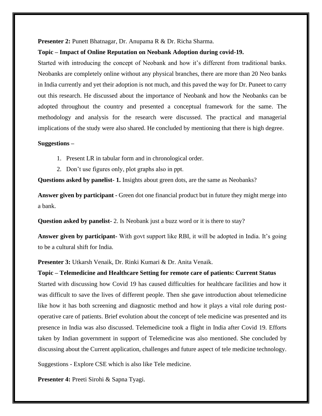#### **Presenter 2:** Punett Bhatnagar, Dr. Anupama R & Dr. Richa Sharma.

### **Topic – Impact of Online Reputation on Neobank Adoption during covid-19.**

Started with introducing the concept of Neobank and how it's different from traditional banks. Neobanks are completely online without any physical branches, there are more than 20 Neo banks in India currently and yet their adoption is not much, and this paved the way for Dr. Puneet to carry out this research. He discussed about the importance of Neobank and how the Neobanks can be adopted throughout the country and presented a conceptual framework for the same. The methodology and analysis for the research were discussed. The practical and managerial implications of the study were also shared. He concluded by mentioning that there is high degree.

#### **Suggestions –**

- 1. Present LR in tabular form and in chronological order.
- 2. Don't use figures only, plot graphs also in ppt.

**Questions asked by panelist- 1.** Insights about green dots, are the same as Neobanks?

**Answer given by participant -** Green dot one financial product but in future they might merge into a bank.

**Question asked by panelist-** 2. Is Neobank just a buzz word or it is there to stay?

**Answer given by participant-** With govt support like RBI, it will be adopted in India. It's going to be a cultural shift for India.

**Presenter 3:** Utkarsh Venaik, Dr. Rinki Kumari & Dr. Anita Venaik.

**Topic – Telemedicine and Healthcare Setting for remote care of patients: Current Status** Started with discussing how Covid 19 has caused difficulties for healthcare facilities and how it was difficult to save the lives of different people. Then she gave introduction about telemedicine like how it has both screening and diagnostic method and how it plays a vital role during postoperative care of patients. Brief evolution about the concept of tele medicine was presented and its presence in India was also discussed. Telemedicine took a flight in India after Covid 19. Efforts taken by Indian government in support of Telemedicine was also mentioned. She concluded by discussing about the Current application, challenges and future aspect of tele medicine technology.

Suggestions - Explore CSE which is also like Tele medicine.

**Presenter 4:** Preeti Sirohi & Sapna Tyagi.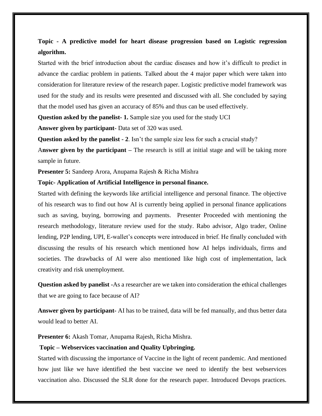# **Topic - A predictive model for heart disease progression based on Logistic regression algorithm.**

Started with the brief introduction about the cardiac diseases and how it's difficult to predict in advance the cardiac problem in patients. Talked about the 4 major paper which were taken into consideration for literature review of the research paper. Logistic predictive model framework was used for the study and its results were presented and discussed with all. She concluded by saying that the model used has given an accuracy of 85% and thus can be used effectively.

**Question asked by the panelist- 1.** Sample size you used for the study UCI

**Answer given by participant**- Data set of 320 was used.

**Question asked by the panelist - 2**. Isn't the sample size less for such a crucial study?

A**nswer given by the participant –** The research is still at initial stage and will be taking more sample in future.

**Presenter 5:** Sandeep Arora, Anupama Rajesh & Richa Mishra

#### **Topic- Application of Artificial Intelligence in personal finance.**

Started with defining the keywords like artificial intelligence and personal finance. The objective of his research was to find out how AI is currently being applied in personal finance applications such as saving, buying, borrowing and payments. Presenter Proceeded with mentioning the research methodology, literature review used for the study. Rabo advisor, Algo trader, Online lending, P2P lending, UPI, E-wallet's concepts were introduced in brief. He finally concluded with discussing the results of his research which mentioned how AI helps individuals, firms and societies. The drawbacks of AI were also mentioned like high cost of implementation, lack creativity and risk unemployment.

**Question asked by panelist -**As a researcher are we taken into consideration the ethical challenges that we are going to face because of AI?

**Answer given by participant-** AI has to be trained, data will be fed manually, and thus better data would lead to better AI.

**Presenter 6:** Akash Tomar, Anupama Rajesh, Richa Mishra.

#### **Topic – Webservices vaccination and Quality Upbringing.**

Started with discussing the importance of Vaccine in the light of recent pandemic. And mentioned how just like we have identified the best vaccine we need to identify the best webservices vaccination also. Discussed the SLR done for the research paper. Introduced Devops practices.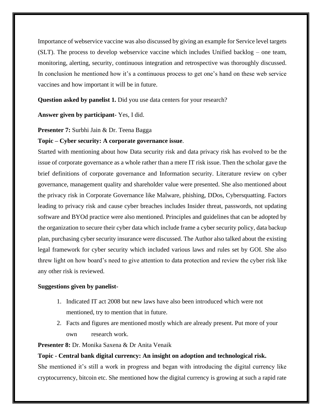Importance of webservice vaccine was also discussed by giving an example for Service level targets (SLT). The process to develop webservice vaccine which includes Unified backlog – one team, monitoring, alerting, security, continuous integration and retrospective was thoroughly discussed. In conclusion he mentioned how it's a continuous process to get one's hand on these web service vaccines and how important it will be in future.

**Question asked by panelist 1.** Did you use data centers for your research?

**Answer given by participant-** Yes, I did.

**Presenter 7:** Surbhi Jain & Dr. Teena Bagga

### **Topic – Cyber security: A corporate governance issue**.

Started with mentioning about how Data security risk and data privacy risk has evolved to be the issue of corporate governance as a whole rather than a mere IT risk issue. Then the scholar gave the brief definitions of corporate governance and Information security. Literature review on cyber governance, management quality and shareholder value were presented. She also mentioned about the privacy risk in Corporate Governance like Malware, phishing, DDos, Cybersquatting. Factors leading to privacy risk and cause cyber breaches includes Insider threat, passwords, not updating software and BYOd practice were also mentioned. Principles and guidelines that can be adopted by the organization to secure their cyber data which include frame a cyber security policy, data backup plan, purchasing cyber security insurance were discussed. The Author also talked about the existing legal framework for cyber security which included various laws and rules set by GOI. She also threw light on how board's need to give attention to data protection and review the cyber risk like any other risk is reviewed.

### **Suggestions given by panelist-**

- 1. Indicated IT act 2008 but new laws have also been introduced which were not mentioned, try to mention that in future.
- 2. Facts and figures are mentioned mostly which are already present. Put more of your own research work.

**Presenter 8:** Dr. Monika Saxena & Dr Anita Venaik

**Topic - Central bank digital currency: An insight on adoption and technological risk.** She mentioned it's still a work in progress and began with introducing the digital currency like cryptocurrency, bitcoin etc. She mentioned how the digital currency is growing at such a rapid rate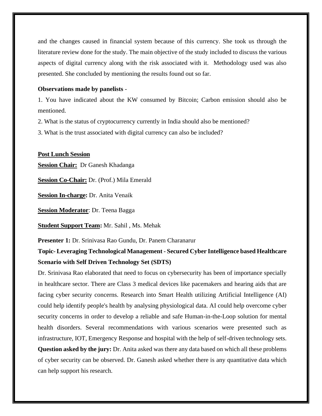and the changes caused in financial system because of this currency. She took us through the literature review done for the study. The main objective of the study included to discuss the various aspects of digital currency along with the risk associated with it. Methodology used was also presented. She concluded by mentioning the results found out so far.

### **Observations made by panelists** -

1. You have indicated about the KW consumed by Bitcoin; Carbon emission should also be mentioned.

2. What is the status of cryptocurrency currently in India should also be mentioned?

3. What is the trust associated with digital currency can also be included?

### **Post Lunch Session**

**Session Chair:** Dr Ganesh Khadanga

**Session Co-Chair:** Dr. (Prof.) Mila Emerald

**Session In-charge:** Dr. Anita Venaik

**Session Moderator**: Dr. Teena Bagga

**Student Support Team:** Mr. Sahil , Ms. Mehak

**Presenter 1:** Dr. Srinivasa Rao Gundu, Dr. Panem Charanarur

# **Topic- Leveraging Technological Management - Secured Cyber Intelligence based Healthcare Scenario with Self Driven Technology Set (SDTS)**

Dr. Srinivasa Rao elaborated that need to focus on cybersecurity has been of importance specially in healthcare sector. There are Class 3 medical devices like pacemakers and hearing aids that are facing cyber security concerns. Research into Smart Health utilizing Artificial Intelligence (AI) could help identify people's health by analysing physiological data. AI could help overcome cyber security concerns in order to develop a reliable and safe Human-in-the-Loop solution for mental health disorders. Several recommendations with various scenarios were presented such as infrastructure, IOT, Emergency Response and hospital with the help of self-driven technology sets. **Question asked by the jury:** Dr. Anita asked was there any data based on which all these problems of cyber security can be observed. Dr. Ganesh asked whether there is any quantitative data which can help support his research.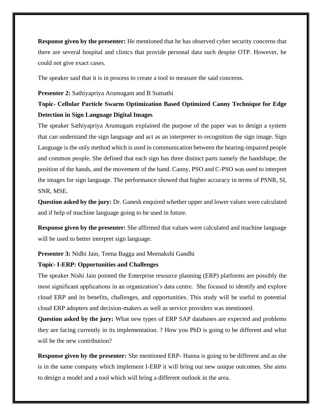**Response given by the presenter:** He mentioned that he has observed cyber security concerns that there are several hospital and clinics that provide personal data such despite OTP. However, he could not give exact cases.

The speaker said that it is in process to create a tool to measure the said concerns.

#### **Presenter 2:** Sathiyapriya Arumugam and B Sumathi

# **Topic- Cellular Particle Swarm Optimization Based Optimized Canny Technique for Edge Detection in Sign Language Digital Images**

The speaker Sathiyapriya Arumugam explained the purpose of the paper was to design a system that can understand the sign language and act as an interpreter to recognition the sign image. Sign Language is the only method which is used in communication between the hearing-impaired people and common people. She defined that each sign has three distinct parts namely the handshape, the position of the hands, and the movement of the hand. Canny, PSO and C-PSO was used to interpret the images for sign language. The performance showed that higher accuracy in terms of PSNR, SI, SNR, MSE.

**Question asked by the jury:** Dr. Ganesh enquired whether upper and lower values were calculated and if help of machine language going to be used in future.

**Response given by the presenter:** She affirmed that values were calculated and machine language will be used to better interpret sign language.

#### **Presenter 3:** Nidhi Jain, Teena Bagga and Meenakshi Gandhi

#### **Topic- I-ERP: Opportunities and Challenges**

The speaker Nishi Jain pointed the Enterprise resource planning (ERP) platforms are possibly the most significant applications in an organization's data centre. She focused to identify and explore cloud ERP and its benefits, challenges, and opportunities. This study will be useful to potential cloud ERP adopters and decision-makers as well as service providers was mentioned.

**Question asked by the jury:** What new types of ERP SAP databases are expected and problems they are facing currently in its implementation. ? How you PhD is going to be different and what will be the new contribution?

**Response given by the presenter:** She mentioned ERP- Hanna is going to be different and as she is in the same company which implement I-ERP it will bring out new unique outcomes. She aims to design a model and a tool which will bring a different outlook in the area.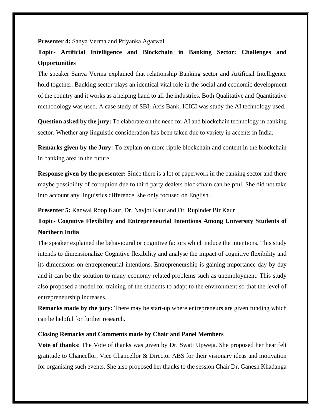**Presenter 4:** Sanya Verma and Priyanka Agarwal

# **Topic- Artificial Intelligence and Blockchain in Banking Sector: Challenges and Opportunities**

The speaker Sanya Verma explained that relationship Banking sector and Artificial Intelligence hold together. Banking sector plays an identical vital role in the social and economic development of the country and it works as a helping hand to all the industries. Both Qualitative and Quantitative methodology was used. A case study of SBI, Axis Bank, ICICI was study the AI technology used.

**Question asked by the jury:** To elaborate on the need for AI and blockchain technology in banking sector. Whether any linguistic consideration has been taken due to variety in accents in India.

**Remarks given by the Jury:** To explain on more ripple blockchain and content in the blockchain in banking area in the future.

**Response given by the presenter:** Since there is a lot of paperwork in the banking sector and there maybe possibility of corruption due to third party dealers blockchain can helpful. She did not take into account any linguistics difference, she only focused on English.

**Presenter 5:** Kanwal Roop Kaur, Dr. Navjot Kaur and Dr. Rupinder Bir Kaur

# **Topic- Cognitive Flexibility and Entrepreneurial Intentions Among University Students of Northern India**

The speaker explained the behavioural or cognitive factors which induce the intentions. This study intends to dimensionalize Cognitive flexibility and analyse the impact of cognitive flexibility and its dimensions on entrepreneurial intentions. Entrepreneurship is gaining importance day by day and it can be the solution to many economy related problems such as unemployment. This study also proposed a model for training of the students to adapt to the environment so that the level of entrepreneurship increases.

**Remarks made by the jury:** There may be start-up where entrepreneurs are given funding which can be helpful for further research.

#### **Closing Remarks and Comments made by Chair and Panel Members**

**Vote of thanks**: The Vote of thanks was given by Dr. Swati Upweja. She proposed her heartfelt gratitude to Chancellor, Vice Chancellor & Director ABS for their visionary ideas and motivation for organising such events. She also proposed her thanks to the session Chair Dr. Ganesh Khadanga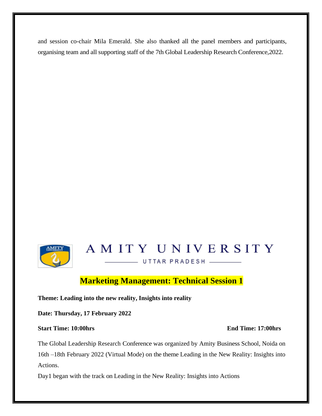and session co-chair Mila Emerald. She also thanked all the panel members and participants, organising team and all supporting staff of the 7th Global Leadership Research Conference,2022.



# AMITY UNIVERSITY

UTTAR PRADESH \_\_\_\_\_\_

# **Marketing Management: Technical Session 1**

**Theme: Leading into the new reality, Insights into reality**

**Date: Thursday, 17 February 2022** 

# **Start Time: 10:00hrs End Time: 17:00hrs**

# The Global Leadership Research Conference was organized by Amity Business School, Noida on 16th –18th February 2022 (Virtual Mode) on the theme Leading in the New Reality: Insights into Actions.

Day1 began with the track on Leading in the New Reality: Insights into Actions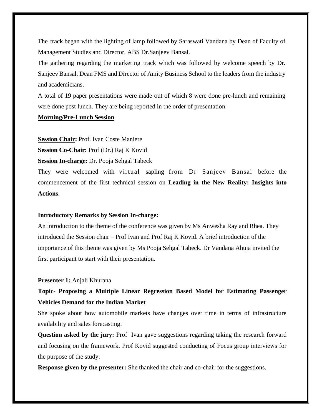The track began with the lighting of lamp followed by Saraswati Vandana by Dean of Faculty of Management Studies and Director, ABS Dr.Sanjeev Bansal.

The gathering regarding the marketing track which was followed by welcome speech by Dr. Sanjeev Bansal, Dean FMS and Director of Amity Business School to the leaders from the industry and academicians.

A total of 19 paper presentations were made out of which 8 were done pre-lunch and remaining were done post lunch. They are being reported in the order of presentation.

### **Morning/Pre-Lunch Session**

**Session Chair:** Prof. Ivan Coste Maniere

**Session Co-Chair:** Prof (Dr.) Raj K Kovid

**Session In-charge:** Dr. Pooja Sehgal Tabeck

They were welcomed with virtual sapling from Dr Sanjeev Bansal before the commencement of the first technical session on **Leading in the New Reality: Insights into Actions**.

#### **Introductory Remarks by Session In-charge:**

An introduction to the theme of the conference was given by Ms Anwesha Ray and Rhea. They introduced the Session chair – Prof Ivan and Prof Raj K Kovid. A brief introduction of the importance of this theme was given by Ms Pooja Sehgal Tabeck. Dr Vandana Ahuja invited the first participant to start with their presentation.

#### **Presenter 1:** Anjali Khurana

# **Topic- Proposing a Multiple Linear Regression Based Model for Estimating Passenger Vehicles Demand for the Indian Market**

She spoke about how automobile markets have changes over time in terms of infrastructure availability and sales forecasting.

**Question asked by the jury:** Prof Ivan gave suggestions regarding taking the research forward and focusing on the framework. Prof Kovid suggested conducting of Focus group interviews for the purpose of the study.

**Response given by the presenter:** She thanked the chair and co-chair for the suggestions.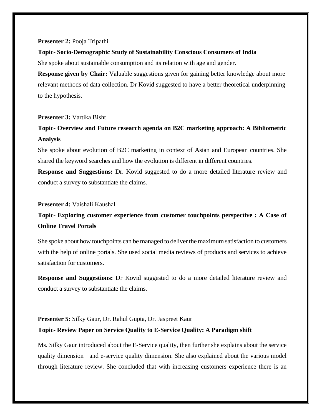#### **Presenter 2:** Pooja Tripathi

#### **Topic- Socio-Demographic Study of Sustainability Conscious Consumers of India**

She spoke about sustainable consumption and its relation with age and gender.

**Response given by Chair:** Valuable suggestions given for gaining better knowledge about more relevant methods of data collection. Dr Kovid suggested to have a better theoretical underpinning to the hypothesis.

#### **Presenter 3:** Vartika Bisht

# **Topic- Overview and Future research agenda on B2C marketing approach: A Bibliometric Analysis**

She spoke about evolution of B2C marketing in context of Asian and European countries. She shared the keyword searches and how the evolution is different in different countries.

**Response and Suggestions:** Dr. Kovid suggested to do a more detailed literature review and conduct a survey to substantiate the claims.

#### **Presenter 4:** Vaishali Kaushal

# **Topic- Exploring customer experience from customer touchpoints perspective : A Case of Online Travel Portals**

She spoke about how touchpoints can be managed to deliver the maximum satisfaction to customers with the help of online portals. She used social media reviews of products and services to achieve satisfaction for customers.

**Response and Suggestions:** Dr Kovid suggested to do a more detailed literature review and conduct a survey to substantiate the claims.

# **Presenter 5:** Silky Gaur, Dr. Rahul Gupta, Dr. Jaspreet Kaur

### **Topic- Review Paper on Service Quality to E-Service Quality: A Paradigm shift**

Ms. Silky Gaur introduced about the E-Service quality, then further she explains about the service quality dimension and e-service quality dimension. She also explained about the various model through literature review. She concluded that with increasing customers experience there is an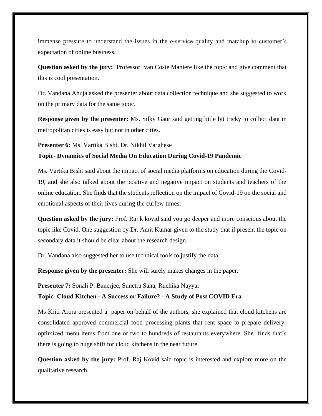immense pressure to understand the issues in the e-service quality and matchup to customer's expectation of online business.

**Question asked by the jury:** Professor Ivan Coste Maniere like the topic and give comment that this is cool presentation.

Dr. Vandana Ahuja asked the presenter about data collection technique and she suggested to work on the primary data for the same topic.

**Response given by the presenter:** Ms. Silky Gaur said getting little bit tricky to collect data in metropolitan cities is easy but not in other cities.

**Presenter 6:** Ms. Vartika Bisht, Dr. Nikhil Varghese

### **Topic- Dynamics of Social Media On Education During Covid-19 Pandemic**

Ms. Vartika Bisht said about the impact of social media platforms on education during the Covid-19, and she also talked about the positive and negative impact on students and teachers of the online education. She finds that the students reflection on the impact of Covid-19 on the social and emotional aspects of their lives during the curfew times.

**Question asked by the jury:** Prof. Raj k kovid said you go deeper and more conscious about the topic like Covid. One suggestion by Dr. Amit Kumar given to the study that if present the topic on secondary data it should be clear about the research design.

Dr. Vandana also suggested her to use technical tools to justify the data.

**Response given by the presenter:** She will surely makes changes in the paper.

**Presenter 7:** Sonali P. Banerjee, Sunetra Saha, Ruchika Nayyar

**Topic- Cloud Kitchen - A Success or Failure? - A Study of Post COVID Era**

Ms Kriti Arora presented a paper on behalf of the authors, she explained that cloud kitchens are consolidated approved commercial food processing plants that rent space to prepare deliveryoptimized menu items from one or two to hundreds of restaurants everywhere. She finds that's there is going to huge shift for cloud kitchens in the near future.

**Question asked by the jury:** Prof. Raj Kovid said topic is interested and explore more on the qualitative research.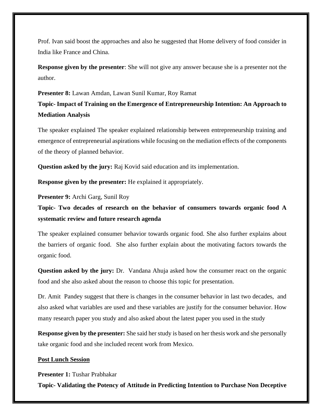Prof. Ivan said boost the approaches and also he suggested that Home delivery of food consider in India like France and China.

**Response given by the presenter**: She will not give any answer because she is a presenter not the author.

**Presenter 8:** Lawan Amdan, Lawan Sunil Kumar, Roy Ramat **Topic- Impact of Training on the Emergence of Entrepreneurship Intention: An Approach to Mediation Analysis**

The speaker explained The speaker explained relationship between entrepreneurship training and emergence of entrepreneurial aspirations while focusing on the mediation effects of the components of the theory of planned behavior.

**Question asked by the jury:** Raj Kovid said education and its implementation.

**Response given by the presenter:** He explained it appropriately.

**Presenter 9:** Archi Garg, Sunil Roy

**Topic- Two decades of research on the behavior of consumers towards organic food A systematic review and future research agenda**

The speaker explained consumer behavior towards organic food. She also further explains about the barriers of organic food. She also further explain about the motivating factors towards the organic food.

**Question asked by the jury:** Dr. Vandana Ahuja asked how the consumer react on the organic food and she also asked about the reason to choose this topic for presentation.

Dr. Amit Pandey suggest that there is changes in the consumer behavior in last two decades, and also asked what variables are used and these variables are justify for the consumer behavior. How many research paper you study and also asked about the latest paper you used in the study

**Response given by the presenter:** She said her study is based on her thesis work and she personally take organic food and she included recent work from Mexico.

#### **Post Lunch Session**

**Presenter 1:** Tushar Prabhakar

**Topic- Validating the Potency of Attitude in Predicting Intention to Purchase Non Deceptive**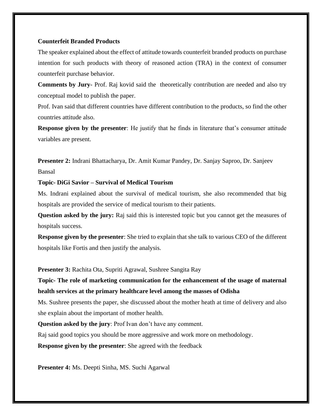#### **Counterfeit Branded Products**

The speaker explained about the effect of attitude towards counterfeit branded products on purchase intention for such products with theory of reasoned action (TRA) in the context of consumer counterfeit purchase behavior.

**Comments by Jury**- Prof. Raj kovid said the theoretically contribution are needed and also try conceptual model to publish the paper.

Prof. Ivan said that different countries have different contribution to the products, so find the other countries attitude also.

**Response given by the presenter**: He justify that he finds in literature that's consumer attitude variables are present.

**Presenter 2:** Indrani Bhattacharya, Dr. Amit Kumar Pandey, Dr. Sanjay Saproo, Dr. Sanjeev Bansal

**Topic- DiGi Savior – Survival of Medical Tourism**

Ms. Indrani explained about the survival of medical tourism, she also recommended that big hospitals are provided the service of medical tourism to their patients.

**Question asked by the jury:** Raj said this is interested topic but you cannot get the measures of hospitals success.

**Response given by the presenter**: She tried to explain that she talk to various CEO of the different hospitals like Fortis and then justify the analysis.

**Presenter 3:** Rachita Ota, Supriti Agrawal, Sushree Sangita Ray

**Topic- The role of marketing communication for the enhancement of the usage of maternal health services at the primary healthcare level among the masses of Odisha**

Ms. Sushree presents the paper, she discussed about the mother heath at time of delivery and also she explain about the important of mother health.

**Question asked by the jury**: Prof Ivan don't have any comment.

Raj said good topics you should be more aggressive and work more on methodology.

**Response given by the presenter**: She agreed with the feedback

**Presenter 4:** Ms. Deepti Sinha, MS. Suchi Agarwal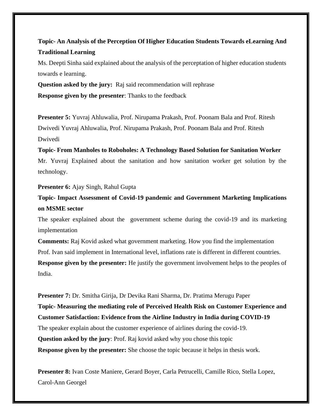**Topic- An Analysis of the Perception Of Higher Education Students Towards eLearning And Traditional Learning**

Ms. Deepti Sinha said explained about the analysis of the perceptation of higher education students towards e learning.

**Question asked by the jury:** Raj said recommendation will rephrase **Response given by the presenter**: Thanks to the feedback

**Presenter 5:** Yuvraj Ahluwalia, Prof. Nirupama Prakash, Prof. Poonam Bala and Prof. Ritesh Dwivedi Yuvraj Ahluwalia, Prof. Nirupama Prakash, Prof. Poonam Bala and Prof. Ritesh Dwivedi

**Topic- From Manholes to Roboholes: A Technology Based Solution for Sanitation Worker** Mr. Yuvraj Explained about the sanitation and how sanitation worker get solution by the technology.

**Presenter 6:** Ajay Singh, Rahul Gupta

**Topic- Impact Assessment of Covid-19 pandemic and Government Marketing Implications on MSME sector**

The speaker explained about the government scheme during the covid-19 and its marketing implementation

**Comments:** Raj Kovid asked what government marketing. How you find the implementation Prof. Ivan said implement in International level, inflations rate is different in different countries. **Response given by the presenter:** He justify the government involvement helps to the peoples of India.

**Presenter 7:** Dr. Smitha Girija, Dr Devika Rani Sharma, Dr. Pratima Merugu Paper **Topic- Measuring the mediating role of Perceived Health Risk on Customer Experience and Customer Satisfaction: Evidence from the Airline Industry in India during COVID-19** The speaker explain about the customer experience of airlines during the covid-19. **Question asked by the jury**: Prof. Raj kovid asked why you chose this topic **Response given by the presenter:** She choose the topic because it helps in thesis work.

**Presenter 8:** Ivan Coste Maniere, Gerard Boyer, Carla Petrucelli, Camille Rico, Stella Lopez, Carol-Ann Georgel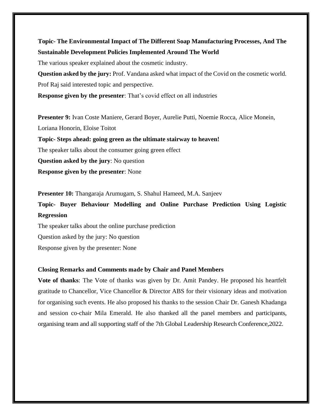# **Topic- The Environmental Impact of The Different Soap Manufacturing Processes, And The Sustainable Development Policies Implemented Around The World**

The various speaker explained about the cosmetic industry.

**Question asked by the jury:** Prof. Vandana asked what impact of the Covid on the cosmetic world. Prof Raj said interested topic and perspective.

**Response given by the presenter**: That's covid effect on all industries

**Presenter 9:** Ivan Coste Maniere, Gerard Boyer, Aurelie Putti, Noemie Rocca, Alice Monein, Loriana Honorin, Eloise Toitot **Topic- Steps ahead: going green as the ultimate stairway to heaven!**  The speaker talks about the consumer going green effect **Question asked by the jury**: No question **Response given by the presenter**: None

**Presenter 10:** Thangaraja Arumugam, S. Shahul Hameed, M.A. Sanjeev

**Topic- Buyer Behaviour Modelling and Online Purchase Prediction Using Logistic Regression**

The speaker talks about the online purchase prediction Question asked by the jury: No question

Response given by the presenter: None

### **Closing Remarks and Comments made by Chair and Panel Members**

**Vote of thanks**: The Vote of thanks was given by Dr. Amit Pandey. He proposed his heartfelt gratitude to Chancellor, Vice Chancellor & Director ABS for their visionary ideas and motivation for organising such events. He also proposed his thanks to the session Chair Dr. Ganesh Khadanga and session co-chair Mila Emerald. He also thanked all the panel members and participants, organising team and all supporting staff of the 7th Global Leadership Research Conference,2022.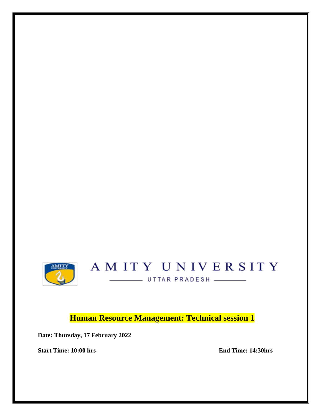

# AMITY UNIVERSITY UTTAR PRADESH

**Human Resource Management: Technical session 1**

**Date: Thursday, 17 February 2022** 

**Start Time: 10:00 hrs** End Time: 14:30hrs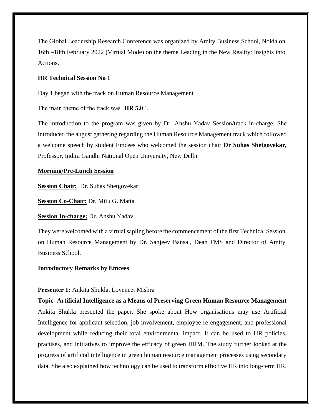The Global Leadership Research Conference was organized by Amity Business School, Noida on 16th –18th February 2022 (Virtual Mode) on the theme Leading in the New Reality: Insights into Actions.

#### **HR Technical Session No 1**

Day 1 began with the track on Human Resource Management

The main theme of the track was '**HR 5.0** '.

The introduction to the program was given by Dr. Anshu Yadav Session/track in-charge. She introduced the august gathering regarding the Human Resource Management track which followed a welcome speech by student Emcees who welcomed the session chair **Dr Suhas Shetgovekar,**  Professor, Indira Gandhi National Open University, New Delhi

### **Morning/Pre-Lunch Session**

**Session Chair:** Dr. Suhas Shetgovekar

**Session Co-Chair:** Dr. Mitu G. Matta

**Session In-charge:** Dr. Anshu Yadav

They were welcomed with a virtual sapling before the commencement of the first Technical Session on Human Resource Management by Dr. Sanjeev Bansal, Dean FMS and Director of Amity Business School.

#### **Introductory Remarks by Emcees**

#### **Presenter 1:** Ankita Shukla, Loveneet Mishra

**Topic- Artificial Intelligence as a Means of Preserving Green Human Resource Management**  Ankita Shukla presented the paper. She spoke about How organisations may use Artificial Intelligence for applicant selection, job involvement, employee re-engagement, and professional development while reducing their total environmental impact. It can be used to HR policies, practises, and initiatives to improve the efficacy of green HRM. The study further looked at the progress of artificial intelligence in green human resource management processes using secondary data. She also explained how technology can be used to transform effective HR into long-term HR.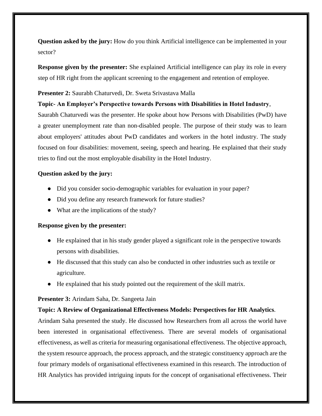**Question asked by the jury:** How do you think Artificial intelligence can be implemented in your sector?

**Response given by the presenter:** She explained Artificial intelligence can play its role in every step of HR right from the applicant screening to the engagement and retention of employee.

### **Presenter 2:** Saurabh Chaturvedi, Dr. Sweta Srivastava Malla

### **Topic- An Employer's Perspective towards Persons with Disabilities in Hotel Industry**,

Saurabh Chaturvedi was the presenter. He spoke about how Persons with Disabilities (PwD) have a greater unemployment rate than non-disabled people. The purpose of their study was to learn about employers' attitudes about PwD candidates and workers in the hotel industry. The study focused on four disabilities: movement, seeing, speech and hearing. He explained that their study tries to find out the most employable disability in the Hotel Industry.

### **Question asked by the jury:**

- Did you consider socio-demographic variables for evaluation in your paper?
- Did you define any research framework for future studies?
- What are the implications of the study?

#### **Response given by the presenter:**

- He explained that in his study gender played a significant role in the perspective towards persons with disabilities.
- He discussed that this study can also be conducted in other industries such as textile or agriculture.
- He explained that his study pointed out the requirement of the skill matrix.

#### **Presenter 3:** Arindam Saha, Dr. Sangeeta Jain

#### **Topic: A Review of Organizational Effectiveness Models: Perspectives for HR Analytics**.

Arindam Saha presented the study. He discussed how Researchers from all across the world have been interested in organisational effectiveness. There are several models of organisational effectiveness, as well as criteria for measuring organisational effectiveness. The objective approach, the system resource approach, the process approach, and the strategic constituency approach are the four primary models of organisational effectiveness examined in this research. The introduction of HR Analytics has provided intriguing inputs for the concept of organisational effectiveness. Their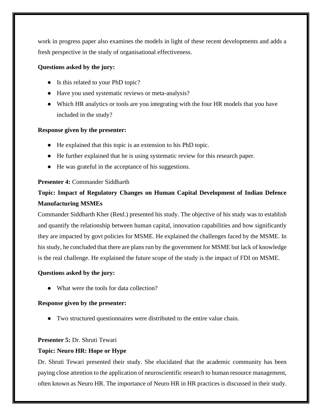work in progress paper also examines the models in light of these recent developments and adds a fresh perspective in the study of organisational effectiveness.

# **Questions asked by the jury:**

- Is this related to your PhD topic?
- Have you used systematic reviews or meta-analysis?
- Which HR analytics or tools are you integrating with the four HR models that you have included in the study?

# **Response given by the presenter:**

- He explained that this topic is an extension to his PhD topic.
- He further explained that he is using systematic review for this research paper.
- He was grateful in the acceptance of his suggestions.

# **Presenter 4:** Commander Siddharth

# **Topic: Impact of Regulatory Changes on Human Capital Development of Indian Defence Manufacturing MSMEs**

Commander Siddharth Kher (Retd.) presented his study. The objective of his study was to establish and quantify the relationship between human capital, innovation capabilities and how significantly they are impacted by govt policies for MSME. He explained the challenges faced by the MSME. In his study, he concluded that there are plans run by the government for MSME but lack of knowledge is the real challenge. He explained the future scope of the study is the impact of FDI on MSME.

### **Questions asked by the jury:**

What were the tools for data collection?

### **Response given by the presenter:**

● Two structured questionnaires were distributed to the entire value chain.

### **Presenter 5:** Dr. Shruti Tewari

### **Topic: Neuro HR: Hope or Hype**

Dr. Shruti Tewari presented their study. She elucidated that the academic community has been paying close attention to the application of neuroscientific research to human resource management, often known as Neuro HR. The importance of Neuro HR in HR practices is discussed in their study.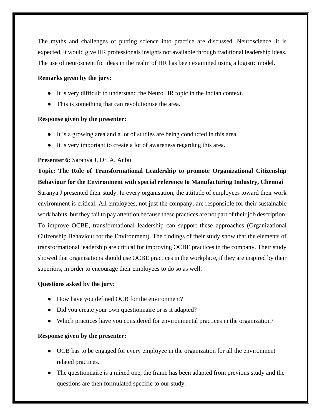The myths and challenges of putting science into practice are discussed. Neuroscience, it is expected, it would give HR professionals insights not available through traditional leadership ideas. The use of neuroscientific ideas in the realm of HR has been examined using a logistic model.

# **Remarks given by the jury:**

- It is very difficult to understand the Neuro HR topic in the Indian context.
- This is something that can revolutionise the area.

# **Response given by the presenter:**

- It is a growing area and a lot of studies are being conducted in this area.
- It is very important to create a lot of awareness regarding this area.

# **Presenter 6:** Saranya J, Dr. A. Anbu

**Topic: The Role of Transformational Leadership to promote Organizational Citizenship Behaviour for the Environment with special reference to Manufacturing Industry, Chennai**  Saranya J presented their study. In every organisation, the attitude of employees toward their work environment is critical. All employees, not just the company, are responsible for their sustainable work habits, but they fail to pay attention because these practices are not part of their job description. To improve OCBE, transformational leadership can support these approaches (Organizational Citizenship Behaviour for the Environment). The findings of their study show that the elements of transformational leadership are critical for improving OCBE practices in the company. Their study showed that organisations should use OCBE practices in the workplace, if they are inspired by their superiors, in order to encourage their employees to do so as well.

# **Questions asked by the jury:**

- How have you defined OCB for the environment?
- Did you create your own questionnaire or is it adapted?
- Which practices have you considered for environmental practices in the organization?

# **Response given by the presenter:**

- OCB has to be engaged for every employee in the organization for all the environment related practices.
- The questionnaire is a mixed one, the frame has been adapted from previous study and the questions are then formulated specific to our study.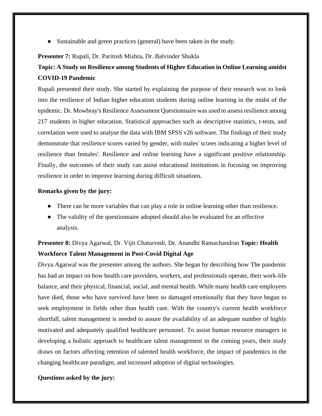Sustainable and green practices (general) have been taken in the study.

# **Presenter 7:** Rupali, Dr. Paritosh Mishra, Dr. Balvinder Shukla

# **Topic: A Study on Resilience among Students of Higher Education in Online Learning amidst COVID-19 Pandemic**

Rupali presented their study. She started by explaining the purpose of their research was to look into the resilience of Indian higher education students during online learning in the midst of the epidemic. Dr. Mowbray's Resilience Assessment Questionnaire was used to assess resilience among 217 students in higher education. Statistical approaches such as descriptive statistics, t-tests, and correlation were used to analyse the data with IBM SPSS v26 software. The findings of their study demonstrate that resilience scores varied by gender, with males' scores indicating a higher level of resilience than females'. Resilience and online learning have a significant positive relationship. Finally, the outcomes of their study can assist educational institutions in focusing on improving resilience in order to improve learning during difficult situations.

# **Remarks given by the jury:**

- There can be more variables that can play a role in online learning other than resilience.
- The validity of the questionnaire adopted should also be evaluated for an effective analysis.

# **Presenter 8:** Divya Agarwal, Dr. Vijit Chaturvedi, Dr. Anandhi Ramachandran **Topic: Health Workforce Talent Management in Post-Covid Digital Age**

Divya Agarwal was the presenter among the authors. She began by describing how The pandemic has had an impact on how health care providers, workers, and professionals operate, their work-life balance, and their physical, financial, social, and mental health. While many health care employees have died, those who have survived have been so damaged emotionally that they have begun to seek employment in fields other than health care. With the country's current health workforce shortfall, talent management is needed to assure the availability of an adequate number of highly motivated and adequately qualified healthcare personnel. To assist human resource managers in developing a holistic approach to healthcare talent management in the coming years, their study draws on factors affecting retention of talented health workforce, the impact of pandemics in the changing healthcare paradigm, and increased adoption of digital technologies.

# **Questions asked by the jury:**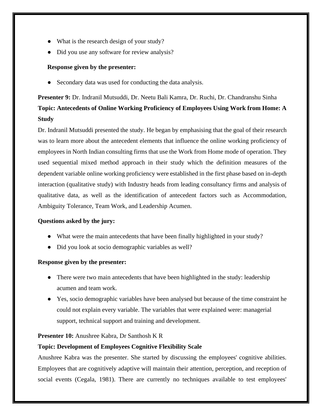- What is the research design of your study?
- Did you use any software for review analysis?

### **Response given by the presenter:**

• Secondary data was used for conducting the data analysis.

# **Presenter 9:** Dr. Indranil Mutsuddi, Dr. Neetu Bali Kamra, Dr. Ruchi, Dr. Chandranshu Sinha **Topic: Antecedents of Online Working Proficiency of Employees Using Work from Home: A Study**

Dr. Indranil Mutsuddi presented the study. He began by emphasising that the goal of their research was to learn more about the antecedent elements that influence the online working proficiency of employees in North Indian consulting firms that use the Work from Home mode of operation. They used sequential mixed method approach in their study which the definition measures of the dependent variable online working proficiency were established in the first phase based on in-depth interaction (qualitative study) with Industry heads from leading consultancy firms and analysis of qualitative data, as well as the identification of antecedent factors such as Accommodation, Ambiguity Tolerance, Team Work, and Leadership Acumen.

### **Questions asked by the jury:**

- What were the main antecedents that have been finally highlighted in your study?
- Did you look at socio demographic variables as well?

# **Response given by the presenter:**

- There were two main antecedents that have been highlighted in the study: leadership acumen and team work.
- Yes, socio demographic variables have been analysed but because of the time constraint he could not explain every variable. The variables that were explained were: managerial support, technical support and training and development.

# **Presenter 10:** Anushree Kabra, Dr Santhosh K R

# **Topic: Development of Employees Cognitive Flexibility Scale**

Anushree Kabra was the presenter. She started by discussing the employees' cognitive abilities. Employees that are cognitively adaptive will maintain their attention, perception, and reception of social events (Cegala, 1981). There are currently no techniques available to test employees'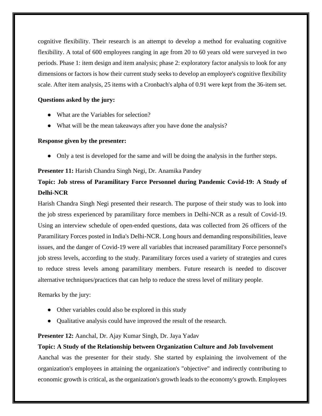cognitive flexibility. Their research is an attempt to develop a method for evaluating cognitive flexibility. A total of 600 employees ranging in age from 20 to 60 years old were surveyed in two periods. Phase 1: item design and item analysis; phase 2: exploratory factor analysis to look for any dimensions or factors is how their current study seeks to develop an employee's cognitive flexibility scale. After item analysis, 25 items with a Cronbach's alpha of 0.91 were kept from the 36-item set.

# **Questions asked by the jury:**

- What are the Variables for selection?
- What will be the mean takeaways after you have done the analysis?

### **Response given by the presenter:**

• Only a test is developed for the same and will be doing the analysis in the further steps.

### **Presenter 11:** Harish Chandra Singh Negi, Dr. Anamika Pandey

# **Topic: Job stress of Paramilitary Force Personnel during Pandemic Covid-19: A Study of Delhi-NCR**

Harish Chandra Singh Negi presented their research. The purpose of their study was to look into the job stress experienced by paramilitary force members in Delhi-NCR as a result of Covid-19. Using an interview schedule of open-ended questions, data was collected from 26 officers of the Paramilitary Forces posted in India's Delhi-NCR. Long hours and demanding responsibilities, leave issues, and the danger of Covid-19 were all variables that increased paramilitary Force personnel's job stress levels, according to the study. Paramilitary forces used a variety of strategies and cures to reduce stress levels among paramilitary members. Future research is needed to discover alternative techniques/practices that can help to reduce the stress level of military people.

Remarks by the jury:

- Other variables could also be explored in this study
- Qualitative analysis could have improved the result of the research.

### **Presenter 12:** Aanchal, Dr. Ajay Kumar Singh, Dr. Jaya Yadav

### **Topic: A Study of the Relationship between Organization Culture and Job Involvement**

Aanchal was the presenter for their study. She started by explaining the involvement of the organization's employees in attaining the organization's "objective" and indirectly contributing to economic growth is critical, as the organization's growth leads to the economy's growth. Employees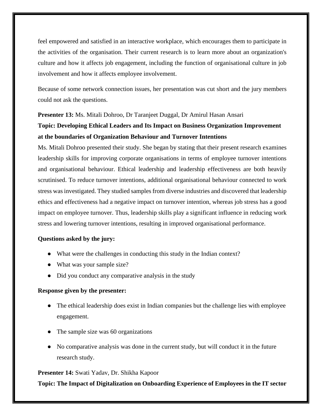feel empowered and satisfied in an interactive workplace, which encourages them to participate in the activities of the organisation. Their current research is to learn more about an organization's culture and how it affects job engagement, including the function of organisational culture in job involvement and how it affects employee involvement.

Because of some network connection issues, her presentation was cut short and the jury members could not ask the questions.

#### **Presenter 13:** Ms. Mitali Dohroo, Dr Taranjeet Duggal, Dr Amirul Hasan Ansari

# **Topic: Developing Ethical Leaders and Its Impact on Business Organization Improvement at the boundaries of Organization Behaviour and Turnover Intentions**

Ms. Mitali Dohroo presented their study. She began by stating that their present research examines leadership skills for improving corporate organisations in terms of employee turnover intentions and organisational behaviour. Ethical leadership and leadership effectiveness are both heavily scrutinised. To reduce turnover intentions, additional organisational behaviour connected to work stress was investigated. They studied samples from diverse industries and discovered that leadership ethics and effectiveness had a negative impact on turnover intention, whereas job stress has a good impact on employee turnover. Thus, leadership skills play a significant influence in reducing work stress and lowering turnover intentions, resulting in improved organisational performance.

#### **Questions asked by the jury:**

- What were the challenges in conducting this study in the Indian context?
- What was your sample size?
- Did you conduct any comparative analysis in the study

#### **Response given by the presenter:**

- The ethical leadership does exist in Indian companies but the challenge lies with employee engagement.
- The sample size was 60 organizations
- No comparative analysis was done in the current study, but will conduct it in the future research study.

#### **Presenter 14:** Swati Yadav, Dr. Shikha Kapoor

**Topic: The Impact of Digitalization on Onboarding Experience of Employees in the IT sector**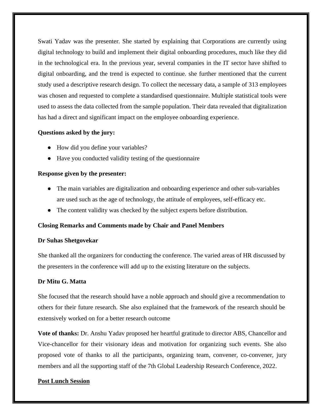Swati Yadav was the presenter. She started by explaining that Corporations are currently using digital technology to build and implement their digital onboarding procedures, much like they did in the technological era. In the previous year, several companies in the IT sector have shifted to digital onboarding, and the trend is expected to continue. she further mentioned that the current study used a descriptive research design. To collect the necessary data, a sample of 313 employees was chosen and requested to complete a standardised questionnaire. Multiple statistical tools were used to assess the data collected from the sample population. Their data revealed that digitalization has had a direct and significant impact on the employee onboarding experience.

#### **Questions asked by the jury:**

- How did you define your variables?
- Have you conducted validity testing of the questionnaire

#### **Response given by the presenter:**

- The main variables are digitalization and onboarding experience and other sub-variables are used such as the age of technology, the attitude of employees, self-efficacy etc.
- The content validity was checked by the subject experts before distribution.

#### **Closing Remarks and Comments made by Chair and Panel Members**

#### **Dr Suhas Shetgovekar**

She thanked all the organizers for conducting the conference. The varied areas of HR discussed by the presenters in the conference will add up to the existing literature on the subjects.

#### **Dr Mitu G. Matta**

She focused that the research should have a noble approach and should give a recommendation to others for their future research. She also explained that the framework of the research should be extensively worked on for a better research outcome

**Vote of thanks:** Dr. Anshu Yadav proposed her heartful gratitude to director ABS, Chancellor and Vice-chancellor for their visionary ideas and motivation for organizing such events. She also proposed vote of thanks to all the participants, organizing team, convener, co-convener, jury members and all the supporting staff of the 7th Global Leadership Research Conference, 2022.

#### **Post Lunch Session**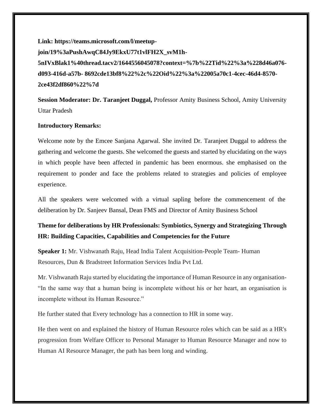**Link: https://teams.microsoft.com/l/meetupjoin/19%3aPushAwqC84Jy9EkxU77t1vlFH2X\_svM1h-5nIVxBlak1%40thread.tacv2/1644556045078?context=%7b%22Tid%22%3a%228d46a076 d093-416d-a57b- 8692cde13bf8%22%2c%22Oid%22%3a%22005a70c1-4cec-46d4-8570- 2ce43f2df860%22%7d** 

**Session Moderator: Dr. Taranjeet Duggal,** Professor Amity Business School, Amity University Uttar Pradesh

#### **Introductory Remarks:**

Welcome note by the Emcee Sanjana Agarwal. She invited Dr. Taranjeet Duggal to address the gathering and welcome the guests. She welcomed the guests and started by elucidating on the ways in which people have been affected in pandemic has been enormous. she emphasised on the requirement to ponder and face the problems related to strategies and policies of employee experience.

All the speakers were welcomed with a virtual sapling before the commencement of the deliberation by Dr. Sanjeev Bansal, Dean FMS and Director of Amity Business School

# **Theme for deliberations by HR Professionals: Symbiotics, Synergy and Strategizing Through HR: Building Capacities, Capabilities and Competencies for the Future**

**Speaker 1:** Mr. Vishwanath Raju, Head India Talent Acquisition-People Team- Human Resources, Dun & Bradstreet Information Services India Pvt Ltd.

Mr. Vishwanath Raju started by elucidating the importance of Human Resource in any organisation- "In the same way that a human being is incomplete without his or her heart, an organisation is incomplete without its Human Resource."

He further stated that Every technology has a connection to HR in some way.

He then went on and explained the history of Human Resource roles which can be said as a HR's progression from Welfare Officer to Personal Manager to Human Resource Manager and now to Human AI Resource Manager, the path has been long and winding.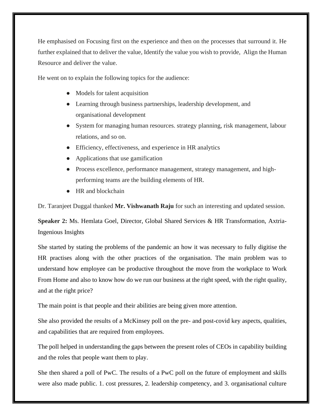He emphasised on Focusing first on the experience and then on the processes that surround it. He further explained that to deliver the value, Identify the value you wish to provide, Align the Human Resource and deliver the value.

He went on to explain the following topics for the audience:

- Models for talent acquisition
- Learning through business partnerships, leadership development, and organisational development
- System for managing human resources. strategy planning, risk management, labour relations, and so on.
- Efficiency, effectiveness, and experience in HR analytics
- Applications that use gamification
- Process excellence, performance management, strategy management, and highperforming teams are the building elements of HR.
- HR and blockchain

Dr. Taranjeet Duggal thanked **Mr. Vishwanath Raju** for such an interesting and updated session.

**Speaker 2:** Ms. Hemlata Goel, Director, Global Shared Services & HR Transformation, Axtria-Ingenious Insights

She started by stating the problems of the pandemic an how it was necessary to fully digitise the HR practises along with the other practices of the organisation. The main problem was to understand how employee can be productive throughout the move from the workplace to Work From Home and also to know how do we run our business at the right speed, with the right quality, and at the right price?

The main point is that people and their abilities are being given more attention.

She also provided the results of a McKinsey poll on the pre- and post-covid key aspects, qualities, and capabilities that are required from employees.

The poll helped in understanding the gaps between the present roles of CEOs in capability building and the roles that people want them to play.

She then shared a poll of PwC. The results of a PwC poll on the future of employment and skills were also made public. 1. cost pressures, 2. leadership competency, and 3. organisational culture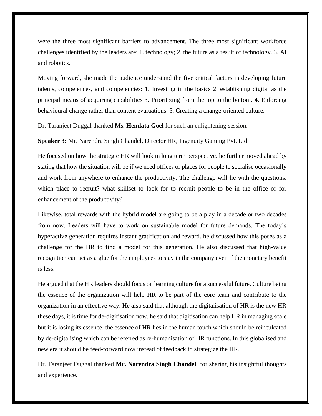were the three most significant barriers to advancement. The three most significant workforce challenges identified by the leaders are: 1. technology; 2. the future as a result of technology. 3. AI and robotics.

Moving forward, she made the audience understand the five critical factors in developing future talents, competences, and competencies: 1. Investing in the basics 2. establishing digital as the principal means of acquiring capabilities 3. Prioritizing from the top to the bottom. 4. Enforcing behavioural change rather than content evaluations. 5. Creating a change-oriented culture.

Dr. Taranjeet Duggal thanked **Ms. Hemlata Goel** for such an enlightening session.

**Speaker 3:** Mr. Narendra Singh Chandel, Director HR, Ingenuity Gaming Pvt. Ltd.

He focused on how the strategic HR will look in long term perspective. he further moved ahead by stating that how the situation will be if we need offices or places for people to socialise occasionally and work from anywhere to enhance the productivity. The challenge will lie with the questions: which place to recruit? what skillset to look for to recruit people to be in the office or for enhancement of the productivity?

Likewise, total rewards with the hybrid model are going to be a play in a decade or two decades from now. Leaders will have to work on sustainable model for future demands. The today's hyperactive generation requires instant gratification and reward. he discussed how this poses as a challenge for the HR to find a model for this generation. He also discussed that high-value recognition can act as a glue for the employees to stay in the company even if the monetary benefit is less.

He argued that the HR leaders should focus on learning culture for a successful future. Culture being the essence of the organization will help HR to be part of the core team and contribute to the organization in an effective way. He also said that although the digitalisation of HR is the new HR these days, it is time for de-digitisation now. he said that digitisation can help HR in managing scale but it is losing its essence. the essence of HR lies in the human touch which should be reinculcated by de-digitalising which can be referred as re-humanisation of HR functions. In this globalised and new era it should be feed-forward now instead of feedback to strategize the HR.

Dr. Taranjeet Duggal thanked **Mr. Narendra Singh Chandel** for sharing his insightful thoughts and experience.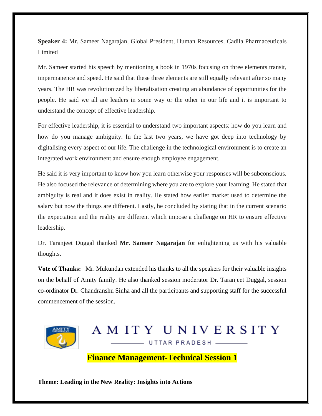**Speaker 4:** Mr. Sameer Nagarajan, Global President, Human Resources, Cadila Pharmaceuticals Limited

Mr. Sameer started his speech by mentioning a book in 1970s focusing on three elements transit, impermanence and speed. He said that these three elements are still equally relevant after so many years. The HR was revolutionized by liberalisation creating an abundance of opportunities for the people. He said we all are leaders in some way or the other in our life and it is important to understand the concept of effective leadership.

For effective leadership, it is essential to understand two important aspects: how do you learn and how do you manage ambiguity. In the last two years, we have got deep into technology by digitalising every aspect of our life. The challenge in the technological environment is to create an integrated work environment and ensure enough employee engagement.

He said it is very important to know how you learn otherwise your responses will be subconscious. He also focused the relevance of determining where you are to explore your learning. He stated that ambiguity is real and it does exist in reality. He stated how earlier market used to determine the salary but now the things are different. Lastly, he concluded by stating that in the current scenario the expectation and the reality are different which impose a challenge on HR to ensure effective leadership.

Dr. Taranjeet Duggal thanked **Mr. Sameer Nagarajan** for enlightening us with his valuable thoughts.

**Vote of Thanks:** Mr. Mukundan extended his thanks to all the speakers for their valuable insights on the behalf of Amity family. He also thanked session moderator Dr. Taranjeet Duggal, session co-ordinator Dr. Chandranshu Sinha and all the participants and supporting staff for the successful commencement of the session.



# AMITY UNIVERSITY UTTAR PRADESH

**Finance Management-Technical Session 1**

**Theme: Leading in the New Reality: Insights into Actions**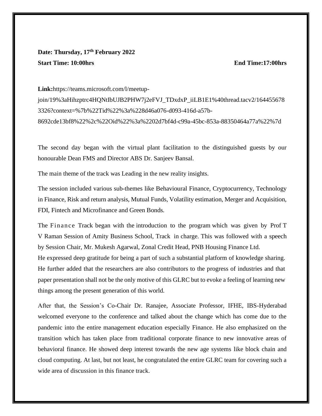# **Date: Thursday, 17th February 2022 Start Time: 10:00hrs End Time:17:00hrs**

**Link:**[https://teams.microsoft.com/l/meetup-](https://teams.microsoft.com/l/meetup-join/19%3aHihzptrc4HQNtIbUJB2PHW7j2eFVJ_TDxdxP_iiLB1E1%40thread.tacv2/1644556783326?context=%7b%22Tid%22%3a%228d46a076-d093-416d-a57b-8692cde13bf8%22%2c%22Oid%22%3a%2202d7bf4d-c99a-45bc-853a-88350464a77a%22%7d)

[join/19%3aHihzptrc4HQNtIbUJB2PHW7j2eFVJ\\_TDxdxP\\_iiLB1E1%40thread.tacv2/164455678](https://teams.microsoft.com/l/meetup-join/19%3aHihzptrc4HQNtIbUJB2PHW7j2eFVJ_TDxdxP_iiLB1E1%40thread.tacv2/1644556783326?context=%7b%22Tid%22%3a%228d46a076-d093-416d-a57b-8692cde13bf8%22%2c%22Oid%22%3a%2202d7bf4d-c99a-45bc-853a-88350464a77a%22%7d) [3326?context=%7b%22Tid%22%3a%228d46a076-d093-416d-a57b-](https://teams.microsoft.com/l/meetup-join/19%3aHihzptrc4HQNtIbUJB2PHW7j2eFVJ_TDxdxP_iiLB1E1%40thread.tacv2/1644556783326?context=%7b%22Tid%22%3a%228d46a076-d093-416d-a57b-8692cde13bf8%22%2c%22Oid%22%3a%2202d7bf4d-c99a-45bc-853a-88350464a77a%22%7d)[8692cde13bf8%22%2c%22Oid%22%3a%2202d7bf4d-c99a-45bc-853a-88350464a77a%22%7d](https://teams.microsoft.com/l/meetup-join/19%3aHihzptrc4HQNtIbUJB2PHW7j2eFVJ_TDxdxP_iiLB1E1%40thread.tacv2/1644556783326?context=%7b%22Tid%22%3a%228d46a076-d093-416d-a57b-8692cde13bf8%22%2c%22Oid%22%3a%2202d7bf4d-c99a-45bc-853a-88350464a77a%22%7d)

The second day began with the virtual plant facilitation to the distinguished guests by our honourable Dean FMS and Director ABS Dr. Sanjeev Bansal.

The main theme of the track was Leading in the new reality insights.

The session included various sub-themes like Behavioural Finance, Cryptocurrency, Technology in Finance, Risk and return analysis, Mutual Funds, Volatility estimation, Merger and Acquisition, FDI, Fintech and Microfinance and Green Bonds.

The Finance Track began with the introduction to the program which was given by Prof T V Raman Session of Amity Business School, Track in charge. This was followed with a speech by Session Chair, Mr. Mukesh Agarwal, Zonal Credit Head, PNB Housing Finance Ltd. He expressed deep gratitude for being a part of such a substantial platform of knowledge sharing. He further added that the researchers are also contributors to the progress of industries and that paper presentation shall not be the only motive of this GLRC but to evoke a feeling of learning new things among the present generation of this world.

After that, the Session's Co-Chair Dr. Ranajee, Associate Professor, IFHE, IBS-Hyderabad welcomed everyone to the conference and talked about the change which has come due to the pandemic into the entire management education especially Finance. He also emphasized on the transition which has taken place from traditional corporate finance to new innovative areas of behavioral finance. He showed deep interest towards the new age systems like block chain and cloud computing. At last, but not least, he congratulated the entire GLRC team for covering such a wide area of discussion in this finance track.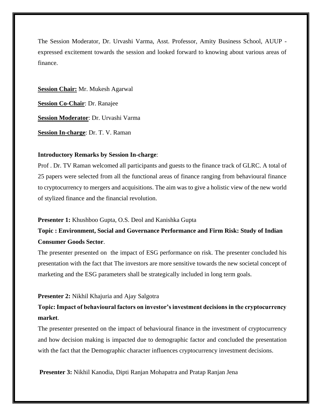The Session Moderator, Dr. Urvashi Varma, Asst. Professor, Amity Business School, AUUP expressed excitement towards the session and looked forward to knowing about various areas of finance.

**Session Chair:** Mr. Mukesh Agarwal **Session Co-Chair**: Dr. Ranajee **Session Moderator**: Dr. Urvashi Varma **Session In-charge**: Dr. T. V. Raman

#### **Introductory Remarks by Session In-charge**:

Prof . Dr. TV Raman welcomed all participants and guests to the finance track of GLRC. A total of 25 papers were selected from all the functional areas of finance ranging from behavioural finance to cryptocurrency to mergers and acquisitions. The aim was to give a holistic view of the new world of stylized finance and the financial revolution.

#### **Presenter 1:** Khushboo Gupta, O.S. Deol and Kanishka Gupta

# **Topic : Environment, Social and Governance Performance and Firm Risk: Study of Indian Consumer Goods Sector**.

The presenter presented on the impact of ESG performance on risk. The presenter concluded his presentation with the fact that The investors are more sensitive towards the new societal concept of marketing and the ESG parameters shall be strategically included in long term goals.

#### **Presenter 2:** Nikhil Khajuria and Ajay Salgotra

### **Topic: Impact of behavioural factors on investor's investment decisions in the cryptocurrency market**.

The presenter presented on the impact of behavioural finance in the investment of cryptocurrency and how decision making is impacted due to demographic factor and concluded the presentation with the fact that the Demographic character influences cryptocurrency investment decisions.

**Presenter 3:** Nikhil Kanodia, Dipti Ranjan Mohapatra and Pratap Ranjan Jena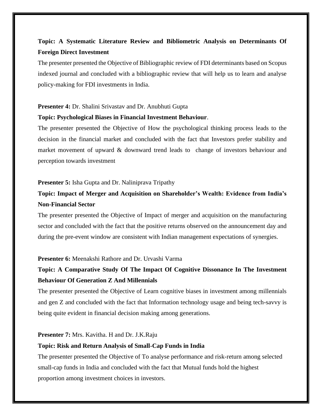# **Topic: A Systematic Literature Review and Bibliometric Analysis on Determinants Of Foreign Direct Investment**

The presenter presented the Objective of Bibliographic review of FDI determinants based on Scopus indexed journal and concluded with a bibliographic review that will help us to learn and analyse policy-making for FDI investments in India.

#### **Presenter 4:** Dr. Shalini Srivastav and Dr. Anubhuti Gupta

#### **Topic: Psychological Biases in Financial Investment Behaviour**.

The presenter presented the Objective of How the psychological thinking process leads to the decision in the financial market and concluded with the fact that Investors prefer stability and market movement of upward & downward trend leads to change of investors behaviour and perception towards investment

#### **Presenter 5:** Isha Gupta and Dr. Naliniprava Tripathy

# **Topic: Impact of Merger and Acquisition on Shareholder's Wealth: Evidence from India's Non-Financial Sector**

The presenter presented the Objective of Impact of merger and acquisition on the manufacturing sector and concluded with the fact that the positive returns observed on the announcement day and during the pre-event window are consistent with Indian management expectations of synergies.

#### **Presenter 6:** Meenakshi Rathore and Dr. Urvashi Varma

# **Topic: A Comparative Study Of The Impact Of Cognitive Dissonance In The Investment Behaviour Of Generation Z And Millennials**

The presenter presented the Objective of Learn cognitive biases in investment among millennials and gen Z and concluded with the fact that Information technology usage and being tech-savvy is being quite evident in financial decision making among generations.

#### **Presenter 7:** Mrs. Kavitha. H and Dr. J.K.Raju

#### **Topic: Risk and Return Analysis of Small-Cap Funds in India**

The presenter presented the Objective of To analyse performance and risk-return among selected small-cap funds in India and concluded with the fact that Mutual funds hold the highest proportion among investment choices in investors.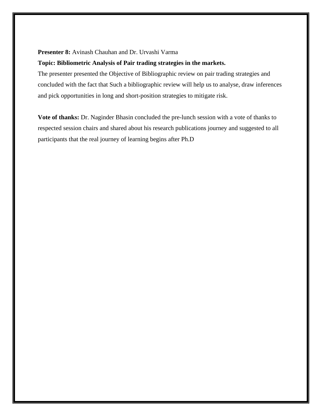#### **Presenter 8:** Avinash Chauhan and Dr. Urvashi Varma

#### **Topic: Bibliometric Analysis of Pair trading strategies in the markets.**

The presenter presented the Objective of Bibliographic review on pair trading strategies and concluded with the fact that Such a bibliographic review will help us to analyse, draw inferences and pick opportunities in long and short-position strategies to mitigate risk.

**Vote of thanks:** Dr. Naginder Bhasin concluded the pre-lunch session with a vote of thanks to respected session chairs and shared about his research publications journey and suggested to all participants that the real journey of learning begins after Ph.D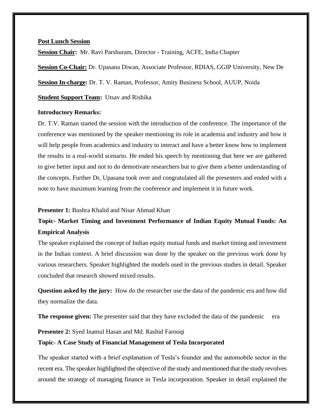#### **Post Lunch Session**

**Session Chair:** Mr. Ravi Parshuram, Director - Training, ACFE, India Chapter

**Session Co-Chair:** Dr. Upasana Diwan, Associate Professor, RDIAS, GGIP University, New De

**Session In-charge:** Dr. T. V. Raman, Professor, Amity Business School, AUUP, Noida

**Student Support Team:** Utsav and Rishika

#### **Introductory Remarks:**

Dr. T.V. Raman started the session with the introduction of the conference. The importance of the conference was mentioned by the speaker mentioning its role in academia and industry and how it will help people from academics and industry to interact and have a better know how to implement the results in a real-world scenario. He ended his speech by mentioning that here we are gathered to give better input and not to do demotivate researchers but to give them a better understanding of the concepts. Further Dr, Upasana took over and congratulated all the presenters and ended with a note to have maximum learning from the conference and implement it in future work.

#### **Presenter 1:** Bushra Khalid and Nisar Ahmad Khan

# **Topic- Market Timing and Investment Performance of Indian Equity Mutual Funds: An Empirical Analysis**

The speaker explained the concept of Indian equity mutual funds and market timing and investment in the Indian context. A brief discussion was done by the speaker on the previous work done by various researchers. Speaker highlighted the models used in the previous studies in detail. Speaker concluded that research showed mixed results.

**Question asked by the jury:** How do the researcher use the data of the pandemic era and how did they normalize the data.

**The response given:** The presenter said that they have excluded the data of the pandemic era

#### **Presenter 2:** Syed Inamul Hasan and Md. Rashid Farooqi

#### **Topic- A Case Study of Financial Management of Tesla Incorporated**

The speaker started with a brief explanation of Tesla's founder and the automobile sector in the recent era. The speaker highlighted the objective of the study and mentioned that the study revolves around the strategy of managing finance in Tesla incorporation. Speaker in detail explained the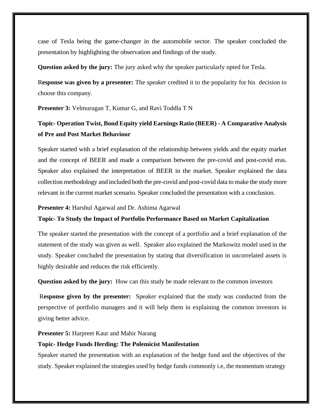case of Tesla being the game-changer in the automobile sector. The speaker concluded the presentation by highlighting the observation and findings of the study.

**Question asked by the jury:** The jury asked why the speaker particularly opted for Tesla.

R**esponse was given by a presenter:** The speaker credited it to the popularity for his decision to choose this company.

**Presenter 3:** Velmurugan T, Kumar G, and Ravi Toddla T N

# **Topic- Operation Twist, Bond Equity yield Earnings Ratio (BEER) - A Comparative Analysis of Pre and Post Market Behaviour**

Speaker started with a brief explanation of the relationship between yields and the equity market and the concept of BEER and made a comparison between the pre-covid and post-covid eras. Speaker also explained the interpretation of BEER in the market. Speaker explained the data collection methodology and included both the pre-covid and post-covid data to make the study more relevant in the current market scenario. Speaker concluded the presentation with a conclusion.

#### **Presenter 4:** Harshul Agarwal and Dr. Ashima Agarwal

#### **Topic**- **To Study the Impact of Portfolio Performance Based on Market Capitalization**

The speaker started the presentation with the concept of a portfolio and a brief explanation of the statement of the study was given as well. Speaker also explained the Markowitz model used in the study. Speaker concluded the presentation by stating that diversification in uncorrelated assets is highly desirable and reduces the risk efficiently.

**Question asked by the jury:** How can this study be made relevant to the common investors

R**esponse given by the presenter:** Speaker explained that the study was conducted from the perspective of portfolio managers and it will help them in explaining the common investors in giving better advice.

#### **Presenter 5:** Harpreet Kaur and Mahir Narang

#### **Topic- Hedge Funds Herding: The Polemicist Manifestation**

Speaker started the presentation with an explanation of the hedge fund and the objectives of the study. Speaker explained the strategies used by hedge funds commonly i.e, the momentum strategy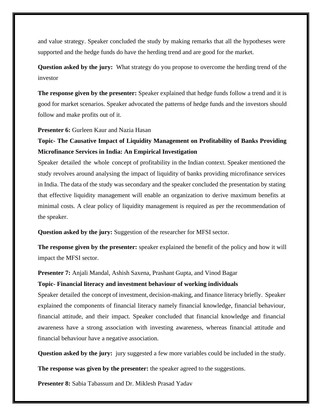and value strategy. Speaker concluded the study by making remarks that all the hypotheses were supported and the hedge funds do have the herding trend and are good for the market.

**Question asked by the jury:** What strategy do you propose to overcome the herding trend of the investor

**The response given by the presenter:** Speaker explained that hedge funds follow a trend and it is good for market scenarios. Speaker advocated the patterns of hedge funds and the investors should follow and make profits out of it.

**Presenter 6:** Gurleen Kaur and Nazia Hasan

# **Topic- The Causative Impact of Liquidity Management on Profitability of Banks Providing Microfinance Services in India: An Empirical Investigation**

Speaker detailed the whole concept of profitability in the Indian context. Speaker mentioned the study revolves around analysing the impact of liquidity of banks providing microfinance services in India. The data of the study was secondary and the speaker concluded the presentation by stating that effective liquidity management will enable an organization to derive maximum benefits at minimal costs. A clear policy of liquidity management is required as per the recommendation of the speaker.

**Question asked by the jury:** Suggestion of the researcher for MFSI sector.

**The response given by the presenter:** speaker explained the benefit of the policy and how it will impact the MFSI sector.

**Presenter 7:** Anjali Mandal, Ashish Saxena, Prashant Gupta, and Vinod Bagar

#### **Topic- Financial literacy and investment behaviour of working individuals**

Speaker detailed the concept of investment, decision-making, and finance literacy briefly. Speaker explained the components of financial literacy namely financial knowledge, financial behaviour, financial attitude, and their impact. Speaker concluded that financial knowledge and financial awareness have a strong association with investing awareness, whereas financial attitude and financial behaviour have a negative association.

**Question asked by the jury:** jury suggested a few more variables could be included in the study.

**The response was given by the presenter:** the speaker agreed to the suggestions.

**Presenter 8:** Sabia Tabassum and Dr. Miklesh Prasad Yadav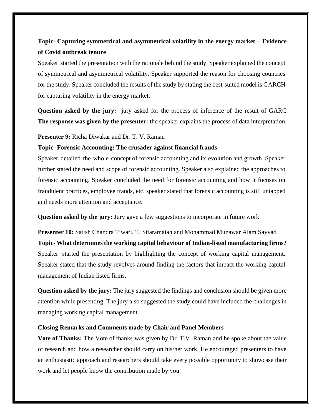# **Topic- Capturing symmetrical and asymmetrical volatility in the energy market – Evidence of Covid outbreak tenure**

Speaker started the presentation with the rationale behind the study. Speaker explained the concept of symmetrical and asymmetrical volatility. Speaker supported the reason for choosing countries for the study. Speaker concluded the results of the study by stating the best-suited model is GARCH for capturing volatility in the energy market.

**Question asked by the jury:** jury asked for the process of inference of the result of GARC **The response was given by the presenter:** the speaker explains the process of data interpretation.

**Presenter 9:** Richa Diwakar and Dr. T. V. Raman

#### **Topic- Forensic Accounting: The crusader against financial frauds**

Speaker detailed the whole concept of forensic accounting and its evolution and growth. Speaker further stated the need and scope of forensic accounting. Speaker also explained the approaches to forensic accounting. Speaker concluded the need for forensic accounting and how it focuses on fraudulent practices, employee frauds, etc. speaker stated that forensic accounting is still untapped and needs more attention and acceptance.

**Question asked by the jury:** Jury gave a few suggestions to incorporate in future work

**Presenter 10:** Satish Chandra Tiwari, T. Sitaramaiah and Mohammad Munawar Alam Sayyad **Topic- What determines the working capital behaviour of Indian-listed manufacturing firms?** Speaker started the presentation by highlighting the concept of working capital management. Speaker stated that the study revolves around finding the factors that impact the working capital management of Indian listed firms.

**Question asked by the jury:** The jury suggested the findings and conclusion should be given more attention while presenting. The jury also suggested the study could have included the challenges in managing working capital management.

#### **Closing Remarks and Comments made by Chair and Panel Members**

**Vote of Thanks:** The Vote of thanks was given by Dr. T.V Raman and he spoke about the value of research and how a researcher should carry on his/her work. He encouraged presenters to have an enthusiastic approach and researchers should take every possible opportunity to showcase their work and let people know the contribution made by you.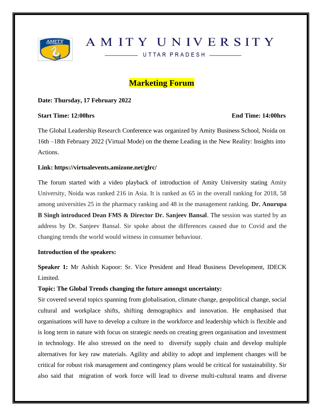

# AMITY UNIVERSITY

UTTAR PRADESH \_\_\_\_\_\_

# **Marketing Forum**

#### **Date: Thursday, 17 February 2022**

#### **Start Time: 12:00hrs End Time: 14:00hrs**

The Global Leadership Research Conference was organized by Amity Business School, Noida on 16th –18th February 2022 (Virtual Mode) on the theme Leading in the New Reality: Insights into Actions.

#### **Link: https://virtualevents.amizone.net/glrc/**

The forum started with a video playback of introduction of Amity University stating Amity University, Noida was ranked 216 in Asia. It is ranked as 65 in the overall ranking for 2018, 58 among universities 25 in the pharmacy ranking and 48 in the management ranking. **Dr. Anurupa B Singh introduced Dean FMS & Director Dr. Sanjeev Bansal**. The session was started by an address by Dr. Sanjeev Bansal. Sir spoke about the differences caused due to Covid and the changing trends the world would witness in consumer behaviour.

#### **Introduction of the speakers:**

**Speaker 1:** Mr Ashish Kapoor: Sr. Vice President and Head Business Development, IDECK Limited.

#### **Topic: The Global Trends changing the future amongst uncertainty:**

Sir covered several topics spanning from globalisation, climate change, geopolitical change, social cultural and workplace shifts, shifting demographics and innovation. He emphasised that organisations will have to develop a culture in the workforce and leadership which is flexible and is long term in nature with focus on strategic needs on creating green organisation and investment in technology. He also stressed on the need to diversify supply chain and develop multiple alternatives for key raw materials. Agility and ability to adopt and implement changes will be critical for robust risk management and contingency plans would be critical for sustainability. Sir also said that migration of work force will lead to diverse multi-cultural teams and diverse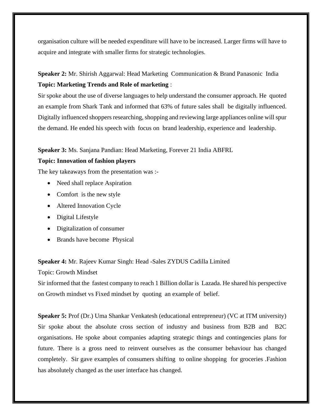organisation culture will be needed expenditure will have to be increased. Larger firms will have to acquire and integrate with smaller firms for strategic technologies.

# **Speaker 2:** Mr. Shirish Aggarwal: Head Marketing Communication & Brand Panasonic India **Topic: Marketing Trends and Role of marketing** :

Sir spoke about the use of diverse languages to help understand the consumer approach. He quoted an example from Shark Tank and informed that 63% of future sales shall be digitally influenced. Digitally influenced shoppers researching, shopping and reviewing large appliances online will spur the demand. He ended his speech with focus on brand leadership, experience and leadership.

#### **Speaker 3:** Ms. Sanjana Pandian: Head Marketing, Forever 21 India ABFRL

#### **Topic: Innovation of fashion players**

The key takeaways from the presentation was :-

- Need shall replace Aspiration
- Comfort is the new style
- Altered Innovation Cycle
- Digital Lifestyle
- Digitalization of consumer
- Brands have become Physical

#### **Speaker 4:** Mr. Rajeev Kumar Singh: Head -Sales ZYDUS Cadilla Limited

Topic: Growth Mindset

Sir informed that the fastest company to reach 1 Billion dollar is Lazada. He shared his perspective on Growth mindset vs Fixed mindset by quoting an example of belief.

**Speaker 5:** Prof (Dr.) Uma Shankar Venkatesh (educational entrepreneur) (VC at ITM university) Sir spoke about the absolute cross section of industry and business from B2B and B2C organisations. He spoke about companies adapting strategic things and contingencies plans for future. There is a gross need to reinvent ourselves as the consumer behaviour has changed completely. Sir gave examples of consumers shifting to online shopping for groceries .Fashion has absolutely changed as the user interface has changed.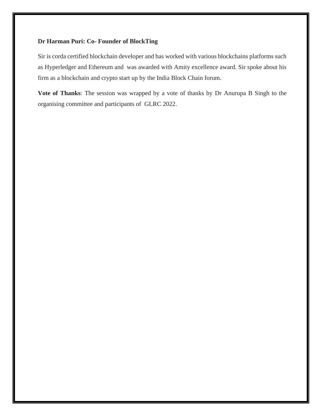#### **Dr Harman Puri: Co- Founder of BlockTing**

Sir is corda certified blockchain developer and has worked with various blockchains platforms such as Hyperledger and Ethereum and was awarded with Amity excellence award. Sir spoke about his firm as a blockchain and crypto start up by the India Block Chain forum.

**Vote of Thanks**: The session was wrapped by a vote of thanks by Dr Anurupa B Singh to the organising committee and participants of GLRC 2022.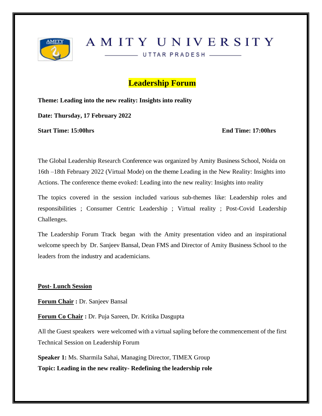

AMITY UNIVERSITY

UTTAR PRADESH \_\_\_\_\_\_

# **Leadership Forum**

**Theme: Leading into the new reality: Insights into reality**

**Date: Thursday, 17 February 2022** 

**Start Time: 15:00hrs End Time: 17:00hrs**

The Global Leadership Research Conference was organized by Amity Business School, Noida on 16th –18th February 2022 (Virtual Mode) on the theme Leading in the New Reality: Insights into Actions. The conference theme evoked: Leading into the new reality: Insights into reality

The topics covered in the session included various sub-themes like: Leadership roles and responsibilities ; Consumer Centric Leadership ; Virtual reality ; Post-Covid Leadership Challenges.

The Leadership Forum Track began with the Amity presentation video and an inspirational welcome speech by Dr. Sanjeev Bansal, Dean FMS and Director of Amity Business School to the leaders from the industry and academicians.

**Post- Lunch Session**

**Forum Chair :** Dr. Sanjeev Bansal

**Forum Co Chair :** Dr. Puja Sareen, Dr. Kritika Dasgupta

All the Guest speakers were welcomed with a virtual sapling before the commencement of the first Technical Session on Leadership Forum

**Speaker 1:** Ms. Sharmila Sahai, Managing Director, TIMEX Group **Topic: Leading in the new reality- Redefining the leadership role**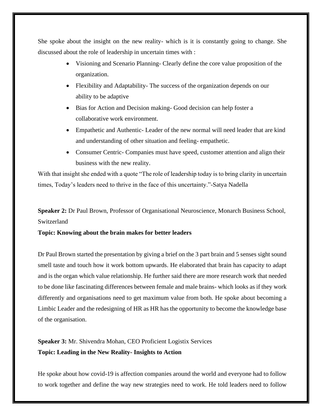She spoke about the insight on the new reality- which is it is constantly going to change. She discussed about the role of leadership in uncertain times with :

- Visioning and Scenario Planning- Clearly define the core value proposition of the organization.
- Flexibility and Adaptability-The success of the organization depends on our ability to be adaptive
- Bias for Action and Decision making- Good decision can help foster a collaborative work environment.
- Empathetic and Authentic-Leader of the new normal will need leader that are kind and understanding of other situation and feeling- empathetic.
- Consumer Centric- Companies must have speed, customer attention and align their business with the new reality.

With that insight she ended with a quote "The role of leadership today is to bring clarity in uncertain times, Today's leaders need to thrive in the face of this uncertainty."-Satya Nadella

**Speaker 2:** Dr Paul Brown, Professor of Organisational Neuroscience, Monarch Business School, Switzerland

#### **Topic: Knowing about the brain makes for better leaders**

Dr Paul Brown started the presentation by giving a brief on the 3 part brain and 5 senses sight sound smell taste and touch how it work bottom upwards. He elaborated that brain has capacity to adapt and is the organ which value relationship. He further said there are more research work that needed to be done like fascinating differences between female and male brains- which looks as if they work differently and organisations need to get maximum value from both. He spoke about becoming a Limbic Leader and the redesigning of HR as HR has the opportunity to become the knowledge base of the organisation.

**Speaker 3:** Mr. Shivendra Mohan, CEO Proficient Logistix Services **Topic: Leading in the New Reality- Insights to Action**

He spoke about how covid-19 is affection companies around the world and everyone had to follow to work together and define the way new strategies need to work. He told leaders need to follow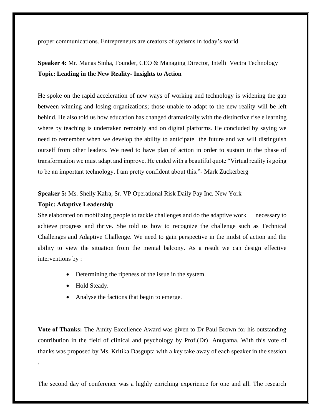proper communications. Entrepreneurs are creators of systems in today's world.

# **Speaker 4:** Mr. Manas Sinha, Founder, CEO & Managing Director, Intelli Vectra Technology **Topic: Leading in the New Reality- Insights to Action**

He spoke on the rapid acceleration of new ways of working and technology is widening the gap between winning and losing organizations; those unable to adapt to the new reality will be left behind. He also told us how education has changed dramatically with the distinctive rise e learning where by teaching is undertaken remotely and on digital platforms. He concluded by saying we need to remember when we develop the ability to anticipate the future and we will distinguish ourself from other leaders. We need to have plan of action in order to sustain in the phase of transformation we must adapt and improve. He ended with a beautiful quote "Virtual reality is going to be an important technology. I am pretty confident about this."- Mark Zuckerberg

**Speaker 5:** Ms. Shelly Kalra, Sr. VP Operational Risk Daily Pay Inc. New York

#### **Topic: Adaptive Leadership**

She elaborated on mobilizing people to tackle challenges and do the adaptive work necessary to achieve progress and thrive. She told us how to recognize the challenge such as Technical Challenges and Adaptive Challenge. We need to gain perspective in the midst of action and the ability to view the situation from the mental balcony. As a result we can design effective interventions by :

- Determining the ripeness of the issue in the system.
- Hold Steady.

.

• Analyse the factions that begin to emerge.

**Vote of Thanks:** The Amity Excellence Award was given to Dr Paul Brown for his outstanding contribution in the field of clinical and psychology by Prof.(Dr). Anupama. With this vote of thanks was proposed by Ms. Kritika Dasgupta with a key take away of each speaker in the session

The second day of conference was a highly enriching experience for one and all. The research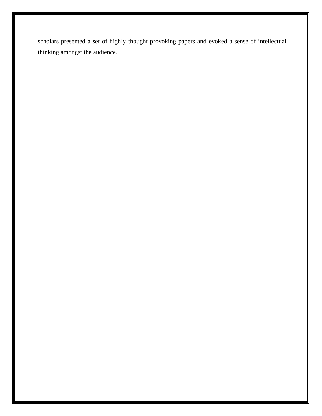scholars presented a set of highly thought provoking papers and evoked a sense of intellectual thinking amongst the audience.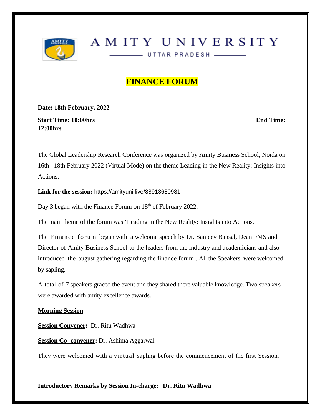

# AMITY UNIVERSITY

UTTAR PRADESH ————

# **FINANCE FORUM**

**Date: 18th February, 2022**

**Start Time: 10:00hrs** End Time: **End Time: End Time: End Time: End Time: End Time: End Time: End Time: End Time: End Time: End Time: End Time: End Time: End Time: End Time: End Time: End Time 12:00hrs**

The Global Leadership Research Conference was organized by Amity Business School, Noida on 16th –18th February 2022 (Virtual Mode) on the theme Leading in the New Reality: Insights into Actions.

**Link for the session:** [https://amityuni.live/88913680981](about:blank)

Day 3 began with the Finance Forum on 18<sup>th</sup> of February 2022.

The main theme of the forum was 'Leading in the New Reality: Insights into Actions.

The Finance forum began with a welcome speech by Dr. Sanjeev Bansal, Dean FMS and Director of Amity Business School to the leaders from the industry and academicians and also introduced the august gathering regarding the finance forum . All the Speakers were welcomed by sapling.

A total of 7 speakers graced the event and they shared there valuable knowledge. Two speakers were awarded with amity excellence awards.

#### **Morning Session**

**Session Convener:** Dr. Ritu Wadhwa

**Session Co- convener:** Dr. Ashima Aggarwal

They were welcomed with a virtual sapling before the commencement of the first Session.

#### **Introductory Remarks by Session In-charge: Dr. Ritu Wadhwa**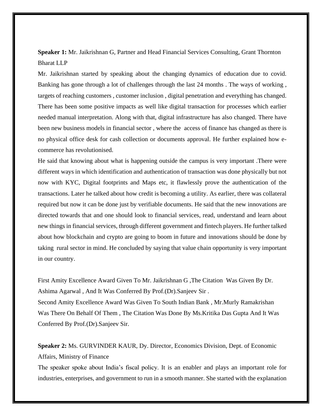**Speaker 1:** Mr. Jaikrishnan G, Partner and Head Financial Services Consulting, Grant Thornton Bharat LLP

Mr. Jaikrishnan started by speaking about the changing dynamics of education due to covid. Banking has gone through a lot of challenges through the last 24 months . The ways of working , targets of reaching customers , customer inclusion , digital penetration and everything has changed. There has been some positive impacts as well like digital transaction for processes which earlier needed manual interpretation. Along with that, digital infrastructure has also changed. There have been new business models in financial sector , where the access of finance has changed as there is no physical office desk for cash collection or documents approval. He further explained how ecommerce has revolutionised.

He said that knowing about what is happening outside the campus is very important .There were different ways in which identification and authentication of transaction was done physically but not now with KYC, Digital footprints and Maps etc, it flawlessly prove the authentication of the transactions. Later he talked about how credit is becoming a utility. As earlier, there was collateral required but now it can be done just by verifiable documents. He said that the new innovations are directed towards that and one should look to financial services, read, understand and learn about new things in financial services, through different government and fintech players. He further talked about how blockchain and crypto are going to boom in future and innovations should be done by taking rural sector in mind. He concluded by saying that value chain opportunity is very important in our country.

First Amity Excellence Award Given To Mr. Jaikrishnan G ,The Citation Was Given By Dr. Ashima Agarwal , And It Was Conferred By Prof.(Dr).Sanjeev Sir . Second Amity Excellence Award Was Given To South Indian Bank , Mr.Murly Ramakrishan Was There On Behalf Of Them , The Citation Was Done By Ms.Kritika Das Gupta And It Was Conferred By Prof.(Dr).Sanjeev Sir.

**Speaker 2:** Ms. GURVINDER KAUR, Dy. Director, Economics Division, Dept. of Economic Affairs, Ministry of Finance

The speaker spoke about India's fiscal policy. It is an enabler and plays an important role for industries, enterprises, and government to run in a smooth manner. She started with the explanation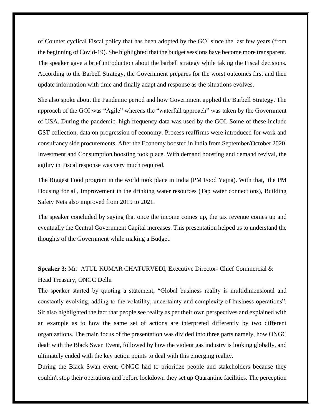of Counter cyclical Fiscal policy that has been adopted by the GOI since the last few years (from the beginning of Covid-19). She highlighted that the budget sessions have become more transparent. The speaker gave a brief introduction about the barbell strategy while taking the Fiscal decisions. According to the Barbell Strategy, the Government prepares for the worst outcomes first and then update information with time and finally adapt and response as the situations evolves.

She also spoke about the Pandemic period and how Government applied the Barbell Strategy. The approach of the GOI was "Agile" whereas the "waterfall approach" was taken by the Government of USA. During the pandemic, high frequency data was used by the GOI. Some of these include GST collection, data on progression of economy. Process reaffirms were introduced for work and consultancy side procurements. After the Economy boosted in India from September/October 2020, Investment and Consumption boosting took place. With demand boosting and demand revival, the agility in Fiscal response was very much required.

The Biggest Food program in the world took place in India (PM Food Yajna). With that, the PM Housing for all, Improvement in the drinking water resources (Tap water connections), Building Safety Nets also improved from 2019 to 2021.

The speaker concluded by saying that once the income comes up, the tax revenue comes up and eventually the Central Government Capital increases. This presentation helped us to understand the thoughts of the Government while making a Budget.

# **Speaker 3:** Mr. ATUL KUMAR CHATURVEDI, Executive Director- Chief Commercial & Head Treasury, ONGC Delhi

The speaker started by quoting a statement, "Global business reality is multidimensional and constantly evolving, adding to the volatility, uncertainty and complexity of business operations". Sir also highlighted the fact that people see reality as per their own perspectives and explained with an example as to how the same set of actions are interpreted differently by two different organizations. The main focus of the presentation was divided into three parts namely, how ONGC dealt with the Black Swan Event, followed by how the violent gas industry is looking globally, and ultimately ended with the key action points to deal with this emerging reality.

During the Black Swan event, ONGC had to prioritize people and stakeholders because they couldn't stop their operations and before lockdown they set up Quarantine facilities. The perception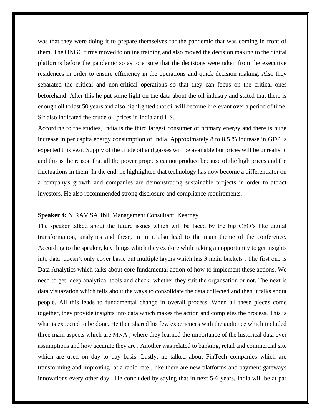was that they were doing it to prepare themselves for the pandemic that was coming in front of them. The ONGC firms moved to online training and also moved the decision making to the digital platforms before the pandemic so as to ensure that the decisions were taken from the executive residences in order to ensure efficiency in the operations and quick decision making. Also they separated the critical and non-critical operations so that they can focus on the critical ones beforehand. After this he put some light on the data about the oil industry and stated that there is enough oil to last 50 years and also highlighted that oil will become irrelevant over a period of time. Sir also indicated the crude oil prices in India and US.

According to the studies, India is the third largest consumer of primary energy and there is huge increase in per capita energy consumption of India. Approximately 8 to 8.5 % increase in GDP is expected this year. Supply of the crude oil and gasses will be available but prices will be unrealistic and this is the reason that all the power projects cannot produce because of the high prices and the fluctuations in them. In the end, he highlighted that technology has now become a differentiator on a company's growth and companies are demonstrating sustainable projects in order to attract investors. He also recommended strong disclosure and compliance requirements.

#### **Speaker 4:** NIRAV SAHNI, Management Consultant, Kearney

The speaker talked about the future issues which will be faced by the big CFO's like digital transformation, analytics and these, in turn, also lead to the main theme of the conference. According to the speaker, key things which they explore while taking an opportunity to get insights into data doesn't only cover basic but multiple layers which has 3 main buckets . The first one is Data Analytics which talks about core fundamental action of how to implement these actions. We need to get deep analytical tools and check whether they suit the organsation or not. The next is data visuazation which tells about the ways to consolidate the data collected and then it talks about people. All this leads to fundamental change in overall process. When all these pieces come together, they provide insights into data which makes the action and completes the process. This is what is expected to be done. He then shared his few experiences with the audience which included three main aspects which are MNA , where they learned the importance of the historical data over assumptions and how accurate they are . Another was related to banking, retail and commercial site which are used on day to day basis. Lastly, he talked about FinTech companies which are transforming and improving at a rapid rate , like there are new platforms and payment gateways innovations every other day . He concluded by saying that in next 5-6 years, India will be at par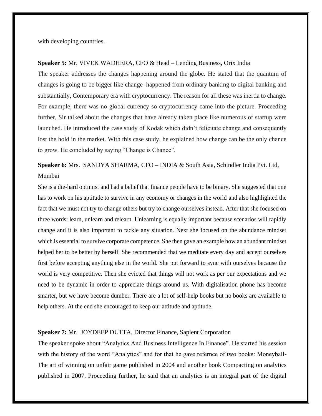with developing countries.

#### **Speaker 5:** Mr. VIVEK WADHERA, CFO & Head – Lending Business, Orix India

The speaker addresses the changes happening around the globe. He stated that the quantum of changes is going to be bigger like change happened from ordinary banking to digital banking and substantially, Contemporary era with cryptocurrency. The reason for all these was inertia to change. For example, there was no global currency so cryptocurrency came into the picture. Proceeding further, Sir talked about the changes that have already taken place like numerous of startup were launched. He introduced the case study of Kodak which didn't felicitate change and consequently lost the hold in the market. With this case study, he explained how change can be the only chance to grow. He concluded by saying "Change is Chance".

**Speaker 6:** Mrs. SANDYA SHARMA, CFO – INDIA & South Asia, Schindler India Pvt. Ltd, Mumbai

She is a die-hard optimist and had a belief that finance people have to be binary. She suggested that one has to work on his aptitude to survive in any economy or changes in the world and also highlighted the fact that we must not try to change others but try to change ourselves instead. After that she focused on three words: learn, unlearn and relearn. Unlearning is equally important because scenarios will rapidly change and it is also important to tackle any situation. Next she focused on the abundance mindset which is essential to survive corporate competence. She then gave an example how an abundant mindset helped her to be better by herself. She recommended that we meditate every day and accept ourselves first before accepting anything else in the world. She put forward to sync with ourselves because the world is very competitive. Then she evicted that things will not work as per our expectations and we need to be dynamic in order to appreciate things around us. With digitalisation phone has become smarter, but we have become dumber. There are a lot of self-help books but no books are available to help others. At the end she encouraged to keep our attitude and aptitude.

#### **Speaker 7:** Mr. JOYDEEP DUTTA, Director Finance, Sapient Corporation

The speaker spoke about "Analytics And Business Intelligence In Finance". He started his session with the history of the word "Analytics" and for that he gave refernce of two books: Moneyball-The art of winning on unfair game published in 2004 and another book Compacting on analytics published in 2007. Proceeding further, he said that an analytics is an integral part of the digital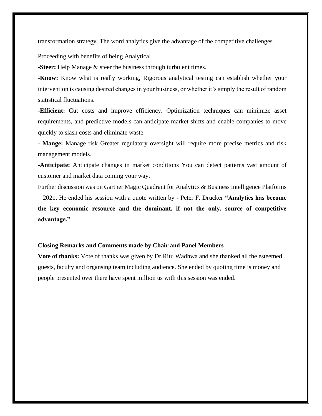transformation strategy. The word analytics give the advantage of the competitive challenges.

Proceeding with benefits of being Analytical

-**Steer:** Help Manage & steer the business through turbulent times.

-**Know:** Know what is really working, Rigorous analytical testing can establish whether your intervention is causing desired changes in your business, or whether it's simply the result of random statistical fluctuations.

**-Efficient:** Cut costs and improve efficiency. Optimization techniques can minimize asset requirements, and predictive models can anticipate market shifts and enable companies to move quickly to slash costs and eliminate waste.

- **Mange:** Manage risk Greater regulatory oversight will require more precise metrics and risk management models.

**-Anticipate:** Anticipate changes in market conditions You can detect patterns vast amount of customer and market data coming your way.

Further discussion was on Gartner Magic Quadrant for Analytics & Business Intelligence Platforms – 2021. He ended his session with a quote written by - Peter F. Drucker **"Analytics has become the key economic resource and the dominant, if not the only, source of competitive advantage."**

#### **Closing Remarks and Comments made by Chair and Panel Members**

**Vote of thanks:** Vote of thanks was given by Dr.Ritu Wadhwa and she thanked all the esteemed guests, faculty and organsing team including audience. She ended by quoting time is money and people presented over there have spent million us with this session was ended.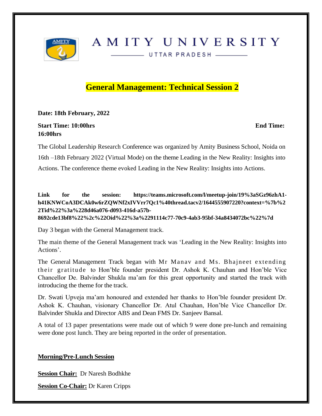

# AMITY UNIVERSITY

- UTTAR PRADESH -

# **General Management: Technical Session 2**

**Date: 18th February, 2022**

### **Start Time: 10:00hrs** End Time: **End Time: End Time: End Time: End Time: End Time: End Time: End Time: End Time: End Time: End Time: End Time: End Time: End Time: End Time: End Time: End Time 16:00hrs**

The Global Leadership Research Conference was organized by Amity Business School, Noida on 16th –18th February 2022 (Virtual Mode) on the theme Leading in the New Reality: Insights into Actions. The conference theme evoked Leading in the New Reality: Insights into Actions.

**Link for the session: https://teams.microsoft.com/l/meetup-join/19%3aSGz96zhA1 h41KNWCoA3DCAk0w6rZQWNf2xIVVrr7Qc1%40thread.tacv2/1644555907220?context=%7b%2 2Tid%22%3a%228d46a076-d093-416d-a57b-8692cde13bf8%22%2c%22Oid%22%3a%2291114c77-70c9-4ab3-95bf-34a8434072bc%22%7d**

Day 3 began with the General Management track.

The main theme of the General Management track was 'Leading in the New Reality: Insights into Actions'.

The General Management Track began with Mr Manav and Ms. Bhajneet extending their gratitude to Hon'ble founder president Dr. Ashok K. Chauhan and Hon'ble Vice Chancellor De. Balvinder Shukla ma'am for this great opportunity and started the track with introducing the theme for the track.

Dr. Swati Upveja ma'am honoured and extended her thanks to Hon'ble founder president Dr. Ashok K. Chauhan, visionary Chancellor Dr. Atul Chauhan, Hon'ble Vice Chancellor Dr. Balvinder Shukla and Director ABS and Dean FMS Dr. Sanjeev Bansal.

A total of 13 paper presentations were made out of which 9 were done pre-lunch and remaining were done post lunch. They are being reported in the order of presentation.

### **Morning/Pre-Lunch Session**

**Session Chair:** Dr Naresh Bodhkhe

**Session Co-Chair:** Dr Karen Cripps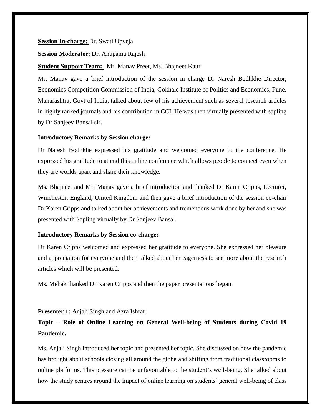#### **Session In-charge:** Dr. Swati Upveja

#### **Session Moderator**: Dr. Anupama Rajesh

#### **Student Support Team:** Mr. Manav Preet, Ms. Bhajneet Kaur

Mr. Manav gave a brief introduction of the session in charge Dr Naresh Bodhkhe Director, Economics Competition Commission of India, Gokhale Institute of Politics and Economics, Pune, Maharashtra, Govt of India, talked about few of his achievement such as several research articles in highly ranked journals and his contribution in CCI. He was then virtually presented with sapling by Dr Sanjeev Bansal sir.

#### **Introductory Remarks by Session charge:**

Dr Naresh Bodhkhe expressed his gratitude and welcomed everyone to the conference. He expressed his gratitude to attend this online conference which allows people to connect even when they are worlds apart and share their knowledge.

Ms. Bhajneet and Mr. Manav gave a brief introduction and thanked Dr Karen Cripps, Lecturer, Winchester, England, United Kingdom and then gave a brief introduction of the session co-chair Dr Karen Cripps and talked about her achievements and tremendous work done by her and she was presented with Sapling virtually by Dr Sanjeev Bansal.

#### **Introductory Remarks by Session co-charge:**

Dr Karen Cripps welcomed and expressed her gratitude to everyone. She expressed her pleasure and appreciation for everyone and then talked about her eagerness to see more about the research articles which will be presented.

Ms. Mehak thanked Dr Karen Cripps and then the paper presentations began.

#### **Presenter 1:** Anjali Singh and Azra Ishrat

# **Topic – Role of Online Learning on General Well-being of Students during Covid 19 Pandemic.**

Ms. Anjali Singh introduced her topic and presented her topic. She discussed on how the pandemic has brought about schools closing all around the globe and shifting from traditional classrooms to online platforms. This pressure can be unfavourable to the student's well-being. She talked about how the study centres around the impact of online learning on students' general well-being of class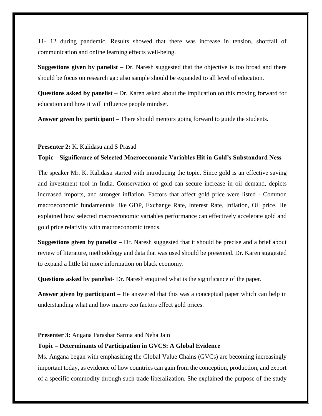11- 12 during pandemic. Results showed that there was increase in tension, shortfall of communication and online learning effects well-being.

**Suggestions given by panelist** – Dr. Naresh suggested that the objective is too broad and there should be focus on research gap also sample should be expanded to all level of education.

**Questions asked by panelist** – Dr. Karen asked about the implication on this moving forward for education and how it will influence people mindset.

**Answer given by participant –** There should mentors going forward to guide the students.

#### **Presenter 2:** K. Kalidasu and S Prasad

#### **Topic – Significance of Selected Macroeconomic Variables Hit in Gold's Substandard Ness**

The speaker Mr. K. Kalidasu started with introducing the topic. Since gold is an effective saving and investment tool in India. Conservation of gold can secure increase in oil demand, depicts increased imports, and stronger inflation. Factors that affect gold price were listed - Common macroeconomic fundamentals like GDP, Exchange Rate, Interest Rate, Inflation, Oil price. He explained how selected macroeconomic variables performance can effectively accelerate gold and gold price relativity with macroeconomic trends.

**Suggestions given by panelist –** Dr. Naresh suggested that it should be precise and a brief about review of literature, methodology and data that was used should be presented. Dr. Karen suggested to expand a little bit more information on black economy.

**Questions asked by panelist-** Dr. Naresh enquired what is the significance of the paper.

**Answer given by participant –** He answered that this was a conceptual paper which can help in understanding what and how macro eco factors effect gold prices.

#### **Presenter 3:** Angana Parashar Sarma and Neha Jain

#### **Topic – Determinants of Participation in GVCS: A Global Evidence**

Ms. Angana began with emphasizing the Global Value Chains (GVCs) are becoming increasingly important today, as evidence of how countries can gain from the conception, production, and export of a specific commodity through such trade liberalization. She explained the purpose of the study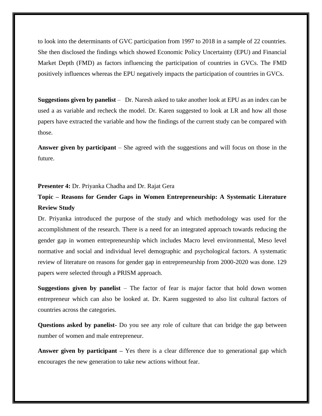to look into the determinants of GVC participation from 1997 to 2018 in a sample of 22 countries. She then disclosed the findings which showed Economic Policy Uncertainty (EPU) and Financial Market Depth (FMD) as factors influencing the participation of countries in GVCs. The FMD positively influences whereas the EPU negatively impacts the participation of countries in GVCs.

**Suggestions given by panelist** – Dr. Naresh asked to take another look at EPU as an index can be used a as variable and recheck the model. Dr. Karen suggested to look at LR and how all those papers have extracted the variable and how the findings of the current study can be compared with those.

**Answer given by participant** – She agreed with the suggestions and will focus on those in the future.

#### **Presenter 4:** Dr. Priyanka Chadha and Dr. Rajat Gera

# **Topic – Reasons for Gender Gaps in Women Entrepreneurship: A Systematic Literature Review Study**

Dr. Priyanka introduced the purpose of the study and which methodology was used for the accomplishment of the research. There is a need for an integrated approach towards reducing the gender gap in women entrepreneurship which includes Macro level environmental, Meso level normative and social and individual level demographic and psychological factors. A systematic review of literature on reasons for gender gap in entrepreneurship from 2000-2020 was done. 129 papers were selected through a PRISM approach.

**Suggestions given by panelist** – The factor of fear is major factor that hold down women entrepreneur which can also be looked at. Dr. Karen suggested to also list cultural factors of countries across the categories.

**Questions asked by panelist-** Do you see any role of culture that can bridge the gap between number of women and male entrepreneur.

**Answer given by participant –** Yes there is a clear difference due to generational gap which encourages the new generation to take new actions without fear.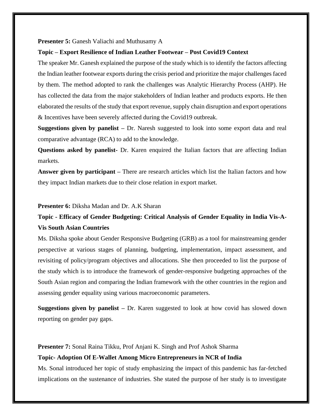**Presenter 5:** Ganesh Valiachi and Muthusamy A

#### **Topic – Export Resilience of Indian Leather Footwear – Post Covid19 Context**

The speaker Mr. Ganesh explained the purpose of the study which is to identify the factors affecting the Indian leather footwear exports during the crisis period and prioritize the major challenges faced by them. The method adopted to rank the challenges was Analytic Hierarchy Process (AHP). He has collected the data from the major stakeholders of Indian leather and products exports. He then elaborated the results of the study that export revenue, supply chain disruption and export operations & Incentives have been severely affected during the Covid19 outbreak.

**Suggestions given by panelist –** Dr. Naresh suggested to look into some export data and real comparative advantage (RCA) to add to the knowledge.

**Questions asked by panelist-** Dr. Karen enquired the Italian factors that are affecting Indian markets.

**Answer given by participant –** There are research articles which list the Italian factors and how they impact Indian markets due to their close relation in export market.

#### **Presenter 6:** Diksha Madan and Dr. A.K Sharan

# **Topic - Efficacy of Gender Budgeting: Critical Analysis of Gender Equality in India Vis-A-Vis South Asian Countries**

Ms. Diksha spoke about Gender Responsive Budgeting (GRB) as a tool for mainstreaming gender perspective at various stages of planning, budgeting, implementation, impact assessment, and revisiting of policy/program objectives and allocations. She then proceeded to list the purpose of the study which is to introduce the framework of gender-responsive budgeting approaches of the South Asian region and comparing the Indian framework with the other countries in the region and assessing gender equality using various macroeconomic parameters.

**Suggestions given by panelist –** Dr. Karen suggested to look at how covid has slowed down reporting on gender pay gaps.

**Presenter 7:** Sonal Raina Tikku, Prof Anjani K. Singh and Prof Ashok Sharma

#### **Topic- Adoption Of E-Wallet Among Micro Entrepreneurs in NCR of India**

Ms. Sonal introduced her topic of study emphasizing the impact of this pandemic has far-fetched implications on the sustenance of industries. She stated the purpose of her study is to investigate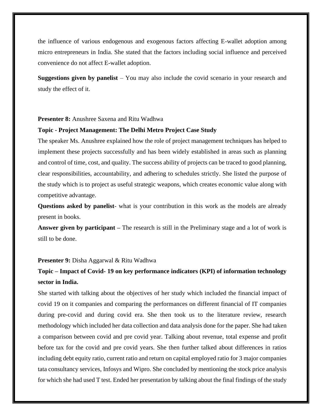the influence of various endogenous and exogenous factors affecting E-wallet adoption among micro entrepreneurs in India. She stated that the factors including social influence and perceived convenience do not affect E-wallet adoption.

**Suggestions given by panelist** – You may also include the covid scenario in your research and study the effect of it.

#### **Presenter 8:** Anushree Saxena and Ritu Wadhwa

#### **Topic - Project Management: The Delhi Metro Project Case Study**

The speaker Ms. Anushree explained how the role of project management techniques has helped to implement these projects successfully and has been widely established in areas such as planning and control of time, cost, and quality. The success ability of projects can be traced to good planning, clear responsibilities, accountability, and adhering to schedules strictly. She listed the purpose of the study which is to project as useful strategic weapons, which creates economic value along with competitive advantage.

**Questions asked by panelist**- what is your contribution in this work as the models are already present in books.

**Answer given by participant –** The research is still in the Preliminary stage and a lot of work is still to be done.

#### **Presenter 9:** Disha Aggarwal & Ritu Wadhwa

# **Topic – Impact of Covid- 19 on key performance indicators (KPI) of information technology sector in India.**

She started with talking about the objectives of her study which included the financial impact of covid 19 on it companies and comparing the performances on different financial of IT companies during pre-covid and during covid era. She then took us to the literature review, research methodology which included her data collection and data analysis done for the paper. She had taken a comparison between covid and pre covid year. Talking about revenue, total expense and profit before tax for the covid and pre covid years. She then further talked about differences in ratios including debt equity ratio, current ratio and return on capital employed ratio for 3 major companies tata consultancy services, Infosys and Wipro. She concluded by mentioning the stock price analysis for which she had used T test. Ended her presentation by talking about the final findings of the study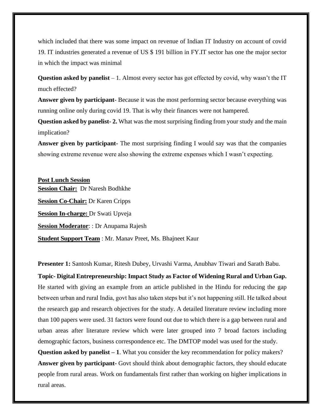which included that there was some impact on revenue of Indian IT Industry on account of covid 19. IT industries generated a revenue of US \$ 191 billion in FY.IT sector has one the major sector in which the impact was minimal

**Question asked by panelist** – 1. Almost every sector has got effected by covid, why wasn't the IT much effected?

**Answer given by participant**- Because it was the most performing sector because everything was running online only during covid 19. That is why their finances were not hampered.

**Question asked by panelist-2.** What was the most surprising finding from your study and the main implication?

**Answer given by participant-** The most surprising finding I would say was that the companies showing extreme revenue were also showing the extreme expenses which I wasn't expecting.

**Post Lunch Session Session Chair:** Dr Naresh Bodhkhe **Session Co-Chair:** Dr Karen Cripps **Session In-charge:** Dr Swati Upveja **Session Moderator**: : Dr Anupama Rajesh **Student Support Team** : Mr. Manav Preet, Ms. Bhajneet Kaur

**Presenter 1:** Santosh Kumar, Ritesh Dubey, Urvashi Varma, Anubhav Tiwari and Sarath Babu.

**Topic- Digital Entrepreneurship: Impact Study as Factor of Widening Rural and Urban Gap.** He started with giving an example from an article published in the Hindu for reducing the gap between urban and rural India, govt has also taken steps but it's not happening still. He talked about the research gap and research objectives for the study. A detailed literature review including more than 100 papers were used. 31 factors were found out due to which there is a gap between rural and urban areas after literature review which were later grouped into 7 broad factors including demographic factors, business correspondence etc. The DMTOP model was used for the study.

**Question asked by panelist – 1**. What you consider the key recommendation for policy makers? **Answer given by participant-** Govt should think about demographic factors, they should educate people from rural areas. Work on fundamentals first rather than working on higher implications in rural areas.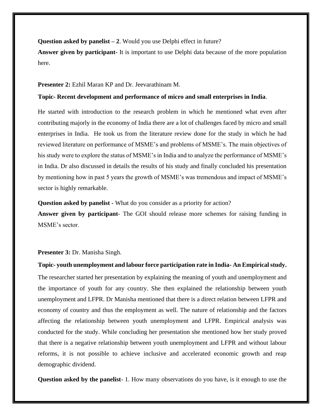**Question asked by panelist – 2**. Would you use Delphi effect in future?

**Answer given by participant-** It is important to use Delphi data because of the more population here.

#### **Presenter 2:** Ezhil Maran KP and Dr. Jeevarathinam M.

#### **Topic- Recent development and performance of micro and small enterprises in India**.

He started with introduction to the research problem in which he mentioned what even after contributing majorly in the economy of India there are a lot of challenges faced by micro and small enterprises in India. He took us from the literature review done for the study in which he had reviewed literature on performance of MSME's and problems of MSME's. The main objectives of his study were to explore the status of MSME's in India and to analyze the performance of MSME's in India. Dr also discussed in details the results of his study and finally concluded his presentation by mentioning how in past 5 years the growth of MSME's was tremendous and impact of MSME's sector is highly remarkable.

**Question asked by panelist -** What do you consider as a priority for action?

**Answer given by participant**- The GOI should release more schemes for raising funding in MSME's sector.

#### **Presenter 3:** Dr. Manisha Singh.

**Topic- youth unemployment and labour force participation rate in India- An Empirical study.**  The researcher started her presentation by explaining the meaning of youth and unemployment and the importance of youth for any country. She then explained the relationship between youth unemployment and LFPR. Dr Manisha mentioned that there is a direct relation between LFPR and economy of country and thus the employment as well. The nature of relationship and the factors affecting the relationship between youth unemployment and LFPR. Empirical analysis was conducted for the study. While concluding her presentation she mentioned how her study proved that there is a negative relationship between youth unemployment and LFPR and without labour reforms, it is not possible to achieve inclusive and accelerated economic growth and reap demographic dividend.

**Question asked by the panelist**- 1. How many observations do you have, is it enough to use the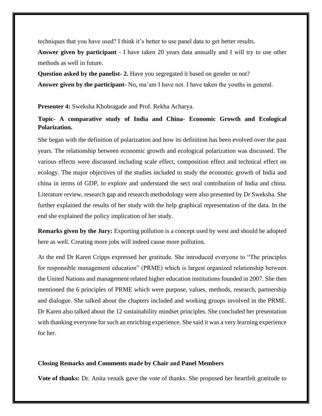techniques that you have used? I think it's better to use panel data to get better results.

**Answer given by participant** - I have taken 20 years data annually and I will try to use other methods as well in future.

**Question asked by the panelist- 2.** Have you segregated it based on gender or not?

**Answer given by the participant-** No, ma'am I have not. I have taken the youths in general.

**Presenter 4:** Sweksha Khobragade and Prof. Rekha Acharya.

### **Topic- A comparative study of India and China- Economic Growth and Ecological Polarization.**

She began with the definition of polarization and how its definition has been evolved over the past years. The relationship between economic growth and ecological polarization was discussed. The various effects were discussed including scale effect, composition effect and technical effect on ecology. The major objectives of the studies included to study the economic growth of India and china in terms of GDP, to explore and understand the sect oral contribution of India and china. Literature review, research gap and research methodology were also presented by Dr Sweksha. She further explained the results of her study with the help graphical representation of the data. In the end she explained the policy implication of her study.

**Remarks given by the Jury:** Exporting pollution is a concept used by west and should be adopted here as well. Creating more jobs will indeed cause more pollution.

At the end Dr Karen Cripps expressed her gratitude. She introduced everyone to "The principles for responsible management education" (PRME) which is largest organized relationship between the United Nations and management related higher education institutions founded in 2007. She then mentioned the 6 principles of PRME which were purpose, values, methods, research, partnership and dialogue. She talked about the chapters included and working groups involved in the PRME. Dr Karen also talked about the 12 sustainability mindset principles. She concluded her presentation with thanking everyone for such an enriching experience. She said it was a very learning experience for her.

#### **Closing Remarks and Comments made by Chair and Panel Members**

**Vote of thanks:** Dr. Anita venaik gave the vote of thanks. She proposed her heartfelt gratitude to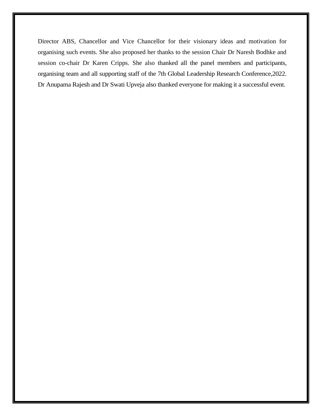Director ABS, Chancellor and Vice Chancellor for their visionary ideas and motivation for organising such events. She also proposed her thanks to the session Chair Dr Naresh Bodhke and session co-chair Dr Karen Cripps. She also thanked all the panel members and participants, organising team and all supporting staff of the 7th Global Leadership Research Conference,2022. Dr Anupama Rajesh and Dr Swati Upveja also thanked everyone for making it a successful event.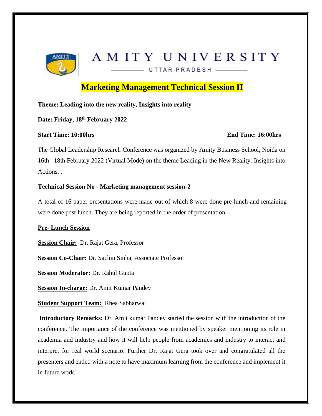

# AMITY UNIVERSITY

UTTAR PRADESH

**Marketing Management Technical Session II**

**Theme: Leading into the new reality, Insights into reality**

**Date: Friday, 18th February 2022** 

#### **Start Time: 10:00hrs End Time: 16:00hrs**

The Global Leadership Research Conference was organized by Amity Business School, Noida on 16th –18th February 2022 (Virtual Mode) on the theme Leading in the New Reality: Insights into Actions. .

#### **Technical Session No - Marketing management session-2**

A total of 16 paper presentations were made out of which 8 were done pre-lunch and remaining were done post lunch. They are being reported in the order of presentation.

#### **Pre- Lunch Session**

**Session Chair:** Dr. Rajat Gera**,** Professor

**Session Co-Chair:** Dr. Sachin Sinha, Associate Professor

**Session Moderator:** Dr. Rahul Gupta

**Session In-charge:** Dr. Amit Kumar Pandey

**Student Support Team:** Rhea Sabharwal

**Introductory Remarks:** Dr. Amit kumar Pandey started the session with the introduction of the conference. The importance of the conference was mentioned by speaker mentioning its role in academia and industry and how it will help people from academics and industry to interact and interpret for real world scenario. Further Dr, Rajat Gera took over and congratulated all the presenters and ended with a note to have maximum learning from the conference and implement it in future work.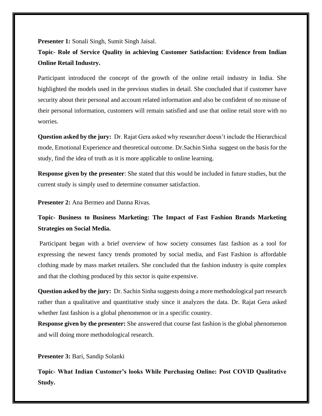**Presenter 1:** Sonali Singh, Sumit Singh Jaisal.

**Topic- Role of Service Quality in achieving Customer Satisfaction: Evidence from Indian Online Retail Industry.**

Participant introduced the concept of the growth of the online retail industry in India. She highlighted the models used in the previous studies in detail. She concluded that if customer have security about their personal and account related information and also be confident of no misuse of their personal information, customers will remain satisfied and use that online retail store with no worries.

**Question asked by the jury:** Dr. Rajat Gera asked why researcher doesn't include the Hierarchical mode, Emotional Experience and theoretical outcome. Dr.Sachin Sinha suggest on the basis for the study, find the idea of truth as it is more applicable to online learning.

**Response given by the presenter**: She stated that this would be included in future studies, but the current study is simply used to determine consumer satisfaction.

**Presenter 2:** Ana Bermeo and Danna Rivas.

# **Topic- Business to Business Marketing: The Impact of Fast Fashion Brands Marketing Strategies on Social Media.**

Participant began with a brief overview of how society consumes fast fashion as a tool for expressing the newest fancy trends promoted by social media, and Fast Fashion is affordable clothing made by mass market retailers. She concluded that the fashion industry is quite complex and that the clothing produced by this sector is quite expensive.

**Question asked by the jury:** Dr. Sachin Sinha suggests doing a more methodological part research rather than a qualitative and quantitative study since it analyzes the data. Dr. Rajat Gera asked whether fast fashion is a global phenomenon or in a specific country.

**Response given by the presenter:** She answered that course fast fashion is the global phenomenon and will doing more methodological research.

**Presenter 3:** Bari, Sandip Solanki

**Topic- What Indian Customer's looks While Purchasing Online: Post COVID Qualitative Study.**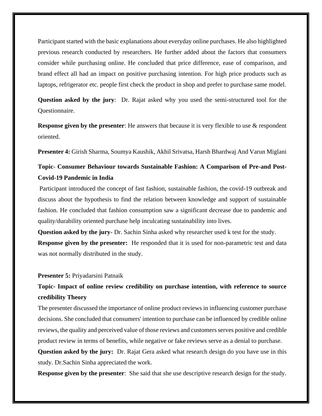Participant started with the basic explanations about everyday online purchases. He also highlighted previous research conducted by researchers. He further added about the factors that consumers consider while purchasing online. He concluded that price difference, ease of comparison, and brand effect all had an impact on positive purchasing intention. For high price products such as laptops, refrigerator etc. people first check the product in shop and prefer to purchase same model.

**Question asked by the jury**: Dr. Rajat asked why you used the semi-structured tool for the Questionnaire.

**Response given by the presenter**: He answers that because it is very flexible to use & respondent oriented.

**Presenter 4:** Girish Sharma, Soumya Kaushik, Akhil Srivatsa, Harsh Bhardwaj And Varun Miglani

## **Topic**- **Consumer Behaviour towards Sustainable Fashion: A Comparison of Pre-and Post-Covid-19 Pandemic in India**

Participant introduced the concept of fast fashion, sustainable fashion, the covid-19 outbreak and discuss about the hypothesis to find the relation between knowledge and support of sustainable fashion. He concluded that fashion consumption saw a significant decrease due to pandemic and quality/durability oriented purchase help inculcating sustainability into lives.

**Question asked by the jury**- Dr. Sachin Sinha asked why researcher used k test for the study. **Response given by the presenter:** He responded that it is used for non-parametric test and data was not normally distributed in the study.

#### **Presenter 5:** Priyadarsini Patnaik

# **Topic- Impact of online review credibility on purchase intention, with reference to source credibility Theory**

The presenter discussed the importance of online product reviews in influencing customer purchase decisions. She concluded that consumers' intention to purchase can be influenced by credible online reviews, the quality and perceived value of those reviews and customers serves positive and credible product review in terms of benefits, while negative or fake reviews serve as a denial to purchase.

**Question asked by the jury:** Dr. Rajat Gera asked what research design do you have use in this study. Dr.Sachin Sinha appreciated the work.

**Response given by the presenter**: She said that she use descriptive research design for the study.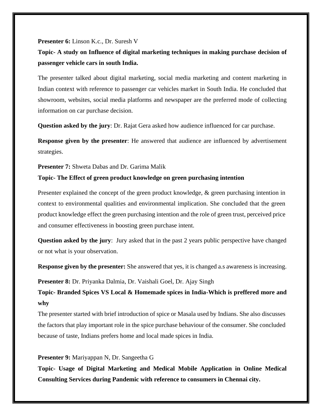#### **Presenter 6:** Linson K.c., Dr. Suresh V

# **Topic- A study on Influence of digital marketing techniques in making purchase decision of passenger vehicle cars in south India.**

The presenter talked about digital marketing, social media marketing and content marketing in Indian context with reference to passenger car vehicles market in South India. He concluded that showroom, websites, social media platforms and newspaper are the preferred mode of collecting information on car purchase decision.

**Question asked by the jury**: Dr. Rajat Gera asked how audience influenced for car purchase.

**Response given by the presenter**: He answered that audience are influenced by advertisement strategies.

**Presenter 7:** Shweta Dabas and Dr. Garima Malik

#### **Topic- The Effect of green product knowledge on green purchasing intention**

Presenter explained the concept of the green product knowledge, & green purchasing intention in context to environmental qualities and environmental implication. She concluded that the green product knowledge effect the green purchasing intention and the role of green trust, perceived price and consumer effectiveness in boosting green purchase intent.

**Question asked by the jury**: Jury asked that in the past 2 years public perspective have changed or not what is your observation.

**Response given by the presenter:** She answered that yes, it is changed a.s awareness is increasing.

**Presenter 8:** Dr. Priyanka Dalmia, Dr. Vaishali Goel, Dr. Ajay Singh

**Topic- Branded Spices VS Local & Homemade spices in India-Which is preffered more and why**

The presenter started with brief introduction of spice or Masala used by Indians. She also discusses the factors that play important role in the spice purchase behaviour of the consumer. She concluded because of taste, Indians prefers home and local made spices in India.

#### **Presenter 9:** Mariyappan N, Dr. Sangeetha G

**Topic- Usage of Digital Marketing and Medical Mobile Application in Online Medical Consulting Services during Pandemic with reference to consumers in Chennai city.**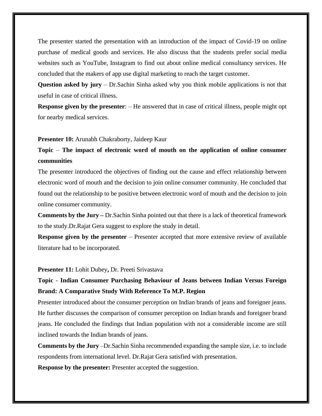The presenter started the presentation with an introduction of the impact of Covid-19 on online purchase of medical goods and services. He also discuss that the students prefer social media websites such as YouTube, Instagram to find out about online medical consultancy services. He concluded that the makers of app use digital marketing to reach the target customer.

**Question asked by jury** – Dr.Sachin Sinha asked why you think mobile applications is not that useful in case of critical illness.

**Response given by the presenter**: – He answered that in case of critical illness, people might opt for nearby medical services.

**Presenter 10:** Arunabh Chakraborty, Jaideep Kaur

# **Topic** – **The impact of electronic word of mouth on the application of online consumer communities**

The presenter introduced the objectives of finding out the cause and effect relationship between electronic word of mouth and the decision to join online consumer community. He concluded that found out the relationship to be positive between electronic word of mouth and the decision to join online consumer community.

**Comments by the Jury –** Dr.Sachin Sinha pointed out that there is a lack of theoretical framework to the study.Dr.Rajat Gera suggest to explore the study in detail.

**Response given by the presenter** – Presenter accepted that more extensive review of available literature had to be incorporated.

#### **Presenter 11:** Lohit Dubey**,** Dr. Preeti Srivastava

# **Topic** - **Indian Consumer Purchasing Behaviour of Jeans between Indian Versus Foreign Brand: A Comparative Study With Reference To M.P. Region**

Presenter introduced about the consumer perception on Indian brands of jeans and foreigner jeans. He further discusses the comparison of consumer perception on Indian brands and foreigner brand jeans. He concluded the findings that Indian population with not a considerable income are still inclined towards the Indian brands of jeans.

**Comments by the Jury** –Dr.Sachin Sinha recommended expanding the sample size, i.e. to include respondents from international level. Dr.Rajat Gera satisfied with presentation.

**Response by the presenter:** Presenter accepted the suggestion.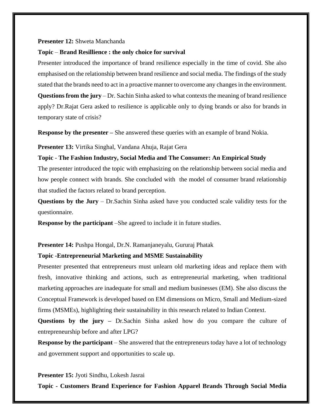#### **Presenter 12:** Shweta Manchanda

#### **Topic** – **Brand Resillience : the only choice for survival**

Presenter introduced the importance of brand resilience especially in the time of covid. She also emphasised on the relationship between brand resilience and social media. The findings of the study stated that the brands need to act in a proactive manner to overcome any changes in the environment. **Questions from the jury** – Dr. Sachin Sinha asked to what contexts the meaning of brand resilience apply? Dr.Rajat Gera asked to resilience is applicable only to dying brands or also for brands in temporary state of crisis?

**Response by the presenter** – She answered these queries with an example of brand Nokia.

**Presenter 13:** Virtika Singhal, Vandana Ahuja, Rajat Gera

#### **Topic** - **The Fashion Industry, Social Media and The Consumer: An Empirical Study**

The presenter introduced the topic with emphasizing on the relationship between social media and how people connect with brands. She concluded with the model of consumer brand relationship that studied the factors related to brand perception.

**Questions by the Jury** – Dr.Sachin Sinha asked have you conducted scale validity tests for the questionnaire.

**Response by the participant** –She agreed to include it in future studies.

#### **Presenter 14:** Pushpa Hongal, Dr.N. Ramanjaneyalu, Gururaj Phatak

#### **Topic -Entrepreneurial Marketing and MSME Sustainability**

Presenter presented that entrepreneurs must unlearn old marketing ideas and replace them with fresh, innovative thinking and actions, such as entrepreneurial marketing, when traditional marketing approaches are inadequate for small and medium businesses (EM). She also discuss the Conceptual Framework is developed based on EM dimensions on Micro, Small and Medium-sized firms (MSMEs), highlighting their sustainability in this research related to Indian Context.

**Questions by the jury –** Dr.Sachin Sinha asked how do you compare the culture of entrepreneurship before and after LPG?

**Response by the participant** – She answered that the entrepreneurs today have a lot of technology and government support and opportunities to scale up.

#### **Presenter 15:** Jyoti Sindhu, Lokesh Jasrai

**Topic - Customers Brand Experience for Fashion Apparel Brands Through Social Media**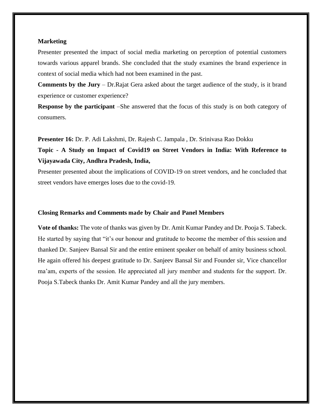#### **Marketing**

Presenter presented the impact of social media marketing on perception of potential customers towards various apparel brands. She concluded that the study examines the brand experience in context of social media which had not been examined in the past.

**Comments by the Jury** – Dr.Rajat Gera asked about the target audience of the study, is it brand experience or customer experience?

**Response by the participant** –She answered that the focus of this study is on both category of consumers.

**Presenter 16:** Dr. P. Adi Lakshmi, Dr. Rajesh C. Jampala , Dr. Srinivasa Rao Dokku

**Topic - A Study on Impact of Covid19 on Street Vendors in India: With Reference to Vijayawada City, Andhra Pradesh, India,**

Presenter presented about the implications of COVID-19 on street vendors, and he concluded that street vendors have emerges loses due to the covid-19.

#### **Closing Remarks and Comments made by Chair and Panel Members**

**Vote of thanks:** The vote of thanks was given by Dr. Amit Kumar Pandey and Dr. Pooja S. Tabeck. He started by saying that "it's our honour and gratitude to become the member of this session and thanked Dr. Sanjeev Bansal Sir and the entire eminent speaker on behalf of amity business school. He again offered his deepest gratitude to Dr. Sanjeev Bansal Sir and Founder sir, Vice chancellor ma'am, experts of the session. He appreciated all jury member and students for the support. Dr. Pooja S.Tabeck thanks Dr. Amit Kumar Pandey and all the jury members.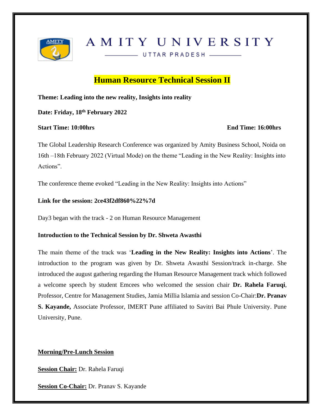

# AMITY UNIVERSITY

UTTAR PRADESH \_\_\_\_\_\_

# **Human Resource Technical Session II**

**Theme: Leading into the new reality, Insights into reality**

**Date: Friday, 18th February 2022** 

**Start Time: 10:00hrs End Time: 16:00hrs**

The Global Leadership Research Conference was organized by Amity Business School, Noida on 16th –18th February 2022 (Virtual Mode) on the theme "Leading in the New Reality: Insights into Actions".

The conference theme evoked "Leading in the New Reality: Insights into Actions"

#### **Link for the session: 2ce43f2df860%22%7d**

Day3 began with the track - 2 on Human Resource Management

#### **Introduction to the Technical Session by Dr. Shweta Awasthi**

The main theme of the track was '**Leading in the New Reality: Insights into Actions**'. The introduction to the program was given by Dr. Shweta Awasthi Session/track in-charge. She introduced the august gathering regarding the Human Resource Management track which followed a welcome speech by student Emcees who welcomed the session chair **Dr. Rahela Faruqi**, Professor, Centre for Management Studies, Jamia Millia Islamia and session Co-Chair:**Dr. Pranav S. Kayande,** Associate Professor, IMERT Pune affiliated to Savitri Bai Phule University. Pune University, Pune.

### **Morning/Pre-Lunch Session**

**Session Chair:** Dr. Rahela Faruqi

**Session Co-Chair:** Dr. Pranav S. Kayande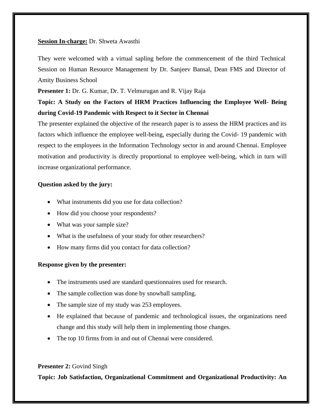#### **Session In-charge:** Dr. Shweta Awasthi

They were welcomed with a virtual sapling before the commencement of the third Technical Session on Human Resource Management by Dr. Sanjeev Bansal, Dean FMS and Director of Amity Business School

**Presenter 1:** Dr. G. Kumar, Dr. T. Velmurugan and R. Vijay Raja

# **Topic: A Study on the Factors of HRM Practices Influencing the Employee Well- Being during Covid-19 Pandemic with Respect to it Sector in Chennai**

The presenter explained the objective of the research paper is to assess the HRM practices and its factors which influence the employee well-being, especially during the Covid- 19 pandemic with respect to the employees in the Information Technology sector in and around Chennai. Employee motivation and productivity is directly proportional to employee well-being, which in turn will increase organizational performance.

#### **Question asked by the jury:**

- What instruments did you use for data collection?
- How did you choose your respondents?
- What was your sample size?
- What is the usefulness of your study for other researchers?
- How many firms did you contact for data collection?

#### **Response given by the presenter:**

- The instruments used are standard questionnaires used for research.
- The sample collection was done by snowball sampling.
- The sample size of my study was 253 employees.
- He explained that because of pandemic and technological issues, the organizations need change and this study will help them in implementing those changes.
- The top 10 firms from in and out of Chennai were considered.

#### **Presenter 2: Govind Singh**

**Topic: Job Satisfaction, Organizational Commitment and Organizational Productivity: An**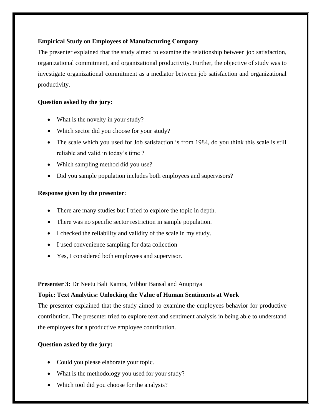#### **Empirical Study on Employees of Manufacturing Company**

The presenter explained that the study aimed to examine the relationship between job satisfaction, organizational commitment, and organizational productivity. Further, the objective of study was to investigate organizational commitment as a mediator between job satisfaction and organizational productivity.

#### **Question asked by the jury:**

- What is the novelty in your study?
- Which sector did you choose for your study?
- The scale which you used for Job satisfaction is from 1984, do you think this scale is still reliable and valid in today's time ?
- Which sampling method did you use?
- Did you sample population includes both employees and supervisors?

#### **Response given by the presenter**:

- There are many studies but I tried to explore the topic in depth.
- There was no specific sector restriction in sample population.
- I checked the reliability and validity of the scale in my study.
- I used convenience sampling for data collection
- Yes, I considered both employees and supervisor.

#### **Presenter 3:** Dr Neetu Bali Kamra, Vibhor Bansal and Anupriya

#### **Topic: Text Analytics: Unlocking the Value of Human Sentiments at Work**

The presenter explained that the study aimed to examine the employees behavior for productive contribution. The presenter tried to explore text and sentiment analysis in being able to understand the employees for a productive employee contribution.

#### **Question asked by the jury:**

- Could you please elaborate your topic.
- What is the methodology you used for your study?
- Which tool did you choose for the analysis?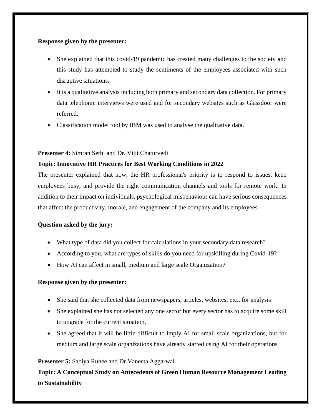#### **Response given by the presenter:**

- She explained that this covid-19 pandemic has created many challenges to the society and this study has attempted to study the sentiments of the employees associated with such disruptive situations.
- It is a qualitative analysis including both primary and secondary data collection. For primary data telephonic interviews were used and for secondary websites such as Glassdoor were referred.
- Classification model tool by IBM was used to analyse the qualitative data.

#### **Presenter 4:** Simran Sethi and Dr. Vijit Chaturvedi

#### **Topic: Innovative HR Practices for Best Working Conditions in 2022**

The presenter explained that now, the HR professional's priority is to respond to issues, keep employees busy, and provide the right communication channels and tools for remote work. In addition to their impact on individuals, psychological misbehaviour can have serious consequences that affect the productivity, morale, and engagement of the company and its employees.

#### **Question asked by the jury:**

- What type of data did you collect for calculations in your secondary data research?
- According to you, what are types of skills do you need for upskilling during Covid-19?
- How AI can affect in small, medium and large scale Organization?

#### **Response given by the presenter:**

- She said that she collected data from newspapers, articles, websites, etc., for analysis
- She explained she has not selected any one sector but every sector has to acquire some skill to upgrade for the current situation.
- She agreed that it will be little difficult to imply AI for small scale organizations, but for medium and large scale organizations have already started using AI for their operations.

#### **Presenter 5:** Sabiya Ruhee and Dr.Vaneeta Aggarwal

**Topic: A Conceptual Study on Antecedents of Green Human Resource Management Leading to Sustainability**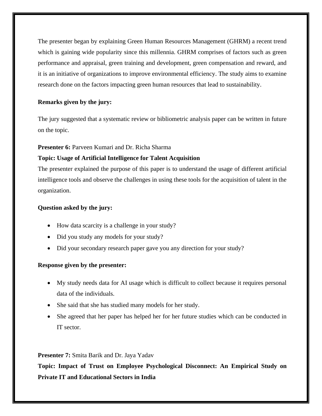The presenter began by explaining Green Human Resources Management (GHRM) a recent trend which is gaining wide popularity since this millennia. GHRM comprises of factors such as green performance and appraisal, green training and development, green compensation and reward, and it is an initiative of organizations to improve environmental efficiency. The study aims to examine research done on the factors impacting green human resources that lead to sustainability.

### **Remarks given by the jury:**

The jury suggested that a systematic review or bibliometric analysis paper can be written in future on the topic.

#### **Presenter 6:** Parveen Kumari and Dr. Richa Sharma

#### **Topic: Usage of Artificial Intelligence for Talent Acquisition**

The presenter explained the purpose of this paper is to understand the usage of different artificial intelligence tools and observe the challenges in using these tools for the acquisition of talent in the organization.

#### **Question asked by the jury:**

- How data scarcity is a challenge in your study?
- Did you study any models for your study?
- Did your secondary research paper gave you any direction for your study?

#### **Response given by the presenter:**

- My study needs data for AI usage which is difficult to collect because it requires personal data of the individuals.
- She said that she has studied many models for her study.
- She agreed that her paper has helped her for her future studies which can be conducted in IT sector.

#### **Presenter 7:** Smita Barik and Dr. Jaya Yadav

**Topic: Impact of Trust on Employee Psychological Disconnect: An Empirical Study on Private IT and Educational Sectors in India**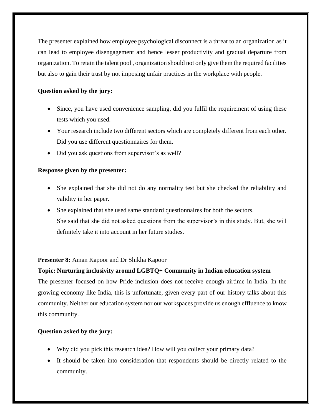The presenter explained how employee psychological disconnect is a threat to an organization as it can lead to employee disengagement and hence lesser productivity and gradual departure from organization. To retain the talent pool , organization should not only give them the required facilities but also to gain their trust by not imposing unfair practices in the workplace with people.

### **Question asked by the jury:**

- Since, you have used convenience sampling, did you fulfil the requirement of using these tests which you used.
- Your research include two different sectors which are completely different from each other. Did you use different questionnaires for them.
- Did you ask questions from supervisor's as well?

### **Response given by the presenter:**

- She explained that she did not do any normality test but she checked the reliability and validity in her paper.
- She explained that she used same standard questionnaires for both the sectors. She said that she did not asked questions from the supervisor's in this study. But, she will definitely take it into account in her future studies.

#### **Presenter 8:** Aman Kapoor and Dr Shikha Kapoor

#### **Topic: Nurturing inclusivity around LGBTQ+ Community in Indian education system**

The presenter focused on how Pride inclusion does not receive enough airtime in India. In the growing economy like India, this is unfortunate, given every part of our history talks about this community. Neither our education system nor our workspaces provide us enough effluence to know this community.

#### **Question asked by the jury:**

- Why did you pick this research idea? How will you collect your primary data?
- It should be taken into consideration that respondents should be directly related to the community.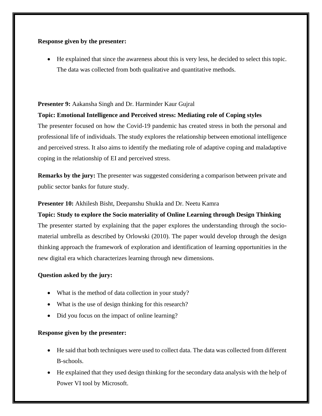#### **Response given by the presenter:**

• He explained that since the awareness about this is very less, he decided to select this topic. The data was collected from both qualitative and quantitative methods.

#### **Presenter 9:** Aakansha Singh and Dr. Harminder Kaur Gujral

#### **Topic: Emotional Intelligence and Perceived stress: Mediating role of Coping styles**

The presenter focused on how the Covid-19 pandemic has created stress in both the personal and professional life of individuals. The study explores the relationship between emotional intelligence and perceived stress. It also aims to identify the mediating role of adaptive coping and maladaptive coping in the relationship of EI and perceived stress.

**Remarks by the jury:** The presenter was suggested considering a comparison between private and public sector banks for future study.

#### **Presenter 10:** Akhilesh Bisht, Deepanshu Shukla and Dr. Neetu Kamra

# **Topic: Study to explore the Socio materiality of Online Learning through Design Thinking** The presenter started by explaining that the paper explores the understanding through the sociomaterial umbrella as described by Orlowski (2010). The paper would develop through the design thinking approach the framework of exploration and identification of learning opportunities in the new digital era which characterizes learning through new dimensions.

#### **Question asked by the jury:**

- What is the method of data collection in your study?
- What is the use of design thinking for this research?
- Did you focus on the impact of online learning?

#### **Response given by the presenter:**

- He said that both techniques were used to collect data. The data was collected from different B-schools.
- He explained that they used design thinking for the secondary data analysis with the help of Power VI tool by Microsoft.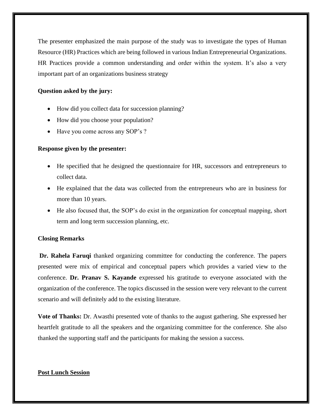The presenter emphasized the main purpose of the study was to investigate the types of Human Resource (HR) Practices which are being followed in various Indian Entrepreneurial Organizations. HR Practices provide a common understanding and order within the system. It's also a very important part of an organizations business strategy

#### **Question asked by the jury:**

- How did you collect data for succession planning?
- How did you choose your population?
- Have you come across any SOP's ?

#### **Response given by the presenter:**

- He specified that he designed the questionnaire for HR, successors and entrepreneurs to collect data.
- He explained that the data was collected from the entrepreneurs who are in business for more than 10 years.
- He also focused that, the SOP's do exist in the organization for conceptual mapping, short term and long term succession planning, etc.

#### **Closing Remarks**

**Dr. Rahela Faruqi** thanked organizing committee for conducting the conference. The papers presented were mix of empirical and conceptual papers which provides a varied view to the conference. **Dr. Pranav S. Kayande** expressed his gratitude to everyone associated with the organization of the conference. The topics discussed in the session were very relevant to the current scenario and will definitely add to the existing literature.

**Vote of Thanks:** Dr. Awasthi presented vote of thanks to the august gathering. She expressed her heartfelt gratitude to all the speakers and the organizing committee for the conference. She also thanked the supporting staff and the participants for making the session a success.

#### **Post Lunch Session**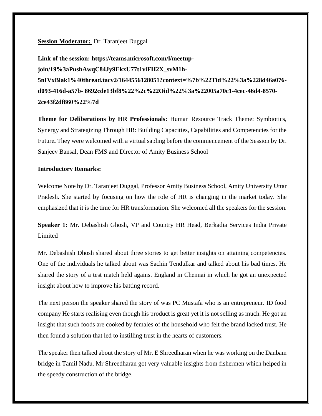#### **Session Moderator:** Dr. Taranjeet Duggal

**Link of the session: https://teams.microsoft.com/l/meetupjoin/19%3aPushAwqC84Jy9EkxU77t1vlFH2X\_svM1h-5nIVxBlak1%40thread.tacv2/1644556128051?context=%7b%22Tid%22%3a%228d46a076 d093-416d-a57b- 8692cde13bf8%22%2c%22Oid%22%3a%22005a70c1-4cec-46d4-8570- 2ce43f2df860%22%7d**

**Theme for Deliberations by HR Professionals:** Human Resource Track Theme: Symbiotics, Synergy and Strategizing Through HR: Building Capacities, Capabilities and Competencies for the Future**.** They were welcomed with a virtual sapling before the commencement of the Session by Dr. Sanjeev Bansal, Dean FMS and Director of Amity Business School

#### **Introductory Remarks:**

Welcome Note by Dr. Taranjeet Duggal, Professor Amity Business School, Amity University Uttar Pradesh. She started by focusing on how the role of HR is changing in the market today. She emphasized that it is the time for HR transformation. She welcomed all the speakers for the session.

**Speaker 1:** Mr. Debashish Ghosh, VP and Country HR Head, Berkadia Services India Private **Limited** 

Mr. Debashish Dhosh shared about three stories to get better insights on attaining competencies. One of the individuals he talked about was Sachin Tendulkar and talked about his bad times. He shared the story of a test match held against England in Chennai in which he got an unexpected insight about how to improve his batting record.

The next person the speaker shared the story of was PC Mustafa who is an entrepreneur. ID food company He starts realising even though his product is great yet it is not selling as much. He got an insight that such foods are cooked by females of the household who felt the brand lacked trust. He then found a solution that led to instilling trust in the hearts of customers.

The speaker then talked about the story of Mr. E Shreedharan when he was working on the Danbam bridge in Tamil Nadu. Mr Shreedharan got very valuable insights from fishermen which helped in the speedy construction of the bridge.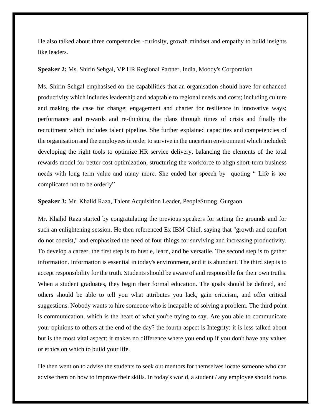He also talked about three competencies -curiosity, growth mindset and empathy to build insights like leaders.

#### **Speaker 2:** Ms. Shirin Sehgal, VP HR Regional Partner, India, Moody's Corporation

Ms. Shirin Sehgal emphasised on the capabilities that an organisation should have for enhanced productivity which includes leadership and adaptable to regional needs and costs; including culture and making the case for change; engagement and charter for resilience in innovative ways; performance and rewards and re-thinking the plans through times of crisis and finally the recruitment which includes talent pipeline. She further explained capacities and competencies of the organisation and the employees in order to survive in the uncertain environment which included: developing the right tools to optimize HR service delivery, balancing the elements of the total rewards model for better cost optimization, structuring the workforce to align short-term business needs with long term value and many more. She ended her speech by quoting " Life is too complicated not to be orderly"

#### **Speaker 3:** Mr. Khalid Raza, Talent Acquisition Leader, PeopleStrong, Gurgaon

Mr. Khalid Raza started by congratulating the previous speakers for setting the grounds and for such an enlightening session. He then referenced Ex IBM Chief, saying that "growth and comfort do not coexist," and emphasized the need of four things for surviving and increasing productivity. To develop a career, the first step is to hustle, learn, and be versatile. The second step is to gather information. Information is essential in today's environment, and it is abundant. The third step is to accept responsibility for the truth. Students should be aware of and responsible for their own truths. When a student graduates, they begin their formal education. The goals should be defined, and others should be able to tell you what attributes you lack, gain criticism, and offer critical suggestions. Nobody wants to hire someone who is incapable of solving a problem. The third point is communication, which is the heart of what you're trying to say. Are you able to communicate your opinions to others at the end of the day? the fourth aspect is Integrity: it is less talked about but is the most vital aspect; it makes no difference where you end up if you don't have any values or ethics on which to build your life.

He then went on to advise the students to seek out mentors for themselves locate someone who can advise them on how to improve their skills. In today's world, a student / any employee should focus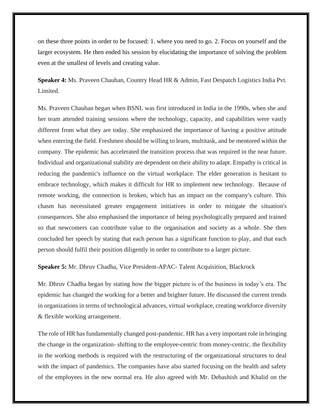on these three points in order to be focused: 1. where you need to go. 2. Focus on yourself and the larger ecosystem. He then ended his session by elucidating the importance of solving the problem even at the smallest of levels and creating value.

**Speaker 4:** Ms. Praveen Chauhan, Country Head HR & Admin, Fast Despatch Logistics India Pvt. Limited.

Ms. Praveen Chauhan began when BSNL was first introduced in India in the 1990s, when she and her team attended training sessions where the technology, capacity, and capabilities were vastly different from what they are today. She emphasized the importance of having a positive attitude when entering the field. Freshmen should be willing to learn, multitask, and be mentored within the company. The epidemic has accelerated the transition process that was required in the near future. Individual and organizational stability are dependent on their ability to adapt. Empathy is critical in reducing the pandemic's influence on the virtual workplace. The elder generation is hesitant to embrace technology, which makes it difficult for HR to implement new technology. Because of remote working, the connection is broken, which has an impact on the company's culture. This chasm has necessitated greater engagement initiatives in order to mitigate the situation's consequences. She also emphasised the importance of being psychologically prepared and trained so that newcomers can contribute value to the organisation and society as a whole. She then concluded her speech by stating that each person has a significant function to play, and that each person should fulfil their position diligently in order to contribute to a larger picture.

**Speaker 5:** Mr. Dhruv Chadha, Vice President-APAC- Talent Acquisition, Blackrock

Mr. Dhruv Chadha began by stating how the bigger picture is of the business in today's era. The epidemic has changed the working for a better and brighter future. He discussed the current trends in organizations in terms of technological advances, virtual workplace, creating workforce diversity & flexible working arrangement.

The role of HR has fundamentally changed post-pandemic. HR has a very important role in bringing the change in the organization- shifting to the employee-centric from money-centric. the flexibility in the working methods is required with the restructuring of the organizational structures to deal with the impact of pandemics. The companies have also started focusing on the health and safety of the employees in the new normal era. He also agreed with Mr. Debashish and Khalid on the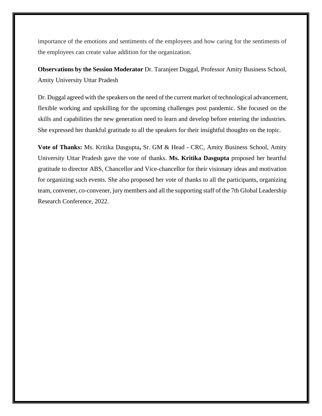importance of the emotions and sentiments of the employees and how caring for the sentiments of the employees can create value addition for the organization.

**Observations by the Session Moderator** Dr. Taranjeet Duggal, Professor Amity Business School, Amity University Uttar Pradesh

Dr. Duggal agreed with the speakers on the need of the current market of technological advancement, flexible working and upskilling for the upcoming challenges post pandemic. She focused on the skills and capabilities the new generation need to learn and develop before entering the industries. She expressed her thankful gratitude to all the speakers for their insightful thoughts on the topic.

**Vote of Thanks:** Ms. Kritika Dasgupta**,** Sr. GM & Head - CRC, Amity Business School, Amity University Uttar Pradesh gave the vote of thanks. **Ms. Kritika Dasgupta** proposed her heartful gratitude to director ABS, Chancellor and Vice-chancellor for their visionary ideas and motivation for organizing such events. She also proposed her vote of thanks to all the participants, organizing team, convener, co-convener, jury members and all the supporting staff of the 7th Global Leadership Research Conference, 2022.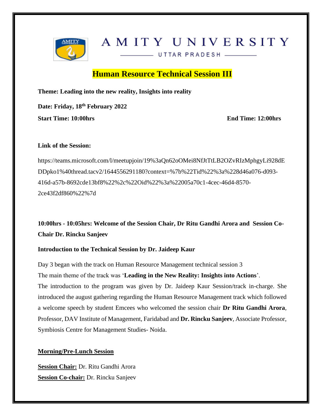

# AMITY UNIVERSITY

UTTAR PRADESH

# **Human Resource Technical Session III**

**Theme: Leading into the new reality, Insights into reality**

**Date: Friday, 18th February 2022 Start Time: 10:00hrs** End Time: 12:00hrs

#### **Link of the Session:**

[https://teams.microsoft.com/l/meetupjoin/19%3aQn62oOMei8NfJtTtLB2OZvRIzMphgyLi928dE](https://teams.microsoft.com/l/meetupjoin/19%3aQn62oOMei8NfJtTtLB2OZvRIzMphgyLi928dEDDpko1%40thread.tacv2/1644556291180?context=%7b%22Tid%22%3a%228d46a076-d093-416d-a57b-8692cde13bf8%22%2c%22Oid%22%3a%22005a70c1-4cec-46d4-8570-2ce43f2df860%22%7d) [DDpko1%40thread.tacv2/1644556291180?context=%7b%22Tid%22%3a%228d46a076-d093-](https://teams.microsoft.com/l/meetupjoin/19%3aQn62oOMei8NfJtTtLB2OZvRIzMphgyLi928dEDDpko1%40thread.tacv2/1644556291180?context=%7b%22Tid%22%3a%228d46a076-d093-416d-a57b-8692cde13bf8%22%2c%22Oid%22%3a%22005a70c1-4cec-46d4-8570-2ce43f2df860%22%7d) [416d-a57b-8692cde13bf8%22%2c%22Oid%22%3a%22005a70c1-4cec-46d4-8570-](https://teams.microsoft.com/l/meetupjoin/19%3aQn62oOMei8NfJtTtLB2OZvRIzMphgyLi928dEDDpko1%40thread.tacv2/1644556291180?context=%7b%22Tid%22%3a%228d46a076-d093-416d-a57b-8692cde13bf8%22%2c%22Oid%22%3a%22005a70c1-4cec-46d4-8570-2ce43f2df860%22%7d) [2ce43f2df860%22%7d](https://teams.microsoft.com/l/meetupjoin/19%3aQn62oOMei8NfJtTtLB2OZvRIzMphgyLi928dEDDpko1%40thread.tacv2/1644556291180?context=%7b%22Tid%22%3a%228d46a076-d093-416d-a57b-8692cde13bf8%22%2c%22Oid%22%3a%22005a70c1-4cec-46d4-8570-2ce43f2df860%22%7d)

**10:00hrs - 10:05hrs: Welcome of the Session Chair, Dr Ritu Gandhi Arora and Session Co-Chair Dr. Rincku Sanjeev**

#### **Introduction to the Technical Session by Dr. Jaideep Kaur**

Day 3 began with the track on Human Resource Management technical session 3 The main theme of the track was '**Leading in the New Reality: Insights into Actions**'. The introduction to the program was given by Dr. Jaideep Kaur Session/track in-charge. She introduced the august gathering regarding the Human Resource Management track which followed a welcome speech by student Emcees who welcomed the session chair **Dr Ritu Gandhi Arora**, Professor, DAV Institute of Management, Faridabad and **Dr. Rincku Sanjeev**, Associate Professor, Symbiosis Centre for Management Studies- Noida.

#### **Morning/Pre-Lunch Session**

**Session Chair:** Dr. Ritu Gandhi Arora **Session Co-chair:** Dr. Rincku Sanjeev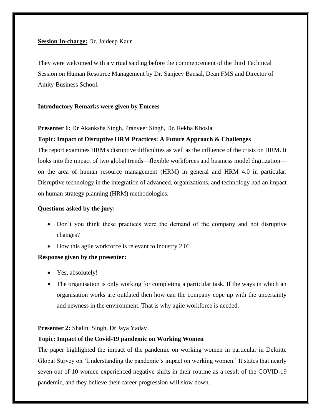#### **Session In-charge:** Dr. Jaideep Kaur

They were welcomed with a virtual sapling before the commencement of the third Technical Session on Human Resource Management by Dr. Sanjeev Bansal, Dean FMS and Director of Amity Business School.

#### **Introductory Remarks were given by Emcees**

#### **Presenter 1:** Dr Akanksha Singh, Pranveer Singh, Dr. Rekha Khosla

#### **Topic: Impact of Disruptive HRM Practices: A Future Approach & Challenges**

The report examines HRM's disruptive difficulties as well as the influence of the crisis on HRM. It looks into the impact of two global trends—flexible workforces and business model digitization on the area of human resource management (HRM) in general and HRM 4.0 in particular. Disruptive technology in the integration of advanced, organizations, and technology had an impact on human strategy planning (HRM) methodologies.

#### **Questions asked by the jury:**

- Don't you think these practices were the demand of the company and not disruptive changes?
- How this agile workforce is relevant to industry 2.0?

#### **Response given by the presenter:**

- Yes, absolutely!
- The organisation is only working for completing a particular task. If the ways in which an organisation works are outdated then how can the company cope up with the uncertainty and newness in the environment. That is why agile workforce is needed.

#### **Presenter 2:** Shalini Singh, Dr Jaya Yadav

#### **Topic: Impact of the Covid-19 pandemic on Working Women**

The paper highlighted the impact of the pandemic on working women in particular in Deloitte Global Survey on 'Understanding the pandemic's impact on working women.' It states that nearly seven out of 10 women experienced negative shifts in their routine as a result of the COVID-19 pandemic, and they believe their career progression will slow down.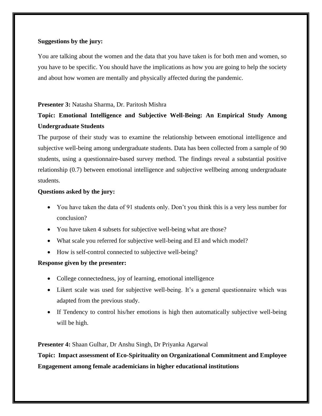#### **Suggestions by the jury:**

You are talking about the women and the data that you have taken is for both men and women, so you have to be specific. You should have the implications as how you are going to help the society and about how women are mentally and physically affected during the pandemic.

#### **Presenter 3:** Natasha Sharma, Dr. Paritosh Mishra

# **Topic: Emotional Intelligence and Subjective Well-Being: An Empirical Study Among Undergraduate Students**

The purpose of their study was to examine the relationship between emotional intelligence and subjective well-being among undergraduate students. Data has been collected from a sample of 90 students, using a questionnaire-based survey method. The findings reveal a substantial positive relationship (0.7) between emotional intelligence and subjective wellbeing among undergraduate students.

#### **Questions asked by the jury:**

- You have taken the data of 91 students only. Don't you think this is a very less number for conclusion?
- You have taken 4 subsets for subjective well-being what are those?
- What scale you referred for subjective well-being and EI and which model?
- How is self-control connected to subjective well-being?

#### **Response given by the presenter:**

- College connectedness, joy of learning, emotional intelligence
- Likert scale was used for subjective well-being. It's a general questionnaire which was adapted from the previous study.
- If Tendency to control his/her emotions is high then automatically subjective well-being will be high.

**Presenter 4:** Shaan Gulhar, Dr Anshu Singh, Dr Priyanka Agarwal

**Topic: Impact assessment of Eco-Spirituality on Organizational Commitment and Employee Engagement among female academicians in higher educational institutions**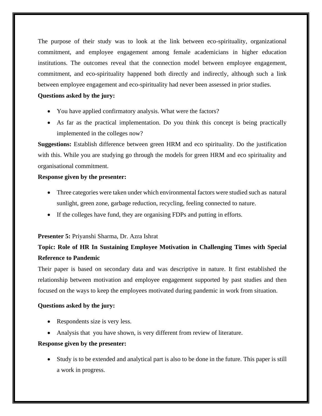The purpose of their study was to look at the link between eco-spirituality, organizational commitment, and employee engagement among female academicians in higher education institutions. The outcomes reveal that the connection model between employee engagement, commitment, and eco-spirituality happened both directly and indirectly, although such a link between employee engagement and eco-spirituality had never been assessed in prior studies.

#### **Questions asked by the jury:**

- You have applied confirmatory analysis. What were the factors?
- As far as the practical implementation. Do you think this concept is being practically implemented in the colleges now?

**Suggestions:** Establish difference between green HRM and eco spirituality. Do the justification with this. While you are studying go through the models for green HRM and eco spirituality and organisational commitment.

#### **Response given by the presenter:**

- Three categories were taken under which environmental factors were studied such as natural sunlight, green zone, garbage reduction, recycling, feeling connected to nature.
- If the colleges have fund, they are organising FDPs and putting in efforts.

#### **Presenter 5:** Priyanshi Sharma, Dr. Azra Ishrat

# **Topic: Role of HR In Sustaining Employee Motivation in Challenging Times with Special Reference to Pandemic**

Their paper is based on secondary data and was descriptive in nature. It first established the relationship between motivation and employee engagement supported by past studies and then focused on the ways to keep the employees motivated during pandemic in work from situation.

#### **Questions asked by the jury:**

- Respondents size is very less.
- Analysis that you have shown, is very different from review of literature.

#### **Response given by the presenter:**

• Study is to be extended and analytical part is also to be done in the future. This paper is still a work in progress.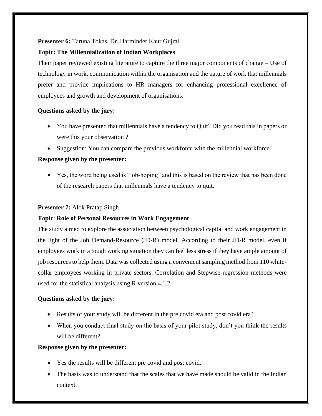#### **Presenter 6:** Taruna Tokas, Dr. Harminder Kaur Gujral

#### **Topic: The Millennialization of Indian Workplaces**

Their paper reviewed existing literature to capture the three major components of change – Use of technology in work, communication within the organisation and the nature of work that millennials prefer and provide implications to HR managers for enhancing professional excellence of employees and growth and development of organisations.

#### **Questions asked by the jury:**

- You have presented that millennials have a tendency to Quit? Did you read this in papers or were this your observation ?
- Suggestion: You can compare the previous workforce with the millennial workforce.

#### **Response given by the presenter:**

• Yes, the word being used is "job-hoping" and this is based on the review that has been done of the research papers that millennials have a tendency to quit.

#### **Presenter 7:** Alok Pratap Singh

#### **Topic**: **Role of Personal Resources in Work Engagement**

The study aimed to explore the association between psychological capital and work engagement in the light of the Job Demand-Resource (JD-R) model. According to their JD-R model, even if employees work in a tough working situation they can feel less stress if they have ample amount of job resources to help them. Data was collected using a convenient sampling method from 110 whitecollar employees working in private sectors. Correlation and Stepwise regression methods were used for the statistical analysis using R version 4.1.2.

#### **Questions asked by the jury:**

- Results of your study will be different in the pre covid era and post covid era?
- When you conduct final study on the basis of your pilot study, don't you think the results will be different?

#### **Response given by the presenter:**

- Yes the results will be different pre covid and post covid.
- The basis was to understand that the scales that we have made should be valid in the Indian context.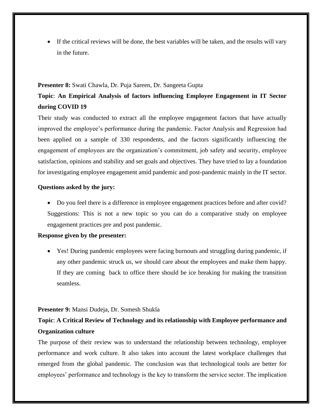• If the critical reviews will be done, the best variables will be taken, and the results will vary in the future.

#### **Presenter 8:** Swati Chawla, Dr. Puja Sareen, Dr. Sangeeta Gupta

# **Topic**: **An Empirical Analysis of factors influencing Employee Engagement in IT Sector during COVID 19**

Their study was conducted to extract all the employee engagement factors that have actually improved the employee's performance during the pandemic. Factor Analysis and Regression had been applied on a sample of 330 respondents, and the factors significantly influencing the engagement of employees are the organization's commitment, job safety and security, employee satisfaction, opinions and stability and set goals and objectives. They have tried to lay a foundation for investigating employee engagement amid pandemic and post-pandemic mainly in the IT sector.

#### **Questions asked by the jury:**

• Do you feel there is a difference in employee engagement practices before and after covid? Suggestions: This is not a new topic so you can do a comparative study on employee engagement practices pre and post pandemic.

#### **Response given by the presenter:**

• Yes! During pandemic employees were facing burnouts and struggling during pandemic, if any other pandemic struck us, we should care about the employees and make them happy. If they are coming back to office there should be ice breaking for making the transition seamless.

#### **Presenter 9:** Mansi Dudeja, Dr. Somesh Shukla

# **Topic**: **A Critical Review of Technology and its relationship with Employee performance and Organization culture**

The purpose of their review was to understand the relationship between technology, employee performance and work culture. It also takes into account the latest workplace challenges that emerged from the global pandemic. The conclusion was that technological tools are better for employees' performance and technology is the key to transform the service sector. The implication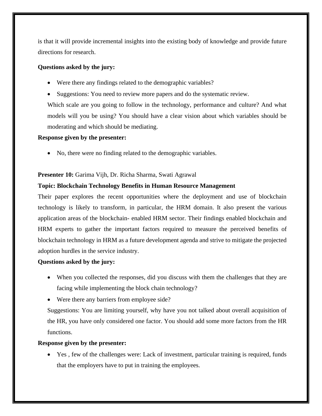is that it will provide incremental insights into the existing body of knowledge and provide future directions for research.

#### **Questions asked by the jury:**

- Were there any findings related to the demographic variables?
- Suggestions: You need to review more papers and do the systematic review.

Which scale are you going to follow in the technology, performance and culture? And what models will you be using? You should have a clear vision about which variables should be moderating and which should be mediating.

#### **Response given by the presenter:**

• No, there were no finding related to the demographic variables.

#### **Presenter 10:** Garima Vijh, Dr. Richa Sharma, Swati Agrawal

#### **Topic: Blockchain Technology Benefits in Human Resource Management**

Their paper explores the recent opportunities where the deployment and use of blockchain technology is likely to transform, in particular, the HRM domain. It also present the various application areas of the blockchain- enabled HRM sector. Their findings enabled blockchain and HRM experts to gather the important factors required to measure the perceived benefits of blockchain technology in HRM as a future development agenda and strive to mitigate the projected adoption hurdles in the service industry.

#### **Questions asked by the jury:**

- When you collected the responses, did you discuss with them the challenges that they are facing while implementing the block chain technology?
- Were there any barriers from employee side?

Suggestions: You are limiting yourself, why have you not talked about overall acquisition of the HR, you have only considered one factor. You should add some more factors from the HR functions.

#### **Response given by the presenter:**

• Yes , few of the challenges were: Lack of investment, particular training is required, funds that the employers have to put in training the employees.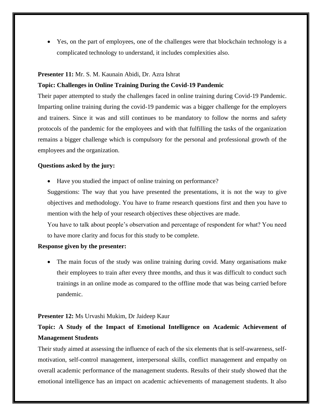• Yes, on the part of employees, one of the challenges were that blockchain technology is a complicated technology to understand, it includes complexities also.

#### **Presenter 11:** Mr. S. M. Kaunain Abidi, Dr. Azra Ishrat

#### **Topic: Challenges in Online Training During the Covid-19 Pandemic**

Their paper attempted to study the challenges faced in online training during Covid-19 Pandemic. Imparting online training during the covid-19 pandemic was a bigger challenge for the employers and trainers. Since it was and still continues to be mandatory to follow the norms and safety protocols of the pandemic for the employees and with that fulfilling the tasks of the organization remains a bigger challenge which is compulsory for the personal and professional growth of the employees and the organization.

#### **Questions asked by the jury:**

• Have you studied the impact of online training on performance?

Suggestions: The way that you have presented the presentations, it is not the way to give objectives and methodology. You have to frame research questions first and then you have to mention with the help of your research objectives these objectives are made.

You have to talk about people's observation and percentage of respondent for what? You need to have more clarity and focus for this study to be complete.

#### **Response given by the presenter:**

• The main focus of the study was online training during covid. Many organisations make their employees to train after every three months, and thus it was difficult to conduct such trainings in an online mode as compared to the offline mode that was being carried before pandemic.

#### **Presenter 12:** Ms Urvashi Mukim, Dr Jaideep Kaur

# **Topic: A Study of the Impact of Emotional Intelligence on Academic Achievement of Management Students**

Their study aimed at assessing the influence of each of the six elements that is self-awareness, selfmotivation, self-control management, interpersonal skills, conflict management and empathy on overall academic performance of the management students. Results of their study showed that the emotional intelligence has an impact on academic achievements of management students. It also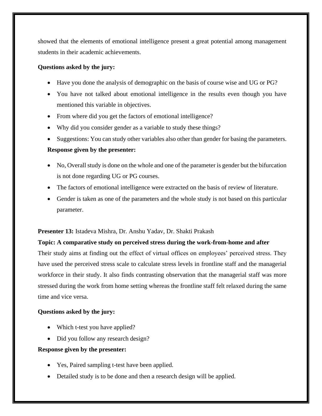showed that the elements of emotional intelligence present a great potential among management students in their academic achievements.

#### **Questions asked by the jury:**

- Have you done the analysis of demographic on the basis of course wise and UG or PG?
- You have not talked about emotional intelligence in the results even though you have mentioned this variable in objectives.
- From where did you get the factors of emotional intelligence?
- Why did you consider gender as a variable to study these things?
- Suggestions: You can study other variables also other than gender for basing the parameters.

#### **Response given by the presenter:**

- No, Overall study is done on the whole and one of the parameter is gender but the bifurcation is not done regarding UG or PG courses.
- The factors of emotional intelligence were extracted on the basis of review of literature.
- Gender is taken as one of the parameters and the whole study is not based on this particular parameter.

#### **Presenter 13:** Istadeva Mishra, Dr. Anshu Yadav, Dr. Shakti Prakash

#### **Topic: A comparative study on perceived stress during the work-from-home and after**

Their study aims at finding out the effect of virtual offices on employees' perceived stress. They have used the perceived stress scale to calculate stress levels in frontline staff and the managerial workforce in their study. It also finds contrasting observation that the managerial staff was more stressed during the work from home setting whereas the frontline staff felt relaxed during the same time and vice versa.

#### **Questions asked by the jury:**

- Which t-test you have applied?
- Did you follow any research design?

#### **Response given by the presenter:**

- Yes, Paired sampling t-test have been applied.
- Detailed study is to be done and then a research design will be applied.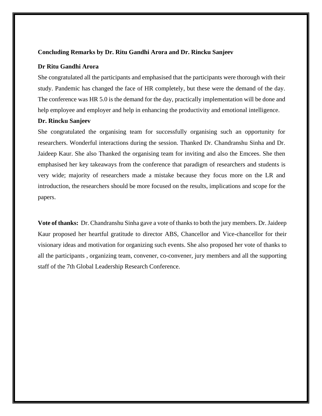#### **Concluding Remarks by Dr. Ritu Gandhi Arora and Dr. Rincku Sanjeev**

#### **Dr Ritu Gandhi Arora**

She congratulated all the participants and emphasised that the participants were thorough with their study. Pandemic has changed the face of HR completely, but these were the demand of the day. The conference was HR 5.0 is the demand for the day, practically implementation will be done and help employee and employer and help in enhancing the productivity and emotional intelligence.

#### **Dr. Rincku Sanjeev**

She congratulated the organising team for successfully organising such an opportunity for researchers. Wonderful interactions during the session. Thanked Dr. Chandranshu Sinha and Dr. Jaideep Kaur. She also Thanked the organising team for inviting and also the Emcees. She then emphasised her key takeaways from the conference that paradigm of researchers and students is very wide; majority of researchers made a mistake because they focus more on the LR and introduction, the researchers should be more focused on the results, implications and scope for the papers.

**Vote of thanks:** Dr. Chandranshu Sinha gave a vote of thanks to both the jury members. Dr. Jaideep Kaur proposed her heartful gratitude to director ABS, Chancellor and Vice-chancellor for their visionary ideas and motivation for organizing such events. She also proposed her vote of thanks to all the participants , organizing team, convener, co-convener, jury members and all the supporting staff of the 7th Global Leadership Research Conference.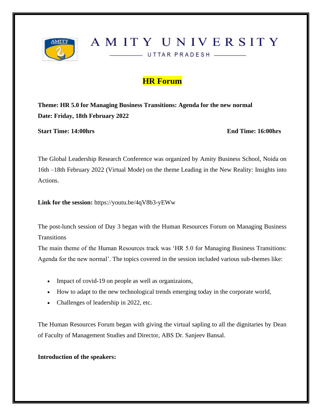

# AMITY UNIVERSITY

UTTAR PRADESH

**HR Forum**

**Theme: HR 5.0 for Managing Business Transitions: Agenda for the new normal Date: Friday, 18th February 2022** 

**Start Time: 14:00hrs End Time: 16:00hrs**

The Global Leadership Research Conference was organized by Amity Business School, Noida on 16th –18th February 2022 (Virtual Mode) on the theme Leading in the New Reality: Insights into Actions.

**Link for the session:** <https://youtu.be/4qV8b3-yEWw>

The post-lunch session of Day 3 began with the Human Resources Forum on Managing Business **Transitions** 

The main theme of the Human Resources track was 'HR 5.0 for Managing Business Transitions: Agenda for the new normal'. The topics covered in the session included various sub-themes like:

- Impact of covid-19 on people as well as organizaions,
- How to adapt to the new technological trends emerging today in the corporate world,
- Challenges of leadership in 2022, etc.

The Human Resources Forum began with giving the virtual sapling to all the dignitaries by Dean of Faculty of Management Studies and Director, ABS Dr. Sanjeev Bansal.

#### **Introduction of the speakers:**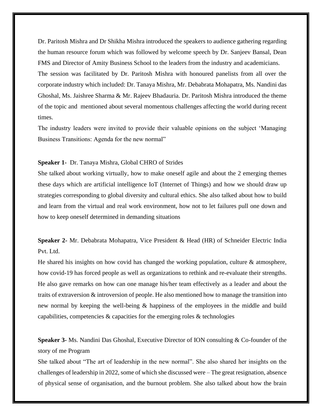Dr. Paritosh Mishra and Dr Shikha Mishra introduced the speakers to audience gathering regarding the human resource forum which was followed by welcome speech by Dr. Sanjeev Bansal, Dean FMS and Director of Amity Business School to the leaders from the industry and academicians. The session was facilitated by Dr. Paritosh Mishra with honoured panelists from all over the corporate industry which included: Dr. Tanaya Mishra, Mr. Debabrata Mohapatra, Ms. Nandini das Ghoshal, Ms. Jaishree Sharma & Mr. Rajeev Bhadauria. Dr. Paritosh Mishra introduced the theme of the topic and mentioned about several momentous challenges affecting the world during recent times.

The industry leaders were invited to provide their valuable opinions on the subject 'Managing Business Transitions: Agenda for the new normal"

#### **Speaker 1-** Dr. Tanaya Mishra, Global CHRO of Strides

She talked about working virtually, how to make oneself agile and about the 2 emerging themes these days which are artificial intelligence IoT (Internet of Things) and how we should draw up strategies corresponding to global diversity and cultural ethics. She also talked about how to build and learn from the virtual and real work environment, how not to let failures pull one down and how to keep oneself determined in demanding situations

**Speaker 2-** Mr. Debabrata Mohapatra, Vice President & Head (HR) of Schneider Electric India Pvt. Ltd.

He shared his insights on how covid has changed the working population, culture & atmosphere, how covid-19 has forced people as well as organizations to rethink and re-evaluate their strengths. He also gave remarks on how can one manage his/her team effectively as a leader and about the traits of extraversion & introversion of people. He also mentioned how to manage the transition into new normal by keeping the well-being & happiness of the employees in the middle and build capabilities, competencies & capacities for the emerging roles & technologies

**Speaker 3-** Ms. Nandini Das Ghoshal, Executive Director of ION consulting & Co-founder of the story of me Program

She talked about "The art of leadership in the new normal". She also shared her insights on the challenges of leadership in 2022, some of which she discussed were – The great resignation, absence of physical sense of organisation, and the burnout problem. She also talked about how the brain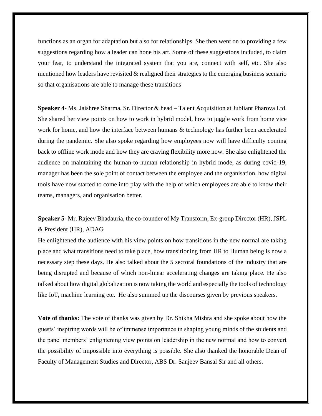functions as an organ for adaptation but also for relationships. She then went on to providing a few suggestions regarding how a leader can hone his art. Some of these suggestions included, to claim your fear, to understand the integrated system that you are, connect with self, etc. She also mentioned how leaders have revisited & realigned their strategies to the emerging business scenario so that organisations are able to manage these transitions

**Speaker 4-** Ms. Jaishree Sharma, Sr. Director & head – Talent Acquisition at Jubliant Pharova Ltd. She shared her view points on how to work in hybrid model, how to juggle work from home vice work for home, and how the interface between humans  $\&$  technology has further been accelerated during the pandemic. She also spoke regarding how employees now will have difficulty coming back to offline work mode and how they are craving flexibility more now. She also enlightened the audience on maintaining the human-to-human relationship in hybrid mode, as during covid-19, manager has been the sole point of contact between the employee and the organisation, how digital tools have now started to come into play with the help of which employees are able to know their teams, managers, and organisation better.

**Speaker 5-** Mr. Rajeev Bhadauria, the co-founder of My Transform, Ex-group Director (HR), JSPL & President (HR), ADAG

He enlightened the audience with his view points on how transitions in the new normal are taking place and what transitions need to take place, how transitioning from HR to Human being is now a necessary step these days. He also talked about the 5 sectoral foundations of the industry that are being disrupted and because of which non-linear accelerating changes are taking place. He also talked about how digital globalization is now taking the world and especially the tools of technology like IoT, machine learning etc. He also summed up the discourses given by previous speakers.

**Vote of thanks:** The vote of thanks was given by Dr. Shikha Mishra and she spoke about how the guests' inspiring words will be of immense importance in shaping young minds of the students and the panel members' enlightening view points on leadership in the new normal and how to convert the possibility of impossible into everything is possible. She also thanked the honorable Dean of Faculty of Management Studies and Director, ABS Dr. Sanjeev Bansal Sir and all others.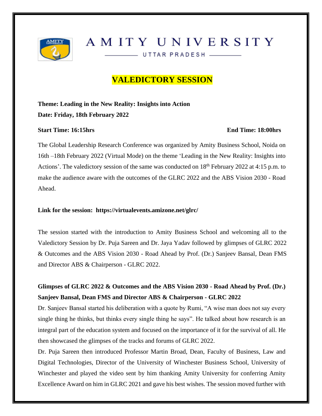

# AMITY UNIVERSITY

UTTAR PRADESH \_\_\_\_\_

# **VALEDICTORY SESSION**

# **Theme: Leading in the New Reality: Insights into Action Date: Friday, 18th February 2022**

#### **Start Time: 16:15hrs End Time: 18:00hrs**

The Global Leadership Research Conference was organized by Amity Business School, Noida on 16th –18th February 2022 (Virtual Mode) on the theme 'Leading in the New Reality: Insights into Actions'. The valedictory session of the same was conducted on 18<sup>th</sup> February 2022 at 4:15 p.m. to make the audience aware with the outcomes of the GLRC 2022 and the ABS Vision 2030 - Road Ahead.

#### **Link for the session: <https://virtualevents.amizone.net/glrc/>**

The session started with the introduction to Amity Business School and welcoming all to the Valedictory Session by Dr. Puja Sareen and Dr. Jaya Yadav followed by glimpses of GLRC 2022 & Outcomes and the ABS Vision 2030 - Road Ahead by Prof. (Dr.) Sanjeev Bansal, Dean FMS and Director ABS & Chairperson - GLRC 2022.

# **Glimpses of GLRC 2022 & Outcomes and the ABS Vision 2030 - Road Ahead by Prof. (Dr.) Sanjeev Bansal, Dean FMS and Director ABS & Chairperson - GLRC 2022**

Dr. Sanjeev Bansal started his deliberation with a quote by Rumi, "A wise man does not say every single thing he thinks, but thinks every single thing he says". He talked about how research is an integral part of the education system and focused on the importance of it for the survival of all. He then showcased the glimpses of the tracks and forums of GLRC 2022.

Dr. Puja Sareen then introduced Professor Martin Broad, Dean, Faculty of Business, Law and Digital Technologies, Director of the University of Winchester Business School, University of Winchester and played the video sent by him thanking Amity University for conferring Amity Excellence Award on him in GLRC 2021 and gave his best wishes. The session moved further with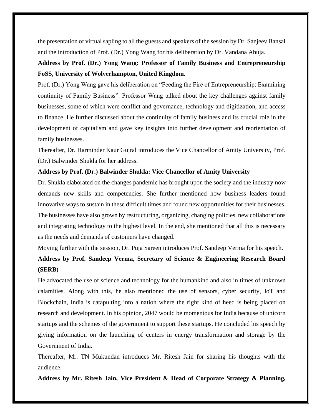the presentation of virtual sapling to all the guests and speakers of the session by Dr. Sanjeev Bansal and the introduction of Prof. (Dr.) Yong Wang for his deliberation by Dr. Vandana Ahuja.

## **Address by Prof. (Dr.) Yong Wang: Professor of Family Business and Entrepreneurship FoSS, University of Wolverhampton, United Kingdom.**

Prof. (Dr.) Yong Wang gave his deliberation on "Feeding the Fire of Entrepreneurship: Examining continuity of Family Business". Professor Wang talked about the key challenges against family businesses, some of which were conflict and governance, technology and digitization, and access to finance. He further discussed about the continuity of family business and its crucial role in the development of capitalism and gave key insights into further development and reorientation of family businesses.

Thereafter, Dr. Harminder Kaur Gujral introduces the Vice Chancellor of Amity University, Prof. (Dr.) Balwinder Shukla for her address.

#### **Address by Prof. (Dr.) Balwinder Shukla: Vice Chancellor of Amity University**

Dr. Shukla elaborated on the changes pandemic has brought upon the society and the industry now demands new skills and competencies. She further mentioned how business leaders found innovative ways to sustain in these difficult times and found new opportunities for their businesses. The businesses have also grown by restructuring, organizing, changing policies, new collaborations and integrating technology to the highest level. In the end, she mentioned that all this is necessary as the needs and demands of customers have changed.

Moving further with the session, Dr. Puja Sareen introduces Prof. Sandeep Verma for his speech.

# **Address by Prof. Sandeep Verma, Secretary of Science & Engineering Research Board (SERB)**

He advocated the use of science and technology for the humankind and also in times of unknown calamities. Along with this, he also mentioned the use of sensors, cyber security, IoT and Blockchain, India is catapulting into a nation where the right kind of heed is being placed on research and development. In his opinion, 2047 would be momentous for India because of unicorn startups and the schemes of the government to support these startups. He concluded his speech by giving information on the launching of centers in energy transformation and storage by the Government of India.

Thereafter, Mr. TN Mukundan introduces Mr. Ritesh Jain for sharing his thoughts with the audience.

**Address by Mr. Ritesh Jain, Vice President & Head of Corporate Strategy & Planning,**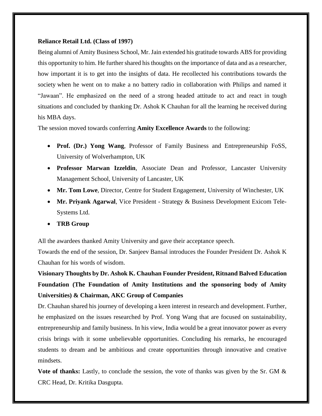#### **Reliance Retail Ltd. (Class of 1997)**

Being alumni of Amity Business School, Mr. Jain extended his gratitude towards ABS for providing this opportunity to him. He further shared his thoughts on the importance of data and as a researcher, how important it is to get into the insights of data. He recollected his contributions towards the society when he went on to make a no battery radio in collaboration with Philips and named it "Jawaan". He emphasized on the need of a strong headed attitude to act and react in tough situations and concluded by thanking Dr. Ashok K Chauhan for all the learning he received during his MBA days.

The session moved towards conferring **Amity Excellence Awards** to the following:

- **Prof. (Dr.) Yong Wang**, Professor of Family Business and Entrepreneurship FoSS, University of Wolverhampton, UK
- **Professor Marwan Izzeldin**, Associate Dean and Professor, Lancaster University Management School, University of Lancaster, UK
- **Mr. Tom Lowe**, Director, Centre for Student Engagement, University of Winchester, UK
- **Mr. Priyank Agarwal**, Vice President Strategy & Business Development Exicom Tele-Systems Ltd.
- **TRB Group**

All the awardees thanked Amity University and gave their acceptance speech.

Towards the end of the session, Dr. Sanjeev Bansal introduces the Founder President Dr. Ashok K Chauhan for his words of wisdom.

**Visionary Thoughts by Dr. Ashok K. Chauhan Founder President, Ritnand Balved Education Foundation (The Foundation of Amity Institutions and the sponsoring body of Amity Universities) & Chairman, AKC Group of Companies** 

Dr. Chauhan shared his journey of developing a keen interest in research and development. Further, he emphasized on the issues researched by Prof. Yong Wang that are focused on sustainability, entrepreneurship and family business. In his view, India would be a great innovator power as every crisis brings with it some unbelievable opportunities. Concluding his remarks, he encouraged students to dream and be ambitious and create opportunities through innovative and creative mindsets.

**Vote of thanks:** Lastly, to conclude the session, the vote of thanks was given by the Sr. GM & CRC Head, Dr. Kritika Dasgupta.